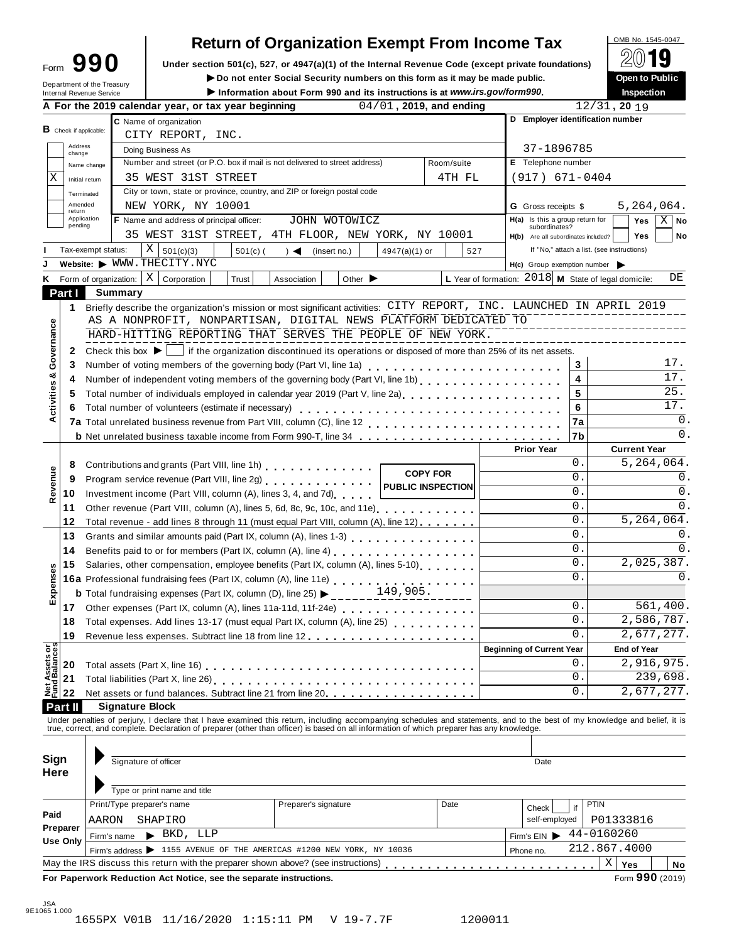| Form | 90                                                            |
|------|---------------------------------------------------------------|
|      | Department of the Treasury<br><b>Internal Revenue Service</b> |

# **Return of Organization Exempt From Income Tax**

**Example 1990** Under section 501(c), 527, or 4947(a)(1) of the Internal Revenue Code (except private foundations) <u>A</u><sup>∪</sup> is the public Depent of Public

■ **Do** not enter Social Security numbers on this form as it may be made public. **Download Digitary Construction**<br>■ **Inspection Inspection** Information about Form 990 and its instructions is at www.irs.gov/form990.

|                                      | A For the 2019 calendar year, or tax year beginning<br>04/01, 2019, and ending                                                                                                            |                                                        | 12/31, 2019             |  |  |  |  |  |  |
|--------------------------------------|-------------------------------------------------------------------------------------------------------------------------------------------------------------------------------------------|--------------------------------------------------------|-------------------------|--|--|--|--|--|--|
|                                      | C Name of organization                                                                                                                                                                    | D Employer identification number                       |                         |  |  |  |  |  |  |
| $\mathbf B$ Check if applicable:     | CITY REPORT, INC.                                                                                                                                                                         |                                                        |                         |  |  |  |  |  |  |
| Address<br>change                    | Doing Business As                                                                                                                                                                         | 37-1896785                                             |                         |  |  |  |  |  |  |
|                                      | Number and street (or P.O. box if mail is not delivered to street address)<br>Room/suite<br>Name change                                                                                   | E Telephone number                                     |                         |  |  |  |  |  |  |
| Χ<br>Initial return                  | 35 WEST 31ST STREET<br>4TH FL                                                                                                                                                             | $(917) 671 - 0404$                                     |                         |  |  |  |  |  |  |
| Terminated                           | City or town, state or province, country, and ZIP or foreign postal code                                                                                                                  |                                                        |                         |  |  |  |  |  |  |
| Amended<br>return                    | NEW YORK, NY 10001                                                                                                                                                                        | <b>G</b> Gross receipts \$                             | 5,264,064.              |  |  |  |  |  |  |
| Application<br>pending               | F Name and address of principal officer:<br>JOHN WOTOWICZ                                                                                                                                 | H(a) Is this a group return for<br>subordinates?       | $X \mid No$<br>Yes      |  |  |  |  |  |  |
|                                      | 35 WEST 31ST STREET, 4TH FLOOR, NEW YORK, NY 10001                                                                                                                                        | H(b) Are all subordinates included?                    | <b>Yes</b><br>No        |  |  |  |  |  |  |
|                                      | $X \big  501(c)(3)$<br>$501(c)$ ( ) < (insert no.)<br>Tax-exempt status:<br>4947(a)(1) or<br>527                                                                                          | If "No," attach a list. (see instructions)             |                         |  |  |  |  |  |  |
|                                      | Website: WWW.THECITY.NYC                                                                                                                                                                  | $H(c)$ Group exemption number $\blacktriangleright$    |                         |  |  |  |  |  |  |
| ĸ                                    | Form of organization: $\mid X \mid$ Corporation<br>Trust<br>Association<br>Other $\blacktriangleright$                                                                                    | L Year of formation: $2018$ M State of legal domicile: | DE                      |  |  |  |  |  |  |
| Part I                               | <b>Summary</b>                                                                                                                                                                            |                                                        |                         |  |  |  |  |  |  |
|                                      | 1 Briefly describe the organization's mission or most significant activities: CITY REPORT, INC. LAUNCHED IN APRIL 2019                                                                    |                                                        |                         |  |  |  |  |  |  |
|                                      | AS A NONPROFIT, NONPARTISAN, DIGITAL NEWS PLATFORM DEDICATED TO                                                                                                                           |                                                        | ------------------      |  |  |  |  |  |  |
|                                      | HARD-HITTING REPORTING THAT SERVES THE PEOPLE OF NEW YORK.                                                                                                                                | ------------------                                     |                         |  |  |  |  |  |  |
| Governance<br>$\mathbf{2}$           | Check this box $\blacktriangleright$   if the organization discontinued its operations or disposed of more than 25% of its net assets.                                                    |                                                        |                         |  |  |  |  |  |  |
| 3                                    |                                                                                                                                                                                           | 3                                                      | 17.                     |  |  |  |  |  |  |
| య<br>4                               | Number of independent voting members of the governing body (Part VI, line 1b)                                                                                                             | 4                                                      | 17.                     |  |  |  |  |  |  |
| 5                                    | Total number of individuals employed in calendar year 2019 (Part V, line 2a)<br>The 2a)                                                                                                   | 5                                                      | 25.                     |  |  |  |  |  |  |
| 6                                    |                                                                                                                                                                                           | 6                                                      | 17.                     |  |  |  |  |  |  |
| Activities                           |                                                                                                                                                                                           | 7a                                                     | 0.                      |  |  |  |  |  |  |
|                                      |                                                                                                                                                                                           | 7b                                                     | 0.                      |  |  |  |  |  |  |
|                                      |                                                                                                                                                                                           | <b>Prior Year</b>                                      | <b>Current Year</b>     |  |  |  |  |  |  |
| 8                                    | Contributions and grants (Part VIII, line 1h)                                                                                                                                             | 0.                                                     | 5,264,064.              |  |  |  |  |  |  |
| 9                                    | <b>COPY FOR</b><br>Program service revenue (Part VIII, line 2g)                                                                                                                           | 0.                                                     | 0.                      |  |  |  |  |  |  |
| Revenue<br>10                        | <b>PUBLIC INSPECTION</b><br>Investment income (Part VIII, column (A), lines 3, 4, and 7d)                                                                                                 | 0.                                                     | 0.                      |  |  |  |  |  |  |
| 11                                   | Other revenue (Part VIII, column (A), lines 5, 6d, 8c, 9c, 10c, and 11e) [100]                                                                                                            | 0.                                                     | 0.                      |  |  |  |  |  |  |
| 12                                   | Total revenue - add lines 8 through 11 (must equal Part VIII, column (A), line 12)                                                                                                        | 0.                                                     | 5, 264, 064.            |  |  |  |  |  |  |
| 13                                   |                                                                                                                                                                                           | 0.                                                     | 0.                      |  |  |  |  |  |  |
| 14                                   |                                                                                                                                                                                           | 0.                                                     | 0.                      |  |  |  |  |  |  |
| 15                                   | Salaries, other compensation, employee benefits (Part IX, column (A), lines 5-10)                                                                                                         | 0.                                                     | 2,025,387.              |  |  |  |  |  |  |
|                                      |                                                                                                                                                                                           | 0.                                                     | 0.                      |  |  |  |  |  |  |
| Expenses                             | <b>16a</b> Professional fundraising fees (Part IX, column (A), line 11e)<br><b>b</b> Total fundraising expenses (Part IX, column (D), line 25)<br>$\begin{array}{c} 149,905. \end{array}$ |                                                        |                         |  |  |  |  |  |  |
|                                      | 17 Other expenses (Part IX, column (A), lines 11a-11d, 11f-24e) [10] Cherchard Collection Collection Collection C                                                                         | 0.                                                     | 561,400.                |  |  |  |  |  |  |
|                                      | 18 Total expenses. Add lines 13-17 (must equal Part IX, column (A), line 25) [ [ [ ]                                                                                                      | 0.                                                     | 2,586,787.              |  |  |  |  |  |  |
| 19                                   |                                                                                                                                                                                           | υ.                                                     | $\overline{2,677,277}.$ |  |  |  |  |  |  |
|                                      |                                                                                                                                                                                           | <b>Beginning of Current Year</b>                       | <b>End of Year</b>      |  |  |  |  |  |  |
| 20                                   | Total assets (Part X, line 16)                                                                                                                                                            | 0                                                      | 2,916,975.              |  |  |  |  |  |  |
| Net Assets or<br>Fund Balances<br>21 |                                                                                                                                                                                           | 0                                                      | 239,698.                |  |  |  |  |  |  |
| 22                                   | Net assets or fund balances. Subtract line 21 from line 20                                                                                                                                | 0                                                      | 2,677,277.              |  |  |  |  |  |  |
| Part II                              | <b>Signature Block</b>                                                                                                                                                                    |                                                        |                         |  |  |  |  |  |  |
|                                      | Under penalties of perjury, I declare that I have examined this return, including accompanying schedules and statements, and to the best of my knowledge and belief, it is                |                                                        |                         |  |  |  |  |  |  |
|                                      | true, correct, and complete. Declaration of preparer (other than officer) is based on all information of which preparer has any knowledge.                                                |                                                        |                         |  |  |  |  |  |  |
|                                      |                                                                                                                                                                                           |                                                        |                         |  |  |  |  |  |  |
| Sign                                 | Signature of officer                                                                                                                                                                      | Date                                                   |                         |  |  |  |  |  |  |
| <b>Here</b>                          |                                                                                                                                                                                           |                                                        |                         |  |  |  |  |  |  |
|                                      | Type or print name and title                                                                                                                                                              |                                                        |                         |  |  |  |  |  |  |
|                                      | Print/Type preparer's name<br>Preparer's signature<br>Date                                                                                                                                | if                                                     | <b>PTIN</b>             |  |  |  |  |  |  |
| Paid                                 | AARON<br>SHAPIRO                                                                                                                                                                          | Check<br>self-employed                                 | P01333816               |  |  |  |  |  |  |
| Preparer                             | $\blacktriangleright$ BKD, LLP                                                                                                                                                            |                                                        | 44-0160260              |  |  |  |  |  |  |
| Use Only                             | Firm's name                                                                                                                                                                               | Firm's EIN                                             | 212.867.4000            |  |  |  |  |  |  |
|                                      |                                                                                                                                                                                           |                                                        |                         |  |  |  |  |  |  |
|                                      | Firm's address > 1155 AVENUE OF THE AMERICAS #1200 NEW YORK, NY 10036<br>May the IRS discuss this return with the preparer shown above? (see instructions)                                | Phone no.                                              | Χ<br>Yes<br>No          |  |  |  |  |  |  |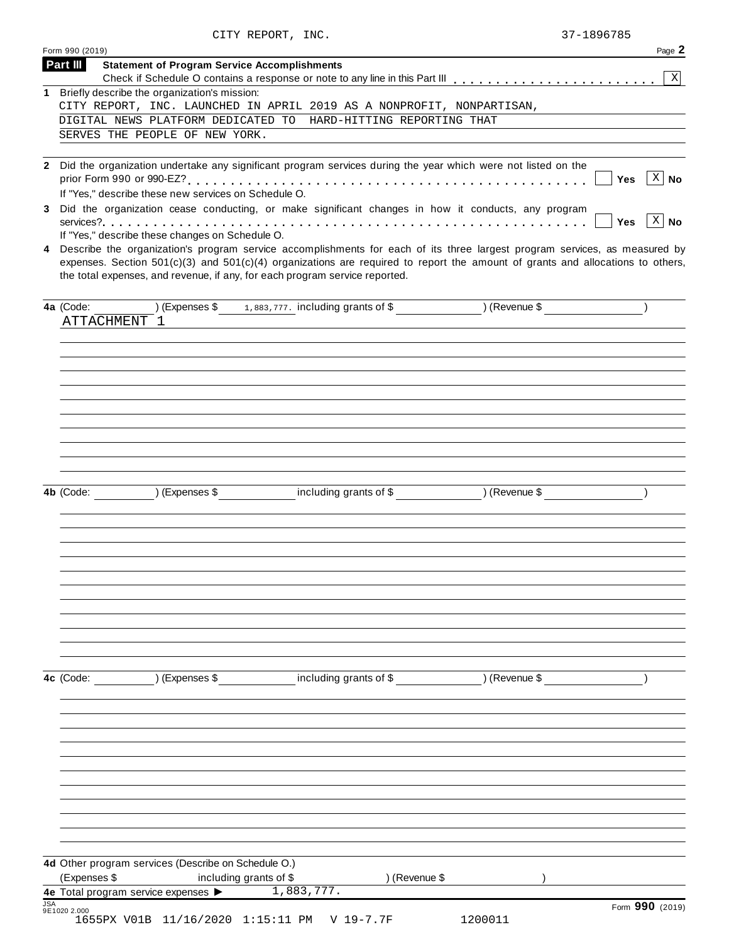| CITY REPORT, INC. | 37-1896785 |
|-------------------|------------|

| Part III<br>1 Briefly describe the organization's mission:<br>CITY REPORT, INC. LAUNCHED IN APRIL 2019 AS A NONPROFIT, NONPARTISAN,<br>DIGITAL NEWS PLATFORM DEDICATED TO HARD-HITTING REPORTING THAT<br>SERVES THE PEOPLE OF NEW YORK.<br>2 Did the organization undertake any significant program services during the year which were not listed on the<br>Yes<br>If "Yes," describe these new services on Schedule O.<br>Did the organization cease conducting, or make significant changes in how it conducts, any program<br><b>Yes</b><br>If "Yes," describe these changes on Schedule O.<br>4 Describe the organization's program service accomplishments for each of its three largest program services, as measured by<br>expenses. Section $501(c)(3)$ and $501(c)(4)$ organizations are required to report the amount of grants and allocations to others,<br>the total expenses, and revenue, if any, for each program service reported.<br>ATTACHMENT 1<br>4b (Code: ) (Expenses \$ including grants of \$ ) (Revenue \$<br>(Expenses \$ including grants of \$ ) (Revenue \$<br>4c (Code:<br>4d Other program services (Describe on Schedule O.)<br>(Expenses \$<br>including grants of \$<br>) (Revenue \$<br>1,883,777.<br>4e Total program service expenses > |            | Form 990 (2019)                                     | Page 2               |
|--------------------------------------------------------------------------------------------------------------------------------------------------------------------------------------------------------------------------------------------------------------------------------------------------------------------------------------------------------------------------------------------------------------------------------------------------------------------------------------------------------------------------------------------------------------------------------------------------------------------------------------------------------------------------------------------------------------------------------------------------------------------------------------------------------------------------------------------------------------------------------------------------------------------------------------------------------------------------------------------------------------------------------------------------------------------------------------------------------------------------------------------------------------------------------------------------------------------------------------------------------------------------------|------------|-----------------------------------------------------|----------------------|
|                                                                                                                                                                                                                                                                                                                                                                                                                                                                                                                                                                                                                                                                                                                                                                                                                                                                                                                                                                                                                                                                                                                                                                                                                                                                                |            | <b>Statement of Program Service Accomplishments</b> | $\mathbf{X}$         |
|                                                                                                                                                                                                                                                                                                                                                                                                                                                                                                                                                                                                                                                                                                                                                                                                                                                                                                                                                                                                                                                                                                                                                                                                                                                                                |            |                                                     |                      |
|                                                                                                                                                                                                                                                                                                                                                                                                                                                                                                                                                                                                                                                                                                                                                                                                                                                                                                                                                                                                                                                                                                                                                                                                                                                                                |            |                                                     |                      |
|                                                                                                                                                                                                                                                                                                                                                                                                                                                                                                                                                                                                                                                                                                                                                                                                                                                                                                                                                                                                                                                                                                                                                                                                                                                                                |            |                                                     |                      |
|                                                                                                                                                                                                                                                                                                                                                                                                                                                                                                                                                                                                                                                                                                                                                                                                                                                                                                                                                                                                                                                                                                                                                                                                                                                                                |            |                                                     |                      |
|                                                                                                                                                                                                                                                                                                                                                                                                                                                                                                                                                                                                                                                                                                                                                                                                                                                                                                                                                                                                                                                                                                                                                                                                                                                                                |            |                                                     |                      |
|                                                                                                                                                                                                                                                                                                                                                                                                                                                                                                                                                                                                                                                                                                                                                                                                                                                                                                                                                                                                                                                                                                                                                                                                                                                                                | 3          |                                                     | X   No               |
|                                                                                                                                                                                                                                                                                                                                                                                                                                                                                                                                                                                                                                                                                                                                                                                                                                                                                                                                                                                                                                                                                                                                                                                                                                                                                |            |                                                     | $\lceil x \rceil$ No |
|                                                                                                                                                                                                                                                                                                                                                                                                                                                                                                                                                                                                                                                                                                                                                                                                                                                                                                                                                                                                                                                                                                                                                                                                                                                                                |            |                                                     |                      |
|                                                                                                                                                                                                                                                                                                                                                                                                                                                                                                                                                                                                                                                                                                                                                                                                                                                                                                                                                                                                                                                                                                                                                                                                                                                                                |            |                                                     |                      |
|                                                                                                                                                                                                                                                                                                                                                                                                                                                                                                                                                                                                                                                                                                                                                                                                                                                                                                                                                                                                                                                                                                                                                                                                                                                                                |            |                                                     |                      |
|                                                                                                                                                                                                                                                                                                                                                                                                                                                                                                                                                                                                                                                                                                                                                                                                                                                                                                                                                                                                                                                                                                                                                                                                                                                                                |            |                                                     |                      |
|                                                                                                                                                                                                                                                                                                                                                                                                                                                                                                                                                                                                                                                                                                                                                                                                                                                                                                                                                                                                                                                                                                                                                                                                                                                                                |            |                                                     |                      |
|                                                                                                                                                                                                                                                                                                                                                                                                                                                                                                                                                                                                                                                                                                                                                                                                                                                                                                                                                                                                                                                                                                                                                                                                                                                                                |            |                                                     |                      |
|                                                                                                                                                                                                                                                                                                                                                                                                                                                                                                                                                                                                                                                                                                                                                                                                                                                                                                                                                                                                                                                                                                                                                                                                                                                                                |            |                                                     |                      |
|                                                                                                                                                                                                                                                                                                                                                                                                                                                                                                                                                                                                                                                                                                                                                                                                                                                                                                                                                                                                                                                                                                                                                                                                                                                                                |            |                                                     |                      |
|                                                                                                                                                                                                                                                                                                                                                                                                                                                                                                                                                                                                                                                                                                                                                                                                                                                                                                                                                                                                                                                                                                                                                                                                                                                                                |            |                                                     |                      |
|                                                                                                                                                                                                                                                                                                                                                                                                                                                                                                                                                                                                                                                                                                                                                                                                                                                                                                                                                                                                                                                                                                                                                                                                                                                                                |            |                                                     |                      |
|                                                                                                                                                                                                                                                                                                                                                                                                                                                                                                                                                                                                                                                                                                                                                                                                                                                                                                                                                                                                                                                                                                                                                                                                                                                                                |            |                                                     |                      |
|                                                                                                                                                                                                                                                                                                                                                                                                                                                                                                                                                                                                                                                                                                                                                                                                                                                                                                                                                                                                                                                                                                                                                                                                                                                                                |            |                                                     |                      |
|                                                                                                                                                                                                                                                                                                                                                                                                                                                                                                                                                                                                                                                                                                                                                                                                                                                                                                                                                                                                                                                                                                                                                                                                                                                                                |            |                                                     |                      |
| Form 990 (2019)<br>9E1020 2.000                                                                                                                                                                                                                                                                                                                                                                                                                                                                                                                                                                                                                                                                                                                                                                                                                                                                                                                                                                                                                                                                                                                                                                                                                                                | <b>JSA</b> |                                                     |                      |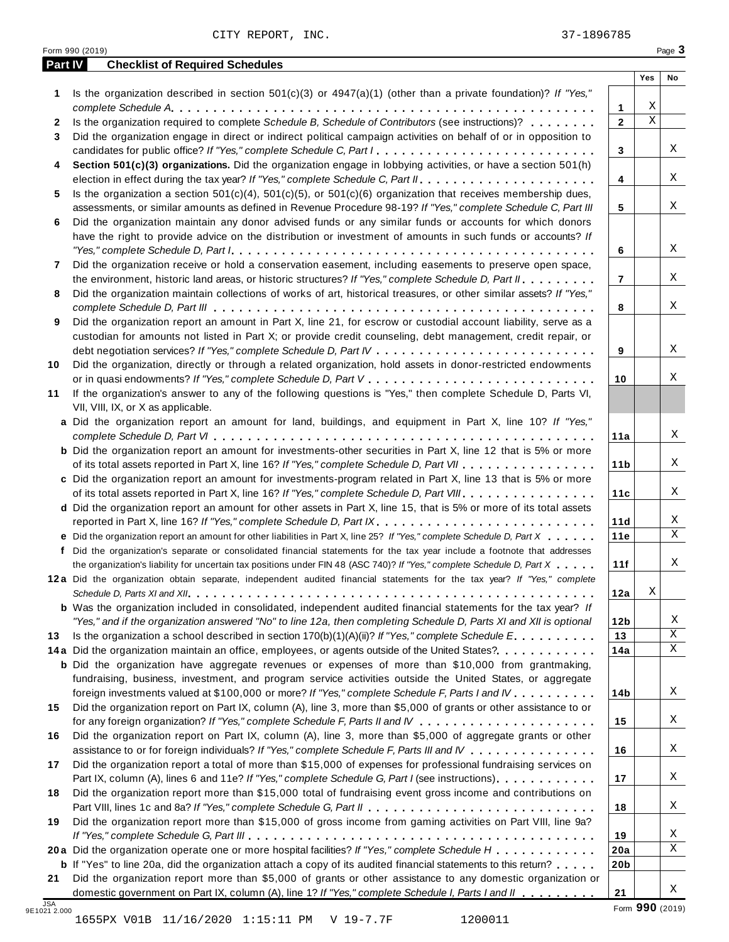|              |                                                                                                                                                                                                                                                                                                                                                                                               |                   | Yes         | No |
|--------------|-----------------------------------------------------------------------------------------------------------------------------------------------------------------------------------------------------------------------------------------------------------------------------------------------------------------------------------------------------------------------------------------------|-------------------|-------------|----|
| 1            | Is the organization described in section $501(c)(3)$ or $4947(a)(1)$ (other than a private foundation)? If "Yes,"                                                                                                                                                                                                                                                                             |                   | Χ           |    |
|              | Is the organization required to complete Schedule B, Schedule of Contributors (see instructions)?                                                                                                                                                                                                                                                                                             | 1<br>$\mathbf{2}$ | $\mathbf X$ |    |
| $\mathbf{2}$ |                                                                                                                                                                                                                                                                                                                                                                                               |                   |             |    |
| 3            | Did the organization engage in direct or indirect political campaign activities on behalf of or in opposition to                                                                                                                                                                                                                                                                              |                   |             |    |
|              | candidates for public office? If "Yes," complete Schedule C, Part I.                                                                                                                                                                                                                                                                                                                          | 3                 |             |    |
| 4            | Section 501(c)(3) organizations. Did the organization engage in lobbying activities, or have a section 501(h)                                                                                                                                                                                                                                                                                 |                   |             |    |
|              |                                                                                                                                                                                                                                                                                                                                                                                               | 4                 |             |    |
| 5.           | Is the organization a section $501(c)(4)$ , $501(c)(5)$ , or $501(c)(6)$ organization that receives membership dues,                                                                                                                                                                                                                                                                          |                   |             |    |
|              | assessments, or similar amounts as defined in Revenue Procedure 98-19? If "Yes," complete Schedule C, Part III                                                                                                                                                                                                                                                                                | 5                 |             |    |
| 6            | Did the organization maintain any donor advised funds or any similar funds or accounts for which donors                                                                                                                                                                                                                                                                                       |                   |             |    |
|              | have the right to provide advice on the distribution or investment of amounts in such funds or accounts? If                                                                                                                                                                                                                                                                                   |                   |             |    |
|              | "Yes," complete Schedule D, Part $l_1, \ldots, l_k, \ldots, l_k, \ldots, l_k, \ldots, l_k, \ldots, l_k, \ldots, l_k, \ldots, l_k, \ldots, l_k, \ldots, l_k, \ldots, l_k, \ldots, l_k, \ldots, l_k, \ldots, l_k, \ldots, l_k, \ldots, l_k, \ldots, l_k, \ldots, l_k, \ldots, l_k, \ldots, l_k, \ldots, l_k, \ldots, l_k, \ldots, l_k, \ldots, l_k, \ldots, l_k, \ldots, l_k, \ldots, l_k, \ld$ | 6                 |             |    |
| 7            | Did the organization receive or hold a conservation easement, including easements to preserve open space,                                                                                                                                                                                                                                                                                     |                   |             |    |
|              | the environment, historic land areas, or historic structures? If "Yes," complete Schedule D, Part II.                                                                                                                                                                                                                                                                                         | $\overline{7}$    |             |    |
| 8            | Did the organization maintain collections of works of art, historical treasures, or other similar assets? If "Yes,"                                                                                                                                                                                                                                                                           |                   |             |    |
|              |                                                                                                                                                                                                                                                                                                                                                                                               | 8                 |             |    |
| 9            | Did the organization report an amount in Part X, line 21, for escrow or custodial account liability, serve as a                                                                                                                                                                                                                                                                               |                   |             |    |
|              | custodian for amounts not listed in Part X; or provide credit counseling, debt management, credit repair, or                                                                                                                                                                                                                                                                                  |                   |             |    |
|              |                                                                                                                                                                                                                                                                                                                                                                                               | 9                 |             |    |
| 10           | Did the organization, directly or through a related organization, hold assets in donor-restricted endowments                                                                                                                                                                                                                                                                                  |                   |             |    |
|              |                                                                                                                                                                                                                                                                                                                                                                                               | 10                |             |    |
| 11           | If the organization's answer to any of the following questions is "Yes," then complete Schedule D, Parts VI,                                                                                                                                                                                                                                                                                  |                   |             |    |
|              | VII, VIII, IX, or X as applicable.                                                                                                                                                                                                                                                                                                                                                            |                   |             |    |
|              | a Did the organization report an amount for land, buildings, and equipment in Part X, line 10? If "Yes,"                                                                                                                                                                                                                                                                                      |                   |             |    |
|              |                                                                                                                                                                                                                                                                                                                                                                                               | 11a               |             |    |
|              | <b>b</b> Did the organization report an amount for investments-other securities in Part X, line 12 that is 5% or more                                                                                                                                                                                                                                                                         |                   |             |    |
|              | of its total assets reported in Part X, line 16? If "Yes," complete Schedule D, Part VII                                                                                                                                                                                                                                                                                                      | 11 <sub>b</sub>   |             |    |
|              | c Did the organization report an amount for investments-program related in Part X, line 13 that is 5% or more                                                                                                                                                                                                                                                                                 |                   |             |    |
|              | of its total assets reported in Part X, line 16? If "Yes," complete Schedule D, Part VIII                                                                                                                                                                                                                                                                                                     | 11c               |             |    |
|              | d Did the organization report an amount for other assets in Part X, line 15, that is 5% or more of its total assets                                                                                                                                                                                                                                                                           |                   |             |    |
|              |                                                                                                                                                                                                                                                                                                                                                                                               | 11d               |             |    |
|              | e Did the organization report an amount for other liabilities in Part X, line 25? If "Yes," complete Schedule D, Part X                                                                                                                                                                                                                                                                       | 11e               |             |    |
|              | f Did the organization's separate or consolidated financial statements for the tax year include a footnote that addresses                                                                                                                                                                                                                                                                     |                   |             |    |
|              | the organization's liability for uncertain tax positions under FIN 48 (ASC 740)? If "Yes," complete Schedule D, Part X                                                                                                                                                                                                                                                                        | 11f               |             |    |
|              | 12a Did the organization obtain separate, independent audited financial statements for the tax year? If "Yes," complete                                                                                                                                                                                                                                                                       |                   |             |    |
|              |                                                                                                                                                                                                                                                                                                                                                                                               | 12a               | Χ           |    |
|              | <b>b</b> Was the organization included in consolidated, independent audited financial statements for the tax year? If                                                                                                                                                                                                                                                                         |                   |             |    |
|              | "Yes," and if the organization answered "No" to line 12a, then completing Schedule D, Parts XI and XII is optional                                                                                                                                                                                                                                                                            | 12 <sub>b</sub>   |             |    |
| 13           | Is the organization a school described in section $170(b)(1)(A)(ii)?$ If "Yes," complete Schedule E.                                                                                                                                                                                                                                                                                          | 13                |             |    |
|              | 14a Did the organization maintain an office, employees, or agents outside of the United States?.                                                                                                                                                                                                                                                                                              | 14a               |             |    |
|              | <b>b</b> Did the organization have aggregate revenues or expenses of more than \$10,000 from grantmaking,                                                                                                                                                                                                                                                                                     |                   |             |    |
|              | fundraising, business, investment, and program service activities outside the United States, or aggregate                                                                                                                                                                                                                                                                                     |                   |             |    |
|              | foreign investments valued at \$100,000 or more? If "Yes," complete Schedule F, Parts I and IV                                                                                                                                                                                                                                                                                                | 14b               |             |    |
| 15           | Did the organization report on Part IX, column (A), line 3, more than \$5,000 of grants or other assistance to or                                                                                                                                                                                                                                                                             |                   |             |    |
|              |                                                                                                                                                                                                                                                                                                                                                                                               | 15                |             |    |
| 16           | Did the organization report on Part IX, column (A), line 3, more than \$5,000 of aggregate grants or other                                                                                                                                                                                                                                                                                    |                   |             |    |
|              | assistance to or for foreign individuals? If "Yes," complete Schedule F, Parts III and IV                                                                                                                                                                                                                                                                                                     | 16                |             |    |
| 17           | Did the organization report a total of more than \$15,000 of expenses for professional fundraising services on                                                                                                                                                                                                                                                                                |                   |             |    |
|              | Part IX, column (A), lines 6 and 11e? If "Yes," complete Schedule G, Part I (see instructions)                                                                                                                                                                                                                                                                                                | 17                |             |    |
| 18           | Did the organization report more than \$15,000 total of fundraising event gross income and contributions on                                                                                                                                                                                                                                                                                   |                   |             |    |
|              |                                                                                                                                                                                                                                                                                                                                                                                               | 18                |             |    |
| 19           | Did the organization report more than \$15,000 of gross income from gaming activities on Part VIII, line 9a?                                                                                                                                                                                                                                                                                  |                   |             |    |
|              |                                                                                                                                                                                                                                                                                                                                                                                               | 19                |             |    |
|              |                                                                                                                                                                                                                                                                                                                                                                                               |                   |             |    |
|              |                                                                                                                                                                                                                                                                                                                                                                                               |                   |             |    |
|              | 20a Did the organization operate one or more hospital facilities? If "Yes," complete Schedule H                                                                                                                                                                                                                                                                                               | 20a               |             |    |
| 21           | <b>b</b> If "Yes" to line 20a, did the organization attach a copy of its audited financial statements to this return?<br>Did the organization report more than \$5,000 of grants or other assistance to any domestic organization or                                                                                                                                                          | 20 <sub>b</sub>   |             |    |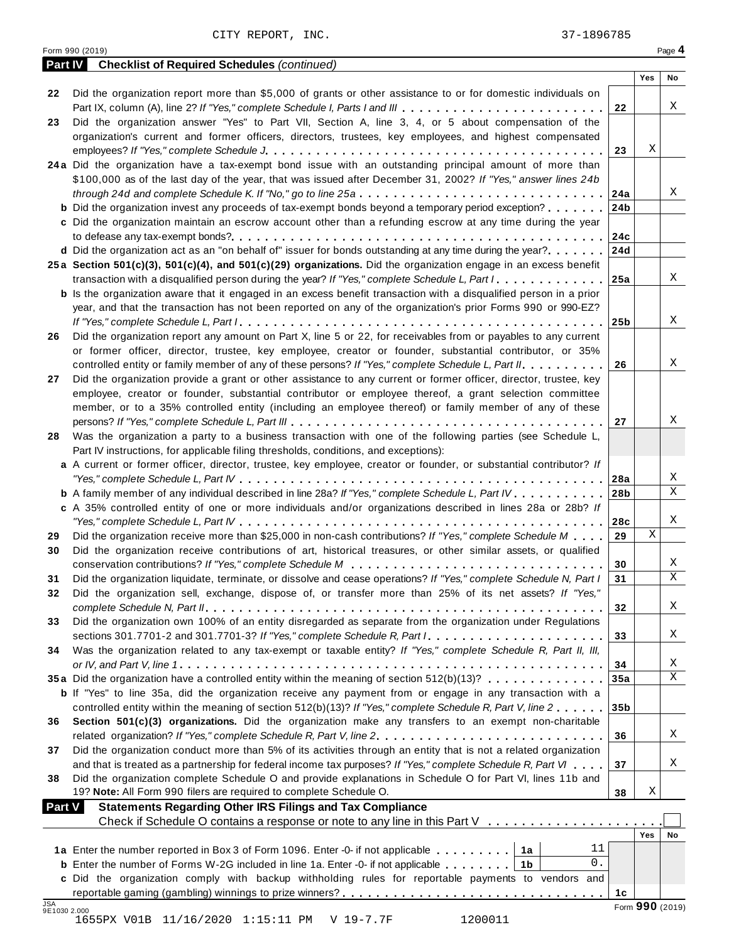|               | <b>Checklist of Required Schedules (continued)</b><br><b>Part IV</b>                                                      |                 |            |             |
|---------------|---------------------------------------------------------------------------------------------------------------------------|-----------------|------------|-------------|
| 22            | Did the organization report more than \$5,000 of grants or other assistance to or for domestic individuals on             |                 | Yes        | No          |
|               | Part IX, column (A), line 2? If "Yes," complete Schedule I, Parts I and III                                               | 22              |            | Χ           |
| 23            | Did the organization answer "Yes" to Part VII, Section A, line 3, 4, or 5 about compensation of the                       |                 |            |             |
|               | organization's current and former officers, directors, trustees, key employees, and highest compensated                   |                 |            |             |
|               |                                                                                                                           | 23              | Χ          |             |
|               | 24a Did the organization have a tax-exempt bond issue with an outstanding principal amount of more than                   |                 |            |             |
|               | \$100,000 as of the last day of the year, that was issued after December 31, 2002? If "Yes," answer lines 24b             |                 |            |             |
|               |                                                                                                                           | 24a             |            | Χ           |
|               | <b>b</b> Did the organization invest any proceeds of tax-exempt bonds beyond a temporary period exception?                | 24 <sub>b</sub> |            |             |
|               | c Did the organization maintain an escrow account other than a refunding escrow at any time during the year               |                 |            |             |
|               |                                                                                                                           | 24c             |            |             |
|               | <b>d</b> Did the organization act as an "on behalf of" issuer for bonds outstanding at any time during the year?          | 24d             |            |             |
|               | 25a Section 501(c)(3), 501(c)(4), and 501(c)(29) organizations. Did the organization engage in an excess benefit          |                 |            |             |
|               | transaction with a disqualified person during the year? If "Yes," complete Schedule L, Part I.                            | 25a             |            | X           |
|               | <b>b</b> Is the organization aware that it engaged in an excess benefit transaction with a disqualified person in a prior |                 |            |             |
|               | year, and that the transaction has not been reported on any of the organization's prior Forms 990 or 990-EZ?              |                 |            |             |
|               |                                                                                                                           | 25 <sub>b</sub> |            | Χ           |
| 26            | Did the organization report any amount on Part X, line 5 or 22, for receivables from or payables to any current           |                 |            |             |
|               | or former officer, director, trustee, key employee, creator or founder, substantial contributor, or 35%                   |                 |            |             |
|               | controlled entity or family member of any of these persons? If "Yes," complete Schedule L, Part II.                       | 26              |            | Χ           |
| 27            | Did the organization provide a grant or other assistance to any current or former officer, director, trustee, key         |                 |            |             |
|               | employee, creator or founder, substantial contributor or employee thereof, a grant selection committee                    |                 |            |             |
|               | member, or to a 35% controlled entity (including an employee thereof) or family member of any of these                    |                 |            |             |
|               |                                                                                                                           | 27              |            | Χ           |
| 28            | Was the organization a party to a business transaction with one of the following parties (see Schedule L,                 |                 |            |             |
|               | Part IV instructions, for applicable filing thresholds, conditions, and exceptions):                                      |                 |            |             |
|               | a A current or former officer, director, trustee, key employee, creator or founder, or substantial contributor? If        |                 |            |             |
|               |                                                                                                                           | 28a             |            | Χ           |
|               | <b>b</b> A family member of any individual described in line 28a? If "Yes," complete Schedule L, Part IV.                 | 28 <sub>b</sub> |            | $\mathbf X$ |
|               | c A 35% controlled entity of one or more individuals and/or organizations described in lines 28a or 28b? If               |                 |            |             |
|               |                                                                                                                           | 28c             |            | Χ           |
| 29            | Did the organization receive more than \$25,000 in non-cash contributions? If "Yes," complete Schedule M $\ldots$         | 29              | X          |             |
| 30            | Did the organization receive contributions of art, historical treasures, or other similar assets, or qualified            |                 |            |             |
|               |                                                                                                                           | 30              |            | Χ           |
| 31            | Did the organization liquidate, terminate, or dissolve and cease operations? If "Yes," complete Schedule N, Part I        | 31              |            | $\mathbf X$ |
| 32            | Did the organization sell, exchange, dispose of, or transfer more than 25% of its net assets? If "Yes,"                   |                 |            |             |
|               |                                                                                                                           | 32              |            | Χ           |
| 33            | Did the organization own 100% of an entity disregarded as separate from the organization under Regulations                |                 |            |             |
|               | sections 301.7701-2 and 301.7701-3? If "Yes," complete Schedule R, Part /                                                 | 33              |            | X           |
| 34            | Was the organization related to any tax-exempt or taxable entity? If "Yes," complete Schedule R, Part II, III,            |                 |            |             |
|               |                                                                                                                           | 34              |            | Χ           |
|               | 35a Did the organization have a controlled entity within the meaning of section 512(b)(13)?                               | 35a             |            | $\mathbf X$ |
|               | <b>b</b> If "Yes" to line 35a, did the organization receive any payment from or engage in any transaction with a          |                 |            |             |
|               | controlled entity within the meaning of section 512(b)(13)? If "Yes," complete Schedule R, Part V, line 2                 | 35 <sub>b</sub> |            |             |
| 36            | Section 501(c)(3) organizations. Did the organization make any transfers to an exempt non-charitable                      |                 |            |             |
|               |                                                                                                                           | 36              |            | Χ           |
| 37            | Did the organization conduct more than 5% of its activities through an entity that is not a related organization          |                 |            |             |
|               | and that is treated as a partnership for federal income tax purposes? If "Yes," complete Schedule R, Part VI              | 37              |            | Χ           |
| 38            | Did the organization complete Schedule O and provide explanations in Schedule O for Part VI, lines 11b and                |                 |            |             |
|               | 19? Note: All Form 990 filers are required to complete Schedule O.                                                        | 38              | Χ          |             |
| <b>Part V</b> | <b>Statements Regarding Other IRS Filings and Tax Compliance</b>                                                          |                 |            |             |
|               | Check if Schedule O contains a response or note to any line in this Part V                                                |                 | <b>Yes</b> | No          |
|               | 11                                                                                                                        |                 |            |             |
|               | 1a Enter the number reported in Box 3 of Form 1096. Enter -0- if not applicable   1a<br>0.                                |                 |            |             |
|               | <b>b</b> Enter the number of Forms W-2G included in line 1a. Enter -0- if not applicable $\ldots \ldots$ ,                |                 |            |             |
|               |                                                                                                                           |                 |            |             |
|               | c Did the organization comply with backup withholding rules for reportable payments to vendors and                        | 1с              |            |             |

Form <sup>990</sup> (2019) Page **4**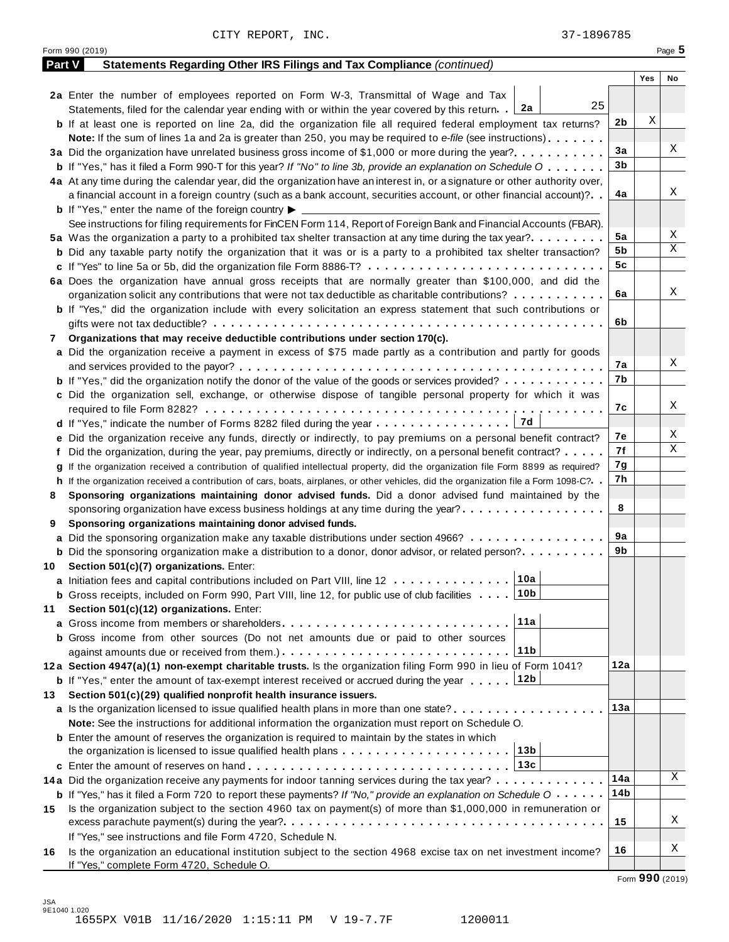|    | Form 990 (2019)                                                                                                                              |     |     | Page 5 |
|----|----------------------------------------------------------------------------------------------------------------------------------------------|-----|-----|--------|
|    | Part V<br>Statements Regarding Other IRS Filings and Tax Compliance (continued)                                                              |     |     |        |
|    |                                                                                                                                              |     | Yes | No     |
|    | 2a Enter the number of employees reported on Form W-3, Transmittal of Wage and Tax                                                           |     |     |        |
|    | 25<br>Statements, filed for the calendar year ending with or within the year covered by this return. 2a                                      |     |     |        |
|    | <b>b</b> If at least one is reported on line 2a, did the organization file all required federal employment tax returns?                      | 2b  | Χ   |        |
|    | <b>Note:</b> If the sum of lines 1a and 2a is greater than 250, you may be required to e-file (see instructions).                            |     |     |        |
|    | 3a Did the organization have unrelated business gross income of \$1,000 or more during the year?                                             | 3a  |     | Χ      |
|    | <b>b</b> If "Yes," has it filed a Form 990-T for this year? If "No" to line 3b, provide an explanation on Schedule O                         | 3b  |     |        |
|    | 4a At any time during the calendar year, did the organization have an interest in, or a signature or other authority over,                   |     |     |        |
|    | a financial account in a foreign country (such as a bank account, securities account, or other financial account)?                           | 4a  |     | Χ      |
|    | <b>b</b> If "Yes," enter the name of the foreign country $\blacktriangleright$                                                               |     |     |        |
|    | See instructions for filing requirements for FinCEN Form 114, Report of Foreign Bank and Financial Accounts (FBAR).                          |     |     |        |
|    | 5a Was the organization a party to a prohibited tax shelter transaction at any time during the tax year?                                     | 5a  |     | Χ      |
|    | <b>b</b> Did any taxable party notify the organization that it was or is a party to a prohibited tax shelter transaction?                    | 5b  |     | Χ      |
|    |                                                                                                                                              | 5c  |     |        |
|    | 6a Does the organization have annual gross receipts that are normally greater than \$100,000, and did the                                    |     |     |        |
|    | organization solicit any contributions that were not tax deductible as charitable contributions?                                             | 6a  |     | Χ      |
|    |                                                                                                                                              |     |     |        |
|    | <b>b</b> If "Yes," did the organization include with every solicitation an express statement that such contributions or                      | 6b  |     |        |
|    |                                                                                                                                              |     |     |        |
| 7  | Organizations that may receive deductible contributions under section 170(c).                                                                |     |     |        |
|    | a Did the organization receive a payment in excess of \$75 made partly as a contribution and partly for goods                                |     |     | Χ      |
|    |                                                                                                                                              | 7a  |     |        |
|    | <b>b</b> If "Yes," did the organization notify the donor of the value of the goods or services provided?                                     | 7b  |     |        |
|    | c Did the organization sell, exchange, or otherwise dispose of tangible personal property for which it was                                   |     |     |        |
|    |                                                                                                                                              | 7с  |     | X      |
|    |                                                                                                                                              |     |     |        |
|    | e Did the organization receive any funds, directly or indirectly, to pay premiums on a personal benefit contract?                            | 7е  |     | Χ      |
|    | Did the organization, during the year, pay premiums, directly or indirectly, on a personal benefit contract?                                 | 7f  |     | Χ      |
|    | g If the organization received a contribution of qualified intellectual property, did the organization file Form 8899 as required?           | 7g  |     |        |
|    | h If the organization received a contribution of cars, boats, airplanes, or other vehicles, did the organization file a Form 1098-C?         | 7h  |     |        |
| 8  | Sponsoring organizations maintaining donor advised funds. Did a donor advised fund maintained by the                                         |     |     |        |
|    | sponsoring organization have excess business holdings at any time during the year?                                                           | 8   |     |        |
| 9  | Sponsoring organizations maintaining donor advised funds.                                                                                    |     |     |        |
|    | a Did the sponsoring organization make any taxable distributions under section 4966?                                                         | 9a  |     |        |
|    | <b>b</b> Did the sponsoring organization make a distribution to a donor, donor advisor, or related person?                                   | 9b  |     |        |
| 10 | Section 501(c)(7) organizations. Enter:                                                                                                      |     |     |        |
|    | 10a <br>a Initiation fees and capital contributions included on Part VIII, line 12                                                           |     |     |        |
|    | <b>b</b> Gross receipts, included on Form 990, Part VIII, line 12, for public use of club facilities 10b                                     |     |     |        |
| 11 | Section 501(c)(12) organizations. Enter:                                                                                                     |     |     |        |
|    | 11a<br><b>a</b> Gross income from members or shareholders                                                                                    |     |     |        |
|    | <b>b</b> Gross income from other sources (Do not net amounts due or paid to other sources                                                    |     |     |        |
|    | 11 <sub>b</sub>                                                                                                                              |     |     |        |
|    | 12a Section 4947(a)(1) non-exempt charitable trusts. Is the organization filing Form 990 in lieu of Form 1041?                               | 12a |     |        |
|    | <b>b</b> If "Yes," enter the amount of tax-exempt interest received or accrued during the year $\ldots$ [12b                                 |     |     |        |
| 13 | Section 501(c)(29) qualified nonprofit health insurance issuers.                                                                             |     |     |        |
|    | a Is the organization licensed to issue qualified health plans in more than one state?                                                       | 13а |     |        |
|    | Note: See the instructions for additional information the organization must report on Schedule O.                                            |     |     |        |
|    |                                                                                                                                              |     |     |        |
|    | <b>b</b> Enter the amount of reserves the organization is required to maintain by the states in which                                        |     |     |        |
|    |                                                                                                                                              |     |     |        |
|    |                                                                                                                                              |     |     | Χ      |
|    | 14a Did the organization receive any payments for indoor tanning services during the tax year?                                               | 14a |     |        |
|    | <b>b</b> If "Yes," has it filed a Form 720 to report these payments? If "No," provide an explanation on Schedule $0 \cdot \cdot \cdot \cdot$ | 14b |     |        |
| 15 | Is the organization subject to the section 4960 tax on payment(s) of more than \$1,000,000 in remuneration or                                |     |     |        |
|    |                                                                                                                                              | 15  |     | Χ      |
|    | If "Yes," see instructions and file Form 4720, Schedule N.                                                                                   |     |     |        |
| 16 | Is the organization an educational institution subject to the section 4968 excise tax on net investment income?                              | 16  |     | Χ      |
|    | If "Yes," complete Form 4720, Schedule O.                                                                                                    |     |     |        |

Form **990** (2019)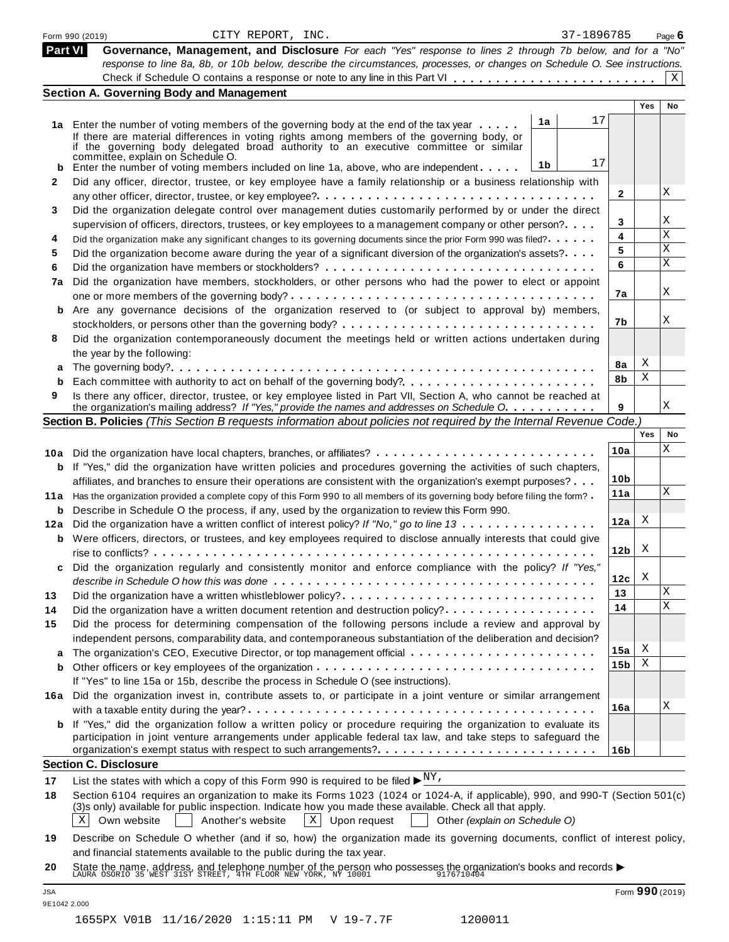|              | 37-1896785<br>CITY REPORT, INC.<br>Form 990 (2019)                                                                                                                                                                                                                                                                                     |                 |            | Page $6$        |
|--------------|----------------------------------------------------------------------------------------------------------------------------------------------------------------------------------------------------------------------------------------------------------------------------------------------------------------------------------------|-----------------|------------|-----------------|
| Part VI      | Governance, Management, and Disclosure For each "Yes" response to lines 2 through 7b below, and for a "No"<br>response to line 8a, 8b, or 10b below, describe the circumstances, processes, or changes on Schedule O. See instructions.                                                                                                |                 |            | $\mathbf{x}$    |
|              | <b>Section A. Governing Body and Management</b>                                                                                                                                                                                                                                                                                        |                 |            |                 |
|              |                                                                                                                                                                                                                                                                                                                                        |                 | <b>Yes</b> | No              |
|              | 17<br>1a                                                                                                                                                                                                                                                                                                                               |                 |            |                 |
|              | 1a Enter the number of voting members of the governing body at the end of the tax year<br>If there are material differences in voting rights among members of the governing body, or                                                                                                                                                   |                 |            |                 |
|              | if the governing body delegated broad authority to an executive committee or similar                                                                                                                                                                                                                                                   |                 |            |                 |
|              | committée, explain on Schedule O.<br>17<br>1b                                                                                                                                                                                                                                                                                          |                 |            |                 |
| b            | Enter the number of voting members included on line 1a, above, who are independent                                                                                                                                                                                                                                                     |                 |            |                 |
| $\mathbf{2}$ | Did any officer, director, trustee, or key employee have a family relationship or a business relationship with                                                                                                                                                                                                                         | $\mathbf{2}$    |            | Χ               |
|              |                                                                                                                                                                                                                                                                                                                                        |                 |            |                 |
| 3            | Did the organization delegate control over management duties customarily performed by or under the direct                                                                                                                                                                                                                              | 3               |            | Χ               |
|              | supervision of officers, directors, trustees, or key employees to a management company or other person?                                                                                                                                                                                                                                | 4               |            | X               |
| 4            | Did the organization make any significant changes to its governing documents since the prior Form 990 was filed?                                                                                                                                                                                                                       | 5               |            | X               |
| 5            | Did the organization become aware during the year of a significant diversion of the organization's assets?                                                                                                                                                                                                                             | 6               |            | X               |
| 6            |                                                                                                                                                                                                                                                                                                                                        |                 |            |                 |
| 7a           | Did the organization have members, stockholders, or other persons who had the power to elect or appoint                                                                                                                                                                                                                                | 7a              |            | Χ               |
|              |                                                                                                                                                                                                                                                                                                                                        |                 |            |                 |
|              | b Are any governance decisions of the organization reserved to (or subject to approval by) members,                                                                                                                                                                                                                                    | 7b              |            | Χ               |
|              |                                                                                                                                                                                                                                                                                                                                        |                 |            |                 |
| 8            | Did the organization contemporaneously document the meetings held or written actions undertaken during                                                                                                                                                                                                                                 |                 |            |                 |
|              | the year by the following:                                                                                                                                                                                                                                                                                                             | 8a              | Χ          |                 |
| a            |                                                                                                                                                                                                                                                                                                                                        | 8b              | Χ          |                 |
| b            | Each committee with authority to act on behalf of the governing body?                                                                                                                                                                                                                                                                  |                 |            |                 |
| 9            | Is there any officer, director, trustee, or key employee listed in Part VII, Section A, who cannot be reached at<br>the organization's mailing address? If "Yes," provide the names and addresses on Schedule O.                                                                                                                       | 9               |            | X               |
|              | Section B. Policies (This Section B requests information about policies not required by the Internal Revenue Code.)                                                                                                                                                                                                                    |                 |            |                 |
|              |                                                                                                                                                                                                                                                                                                                                        |                 | Yes        | No              |
|              |                                                                                                                                                                                                                                                                                                                                        | 10a             |            | X               |
|              |                                                                                                                                                                                                                                                                                                                                        |                 |            |                 |
|              | <b>b</b> If "Yes," did the organization have written policies and procedures governing the activities of such chapters,                                                                                                                                                                                                                | 10 <sub>b</sub> |            |                 |
|              | affiliates, and branches to ensure their operations are consistent with the organization's exempt purposes?                                                                                                                                                                                                                            | 11a             |            | X               |
|              | 11a Has the organization provided a complete copy of this Form 990 to all members of its governing body before filing the form?                                                                                                                                                                                                        |                 |            |                 |
|              | <b>b</b> Describe in Schedule O the process, if any, used by the organization to review this Form 990.                                                                                                                                                                                                                                 | 12a             | Χ          |                 |
|              | 12a Did the organization have a written conflict of interest policy? If "No," go to line 13                                                                                                                                                                                                                                            |                 |            |                 |
|              | <b>b</b> Were officers, directors, or trustees, and key employees required to disclose annually interests that could give                                                                                                                                                                                                              | 12 <sub>b</sub> | X          |                 |
|              |                                                                                                                                                                                                                                                                                                                                        |                 |            |                 |
| c            | Did the organization regularly and consistently monitor and enforce compliance with the policy? If "Yes,"                                                                                                                                                                                                                              |                 | X          |                 |
|              |                                                                                                                                                                                                                                                                                                                                        | 12c             |            | Χ               |
| 13           | Did the organization have a written whistleblower policy?                                                                                                                                                                                                                                                                              | 13              |            | X               |
| 14           | Did the organization have a written document retention and destruction policy?                                                                                                                                                                                                                                                         | 14              |            |                 |
| 15           | Did the process for determining compensation of the following persons include a review and approval by                                                                                                                                                                                                                                 |                 |            |                 |
|              | independent persons, comparability data, and contemporaneous substantiation of the deliberation and decision?                                                                                                                                                                                                                          |                 | х          |                 |
| а            |                                                                                                                                                                                                                                                                                                                                        | 15a             |            |                 |
| b            |                                                                                                                                                                                                                                                                                                                                        | 15 <sub>b</sub> | Χ          |                 |
|              | If "Yes" to line 15a or 15b, describe the process in Schedule O (see instructions).                                                                                                                                                                                                                                                    |                 |            |                 |
|              | 16a Did the organization invest in, contribute assets to, or participate in a joint venture or similar arrangement                                                                                                                                                                                                                     |                 |            | Χ               |
|              |                                                                                                                                                                                                                                                                                                                                        | 16a             |            |                 |
|              | <b>b</b> If "Yes," did the organization follow a written policy or procedure requiring the organization to evaluate its                                                                                                                                                                                                                |                 |            |                 |
|              | participation in joint venture arrangements under applicable federal tax law, and take steps to safeguard the                                                                                                                                                                                                                          |                 |            |                 |
|              |                                                                                                                                                                                                                                                                                                                                        | 16b             |            |                 |
|              | <b>Section C. Disclosure</b>                                                                                                                                                                                                                                                                                                           |                 |            |                 |
| 17           | List the states with which a copy of this Form 990 is required to be filed $\blacktriangleright^{\text{NY}}$ .                                                                                                                                                                                                                         |                 |            |                 |
| 18           | Section 6104 requires an organization to make its Forms 1023 (1024 or 1024-A, if applicable), 990, and 990-T (Section 501(c)<br>(3)s only) available for public inspection. Indicate how you made these available. Check all that apply.<br>X<br>Own website<br>$X$ Upon request<br>Another's website<br>Other (explain on Schedule O) |                 |            |                 |
| 19           | Describe on Schedule O whether (and if so, how) the organization made its governing documents, conflict of interest policy,<br>and financial statements available to the public during the tax year.                                                                                                                                   |                 |            |                 |
| 20           | State the name, address, and telephone number of the person who possesses the organization's books and records<br>LAURA OSORIO 35 WEST 31ST STREET, 4TH FLOOR NEW YORK, NY 10001 9176710404                                                                                                                                            |                 |            |                 |
| JSA          | 9E1042 2.000                                                                                                                                                                                                                                                                                                                           |                 |            | Form 990 (2019) |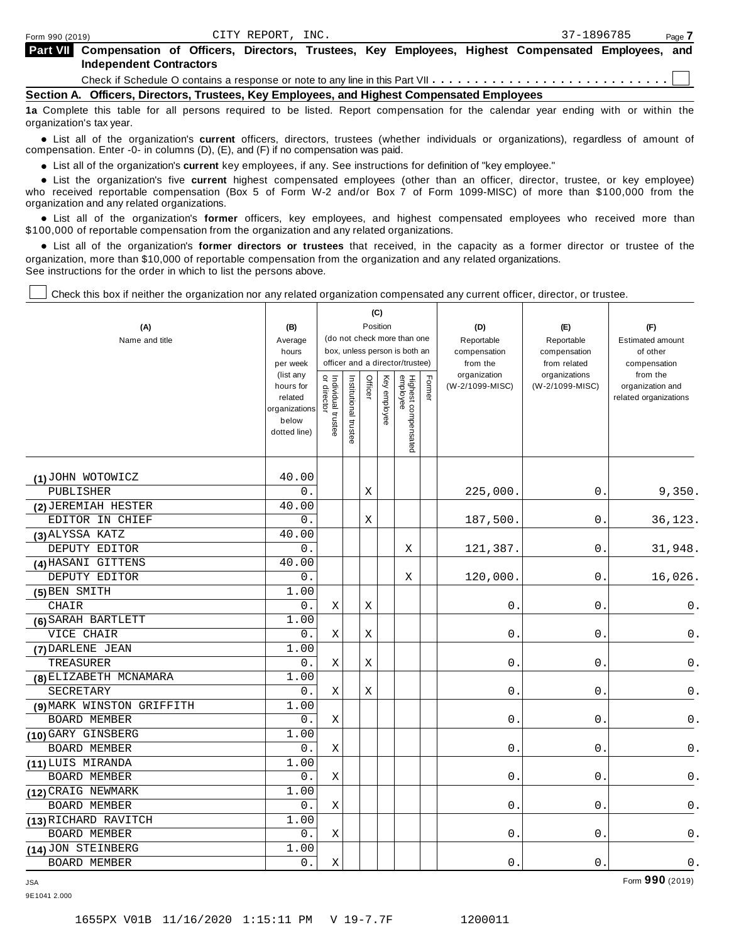**Compensation of Officers, Directors, Trustees, Key Employees, Highest Compensated Employees, and Part VII Independent Contractors**

Check if Schedule O contains a response or note to any line in this Part VII  $\cdots \cdots \cdots \cdots \cdots \cdots \cdots \cdots \cdots$ 

**Section A. Officers, Directors, Trustees, Key Employees, and Highest Compensated Employees**

**1a** Complete this table for all persons required to be listed. Report compensation for the calendar year ending with or within the organization's tax year.

anization's lax year.<br>● List all of the organization's **current** officers, directors, trustees (whether individuals or organizations), regardless of amount of<br>nnensation Enter -0- in columns (D) (E) and (E) if no compensa compensation. Enter -0- in columns (D), (E), and (F) if no compensation was paid.

**■** List all of the organization's **current** key employees, if any. See instructions for definition of "key employee."<br>■ List the experientials five event highert expressed employees (other than an efficer director of

**Example in the organization's current** key employees, if any. See instructions for definition of key employee.<br>• List the organization's five **current** highest compensated employees (other than an officer, director, trust who received reportable compensation (Box 5 of Form W-2 and/or Box 7 of Form 1099-MISC) of more than \$100,000 from the

organization and any related organizations.<br>• List all of the organization's **former** officers, key employees, and highest compensated employees who received more than<br>\$1.00.000 of reportable componention from the erganiza \$100,000 of reportable compensation from the organization and any related organizations.

% List all of the organization's **former directors or trustees** that received, in the capacity as a former director or trustee of the organization, more than \$10,000 of reportable compensation from the organization and any related organizations. See instructions for the order in which to list the persons above.

Т

Check this box if neither the organization nor any related organization compensated any current officer, director, or trustee.

Τ

|                           |                        |                                   |                                                                  | (C)         |          |                                 |        |                          |                               |                          |
|---------------------------|------------------------|-----------------------------------|------------------------------------------------------------------|-------------|----------|---------------------------------|--------|--------------------------|-------------------------------|--------------------------|
| (A)                       | Position<br>(B)        |                                   |                                                                  |             |          |                                 |        | (D)                      | (E)                           | (F)                      |
| Name and title            | Average                | (do not check more than one       |                                                                  |             |          |                                 |        | Reportable               | Reportable                    | <b>Estimated amount</b>  |
|                           | hours                  |                                   | box, unless person is both an<br>officer and a director/trustee) |             |          |                                 |        | compensation             | compensation                  | of other                 |
|                           | per week<br>(list any  |                                   |                                                                  |             |          |                                 |        | from the<br>organization | from related<br>organizations | compensation<br>from the |
|                           | hours for              | Individual trustee<br>or director | nstitutional trustee                                             | Officer     | Key      |                                 | Former | (W-2/1099-MISC)          | (W-2/1099-MISC)               | organization and         |
|                           | related                |                                   |                                                                  |             | employee |                                 |        |                          |                               | related organizations    |
|                           | organizations<br>below |                                   |                                                                  |             |          |                                 |        |                          |                               |                          |
|                           | dotted line)           |                                   |                                                                  |             |          |                                 |        |                          |                               |                          |
|                           |                        |                                   |                                                                  |             |          | Highest compensated<br>employee |        |                          |                               |                          |
|                           |                        |                                   |                                                                  |             |          |                                 |        |                          |                               |                          |
| (1) JOHN WOTOWICZ         | 40.00                  |                                   |                                                                  |             |          |                                 |        |                          |                               |                          |
| PUBLISHER                 | 0.                     |                                   |                                                                  | $\mathbf X$ |          |                                 |        | 225,000.                 | 0                             | 9,350.                   |
| (2) JEREMIAH HESTER       | 40.00                  |                                   |                                                                  |             |          |                                 |        |                          |                               |                          |
| EDITOR IN CHIEF           | 0.                     |                                   |                                                                  | Χ           |          |                                 |        | 187,500.                 | 0                             | 36,123.                  |
| (3) ALYSSA KATZ           | 40.00                  |                                   |                                                                  |             |          |                                 |        |                          |                               |                          |
| DEPUTY EDITOR             | 0.                     |                                   |                                                                  |             |          | Χ                               |        | 121,387.                 | $\mathsf 0$ .                 | 31,948.                  |
| (4) HASANI GITTENS        | 40.00                  |                                   |                                                                  |             |          |                                 |        |                          |                               |                          |
| DEPUTY EDITOR             | 0.                     |                                   |                                                                  |             |          | Χ                               |        | 120,000.                 | $0$ .                         | 16,026.                  |
| (5) BEN SMITH             | 1.00                   |                                   |                                                                  |             |          |                                 |        |                          |                               |                          |
| CHAIR                     | 0.                     | Χ                                 |                                                                  | X           |          |                                 |        | 0                        | 0                             | 0.                       |
| (6) SARAH BARTLETT        | 1.00                   |                                   |                                                                  |             |          |                                 |        |                          |                               |                          |
| VICE CHAIR                | 0.                     | X                                 |                                                                  | $\mathbf X$ |          |                                 |        | 0                        | 0                             | $\mathsf 0$ .            |
| (7) DARLENE JEAN          | 1.00                   |                                   |                                                                  |             |          |                                 |        |                          |                               |                          |
| TREASURER                 | 0.                     | Χ                                 |                                                                  | Χ           |          |                                 |        | 0                        | 0                             | 0.                       |
| (8) ELIZABETH MCNAMARA    | 1.00                   |                                   |                                                                  |             |          |                                 |        |                          |                               |                          |
| SECRETARY                 | 0.                     | Χ                                 |                                                                  | Χ           |          |                                 |        | $0$ .                    | $0$ .                         | 0.                       |
| (9) MARK WINSTON GRIFFITH | 1.00                   |                                   |                                                                  |             |          |                                 |        |                          |                               |                          |
| <b>BOARD MEMBER</b>       | $0$ .                  | Χ                                 |                                                                  |             |          |                                 |        | 0                        | 0                             | 0.                       |
| (10) GARY GINSBERG        | 1.00                   |                                   |                                                                  |             |          |                                 |        |                          |                               |                          |
| BOARD MEMBER              | 0.                     | Χ                                 |                                                                  |             |          |                                 |        | 0                        | 0                             | 0.                       |
| (11) LUIS MIRANDA         | 1.00                   |                                   |                                                                  |             |          |                                 |        |                          |                               |                          |
| <b>BOARD MEMBER</b>       | 0.                     | X                                 |                                                                  |             |          |                                 |        | 0                        | 0                             | $\mathsf 0$ .            |
| (12) CRAIG NEWMARK        | 1.00                   |                                   |                                                                  |             |          |                                 |        |                          |                               |                          |
| BOARD MEMBER              | 0.                     | $\mathbf X$                       |                                                                  |             |          |                                 |        | 0                        | 0                             | $\mathsf{0}$ .           |
| (13) RICHARD RAVITCH      | 1.00                   |                                   |                                                                  |             |          |                                 |        |                          |                               |                          |
| <b>BOARD MEMBER</b>       | 0.                     | Χ                                 |                                                                  |             |          |                                 |        | 0.                       | $0$ .                         | $\mathsf 0$ .            |
| (14) JON STEINBERG        | 1.00                   |                                   |                                                                  |             |          |                                 |        |                          |                               |                          |
| BOARD MEMBER              | $0$ .                  | Χ                                 |                                                                  |             |          |                                 |        | 0                        | 0                             | 0.                       |

JSA Form **990** (2019) 9E1041 2.000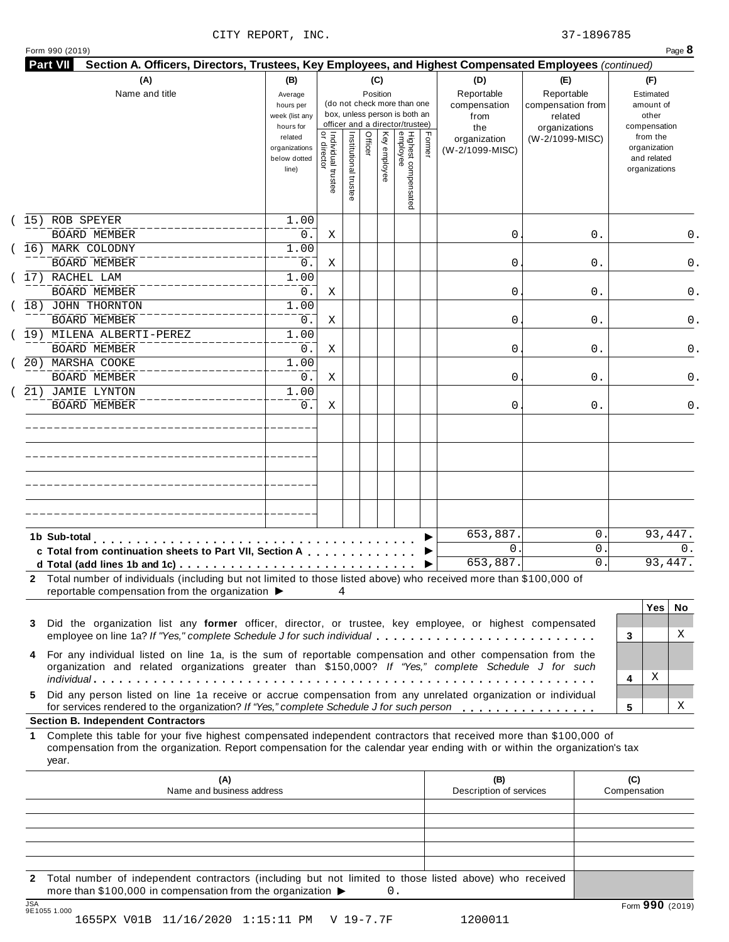| Form 990 (2019) |  |  |
|-----------------|--|--|

| (A)<br>Name and title                                                                                                                                                                                                                                          | (B)<br>Average<br>hours per<br>week (list any<br>hours for |                                     |                       | (C)<br>Position |              | (do not check more than one<br>box, unless person is both an<br>officer and a director/trustee) |        | (D)<br>Reportable<br>compensation<br>from<br>the | (E)<br>Reportable<br>compensation from<br>related<br>organizations | (F)<br>Estimated<br>amount of<br>other<br>compensation   |
|----------------------------------------------------------------------------------------------------------------------------------------------------------------------------------------------------------------------------------------------------------------|------------------------------------------------------------|-------------------------------------|-----------------------|-----------------|--------------|-------------------------------------------------------------------------------------------------|--------|--------------------------------------------------|--------------------------------------------------------------------|----------------------------------------------------------|
|                                                                                                                                                                                                                                                                | related<br>organizations<br>below dotted<br>line)          | Individual trustee<br>  or director | Institutional trustee | Officer         | Key employee | Highest compensated<br>employee                                                                 | Former | organization<br>(W-2/1099-MISC)                  | (W-2/1099-MISC)                                                    | from the<br>organization<br>and related<br>organizations |
| 15) ROB SPEYER                                                                                                                                                                                                                                                 | 1.00                                                       |                                     |                       |                 |              |                                                                                                 |        |                                                  |                                                                    |                                                          |
| <b>BOARD MEMBER</b>                                                                                                                                                                                                                                            | 0.                                                         | Χ                                   |                       |                 |              |                                                                                                 |        | 0                                                | 0.                                                                 | 0.                                                       |
| (16) MARK COLODNY                                                                                                                                                                                                                                              | 1.00                                                       |                                     |                       |                 |              |                                                                                                 |        |                                                  |                                                                    |                                                          |
| <b>BOARD MEMBER</b><br>17) RACHEL LAM                                                                                                                                                                                                                          | 0.<br>1.00                                                 | Χ                                   |                       |                 |              |                                                                                                 |        | 0                                                | 0.                                                                 | 0.                                                       |
| <b>BOARD MEMBER</b>                                                                                                                                                                                                                                            | 0.                                                         | Χ                                   |                       |                 |              |                                                                                                 |        | 0                                                | 0.                                                                 | 0.                                                       |
| 18) JOHN THORNTON                                                                                                                                                                                                                                              | 1.00                                                       |                                     |                       |                 |              |                                                                                                 |        |                                                  |                                                                    |                                                          |
| <b>BOARD MEMBER</b>                                                                                                                                                                                                                                            | 0.                                                         | Χ                                   |                       |                 |              |                                                                                                 |        | 0                                                | 0.                                                                 | 0.                                                       |
| 19) MILENA ALBERTI-PEREZ                                                                                                                                                                                                                                       | 1.00                                                       |                                     |                       |                 |              |                                                                                                 |        |                                                  |                                                                    |                                                          |
| <b>BOARD MEMBER</b>                                                                                                                                                                                                                                            | $0$ .                                                      | Χ                                   |                       |                 |              |                                                                                                 |        | 0                                                | 0.                                                                 | 0.                                                       |
| 20) MARSHA COOKE                                                                                                                                                                                                                                               | 1.00                                                       |                                     |                       |                 |              |                                                                                                 |        |                                                  |                                                                    |                                                          |
| <b>BOARD MEMBER</b>                                                                                                                                                                                                                                            | 0.                                                         | Χ                                   |                       |                 |              |                                                                                                 |        | 0                                                | 0.                                                                 | 0.                                                       |
| 21) JAMIE LYNTON                                                                                                                                                                                                                                               | 1.00                                                       |                                     |                       |                 |              |                                                                                                 |        |                                                  |                                                                    |                                                          |
| <b>BOARD MEMBER</b>                                                                                                                                                                                                                                            | 0.                                                         | Χ                                   |                       |                 |              |                                                                                                 |        | 0                                                | 0.                                                                 | 0.                                                       |
|                                                                                                                                                                                                                                                                |                                                            |                                     |                       |                 |              |                                                                                                 |        |                                                  |                                                                    |                                                          |
|                                                                                                                                                                                                                                                                |                                                            |                                     |                       |                 |              |                                                                                                 |        |                                                  |                                                                    |                                                          |
|                                                                                                                                                                                                                                                                |                                                            |                                     |                       |                 |              |                                                                                                 |        |                                                  |                                                                    |                                                          |
|                                                                                                                                                                                                                                                                |                                                            |                                     |                       |                 |              |                                                                                                 |        |                                                  |                                                                    |                                                          |
| 1b Sub-total                                                                                                                                                                                                                                                   |                                                            |                                     |                       |                 |              |                                                                                                 |        | 653,887.                                         | 0                                                                  | 93,447.                                                  |
| c Total from continuation sheets to Part VII, Section A                                                                                                                                                                                                        |                                                            |                                     |                       |                 |              |                                                                                                 |        | $\mathbf{0}$<br>653,887.                         | 0<br>0                                                             | 0.<br>93,447.                                            |
| 2 Total number of individuals (including but not limited to those listed above) who received more than \$100,000 of<br>reportable compensation from the organization ▶                                                                                         |                                                            |                                     | 4                     |                 |              |                                                                                                 |        |                                                  |                                                                    | <b>Yes</b><br>No.                                        |
| Did the organization list any former officer, director, or trustee, key employee, or highest compensated<br>3                                                                                                                                                  |                                                            |                                     |                       |                 |              |                                                                                                 |        |                                                  |                                                                    | X<br>3                                                   |
| employee on line 1a? If "Yes," complete Schedule J for such individual                                                                                                                                                                                         |                                                            |                                     |                       |                 |              |                                                                                                 |        |                                                  |                                                                    |                                                          |
| For any individual listed on line 1a, is the sum of reportable compensation and other compensation from the<br>organization and related organizations greater than \$150,000? If "Yes," complete Schedule J for such                                           |                                                            |                                     |                       |                 |              |                                                                                                 |        |                                                  |                                                                    | Χ<br>4                                                   |
| 4<br>Did any person listed on line 1a receive or accrue compensation from any unrelated organization or individual<br>5.<br>for services rendered to the organization? If "Yes," complete Schedule J for such person                                           |                                                            |                                     |                       |                 |              |                                                                                                 |        |                                                  |                                                                    | Χ<br>5                                                   |
| <b>Section B. Independent Contractors</b>                                                                                                                                                                                                                      |                                                            |                                     |                       |                 |              |                                                                                                 |        |                                                  |                                                                    |                                                          |
| Complete this table for your five highest compensated independent contractors that received more than \$100,000 of<br>1<br>compensation from the organization. Report compensation for the calendar year ending with or within the organization's tax<br>year. |                                                            |                                     |                       |                 |              |                                                                                                 |        |                                                  |                                                                    |                                                          |
|                                                                                                                                                                                                                                                                | (A)<br>Name and business address                           |                                     |                       |                 |              |                                                                                                 |        | (B)<br>Description of services                   |                                                                    | (C)<br>Compensation                                      |
|                                                                                                                                                                                                                                                                |                                                            |                                     |                       |                 |              |                                                                                                 |        |                                                  |                                                                    |                                                          |
|                                                                                                                                                                                                                                                                |                                                            |                                     |                       |                 |              |                                                                                                 |        |                                                  |                                                                    |                                                          |

JSA Form **990** (2019) 9E1055 1.000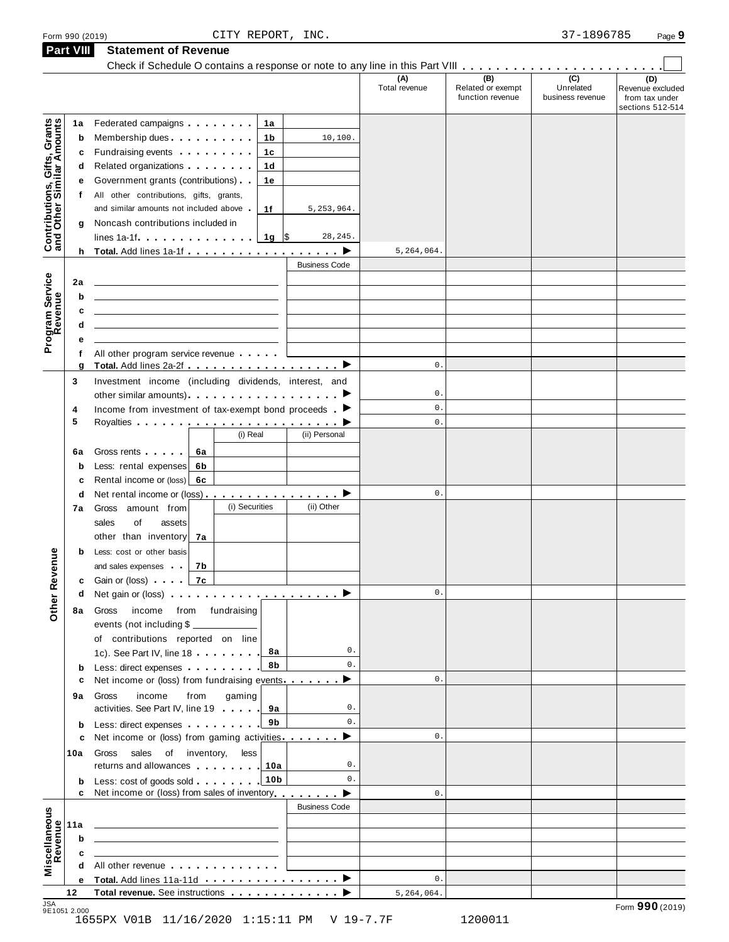|  | Form 990 (2019) |  |
|--|-----------------|--|
|  |                 |  |

**Part VIII Statement of Revenue**

|                                                           |        |                                                                                                                                                                                                                               |      |                                                  |                 |                      | (A)<br>Total revenue | (B)<br>Related or exempt<br>function revenue | (C)<br>Unrelated<br>business revenue | (D)<br>Revenue excluded<br>from tax under<br>sections 512-514 |
|-----------------------------------------------------------|--------|-------------------------------------------------------------------------------------------------------------------------------------------------------------------------------------------------------------------------------|------|--------------------------------------------------|-----------------|----------------------|----------------------|----------------------------------------------|--------------------------------------|---------------------------------------------------------------|
|                                                           | 1a     | Federated campaigns <b>Federated</b>                                                                                                                                                                                          |      |                                                  | 1а              |                      |                      |                                              |                                      |                                                               |
| Contributions, Gifts, Grants<br>and Other Similar Amounts | b      | Membership dues                                                                                                                                                                                                               |      |                                                  | 1b              | 10,100.              |                      |                                              |                                      |                                                               |
|                                                           | c      | Fundraising events <b>Fundraising</b>                                                                                                                                                                                         |      |                                                  | 1c              |                      |                      |                                              |                                      |                                                               |
|                                                           | d      |                                                                                                                                                                                                                               |      |                                                  | 1d              |                      |                      |                                              |                                      |                                                               |
|                                                           | е      | Government grants (contributions)                                                                                                                                                                                             |      |                                                  | 1е              |                      |                      |                                              |                                      |                                                               |
|                                                           | f      | All other contributions, gifts, grants,                                                                                                                                                                                       |      |                                                  |                 |                      |                      |                                              |                                      |                                                               |
|                                                           |        | and similar amounts not included above                                                                                                                                                                                        |      |                                                  | 1f              | 5, 253, 964.         |                      |                                              |                                      |                                                               |
|                                                           | g      | Noncash contributions included in                                                                                                                                                                                             |      |                                                  |                 |                      |                      |                                              |                                      |                                                               |
|                                                           |        | $lines 1a-1f$ $\ldots$ $\ldots$ $\ldots$                                                                                                                                                                                      |      |                                                  | 1g ∣\$          | 28, 245.             |                      |                                              |                                      |                                                               |
|                                                           |        |                                                                                                                                                                                                                               |      |                                                  |                 |                      | 5,264,064.           |                                              |                                      |                                                               |
|                                                           |        |                                                                                                                                                                                                                               |      |                                                  |                 | <b>Business Code</b> |                      |                                              |                                      |                                                               |
|                                                           |        |                                                                                                                                                                                                                               |      |                                                  |                 |                      |                      |                                              |                                      |                                                               |
|                                                           | 2a     |                                                                                                                                                                                                                               |      |                                                  |                 |                      |                      |                                              |                                      |                                                               |
|                                                           | b      |                                                                                                                                                                                                                               |      |                                                  |                 |                      |                      |                                              |                                      |                                                               |
|                                                           | c      |                                                                                                                                                                                                                               |      |                                                  |                 |                      |                      |                                              |                                      |                                                               |
|                                                           | d      |                                                                                                                                                                                                                               |      |                                                  |                 |                      |                      |                                              |                                      |                                                               |
| Program Service<br>Revenue                                | е      |                                                                                                                                                                                                                               |      |                                                  |                 |                      |                      |                                              |                                      |                                                               |
|                                                           | f<br>g | All other program service revenue<br>Total. Add lines 2a-2f ▶                                                                                                                                                                 |      |                                                  |                 |                      | 0.                   |                                              |                                      |                                                               |
|                                                           | 3      | Investment income (including dividends, interest, and                                                                                                                                                                         |      |                                                  |                 |                      |                      |                                              |                                      |                                                               |
|                                                           |        |                                                                                                                                                                                                                               |      |                                                  |                 |                      | 0.                   |                                              |                                      |                                                               |
|                                                           | 4      | Income from investment of tax-exempt bond proceeds $\blacktriangleright$                                                                                                                                                      |      |                                                  |                 |                      | $\mathbf{0}$ .       |                                              |                                      |                                                               |
|                                                           | 5      |                                                                                                                                                                                                                               |      |                                                  |                 |                      | $\mathbf{0}$ .       |                                              |                                      |                                                               |
|                                                           |        |                                                                                                                                                                                                                               |      | (i) Real                                         |                 | (ii) Personal        |                      |                                              |                                      |                                                               |
|                                                           |        |                                                                                                                                                                                                                               |      |                                                  |                 |                      |                      |                                              |                                      |                                                               |
|                                                           | 6a     | Gross rents <b>contains and a</b>                                                                                                                                                                                             | 6a   |                                                  |                 |                      |                      |                                              |                                      |                                                               |
|                                                           | b      | Less: rental expenses                                                                                                                                                                                                         | 6b   |                                                  |                 |                      |                      |                                              |                                      |                                                               |
|                                                           | c      | Rental income or (loss)                                                                                                                                                                                                       | 6с   |                                                  |                 |                      | 0.                   |                                              |                                      |                                                               |
|                                                           | d      | Net rental income or (loss) $\ldots$ , $\ldots$ , $\ldots$ , $\blacktriangleright$                                                                                                                                            |      | (i) Securities                                   |                 | (ii) Other           |                      |                                              |                                      |                                                               |
|                                                           | 7a     | amount from<br>Gross                                                                                                                                                                                                          |      |                                                  |                 |                      |                      |                                              |                                      |                                                               |
|                                                           |        | sales<br>of<br>assets                                                                                                                                                                                                         |      |                                                  |                 |                      |                      |                                              |                                      |                                                               |
|                                                           |        | other than inventory                                                                                                                                                                                                          | 7а   |                                                  |                 |                      |                      |                                              |                                      |                                                               |
|                                                           | b      | Less: cost or other basis                                                                                                                                                                                                     |      |                                                  |                 |                      |                      |                                              |                                      |                                                               |
| Revenue                                                   |        | and sales expenses                                                                                                                                                                                                            | 7b   |                                                  |                 |                      |                      |                                              |                                      |                                                               |
|                                                           | c      | Gain or (loss) <b>cannot</b>                                                                                                                                                                                                  | 7c   |                                                  |                 |                      | $\mathsf{0}$ .       |                                              |                                      |                                                               |
| Other                                                     | d      |                                                                                                                                                                                                                               |      |                                                  |                 |                      |                      |                                              |                                      |                                                               |
|                                                           | 8а     | income from fundraising<br>Gross                                                                                                                                                                                              |      |                                                  |                 |                      |                      |                                              |                                      |                                                               |
|                                                           |        | events (not including \$                                                                                                                                                                                                      |      |                                                  |                 |                      |                      |                                              |                                      |                                                               |
|                                                           |        | of contributions reported on line                                                                                                                                                                                             |      |                                                  |                 |                      |                      |                                              |                                      |                                                               |
|                                                           |        | 1c). See Part IV, line 18                                                                                                                                                                                                     |      |                                                  | 8а              | 0.                   |                      |                                              |                                      |                                                               |
|                                                           | b      | Less: direct expenses                                                                                                                                                                                                         |      |                                                  | 8b              | 0.                   |                      |                                              |                                      |                                                               |
|                                                           | c      | Net income or (loss) from fundraising events ▶                                                                                                                                                                                |      |                                                  |                 |                      | $\mathbf 0$ .        |                                              |                                      |                                                               |
|                                                           | 9а     | income<br>Gross                                                                                                                                                                                                               | from | gaming                                           |                 |                      |                      |                                              |                                      |                                                               |
|                                                           |        | activities. See Part IV, line 19                                                                                                                                                                                              |      |                                                  | 9а              | 0.                   |                      |                                              |                                      |                                                               |
|                                                           | b      | Less: direct expenses                                                                                                                                                                                                         |      |                                                  | 9b              | 0.                   |                      |                                              |                                      |                                                               |
|                                                           | c      | Net income or (loss) from gaming activities ▶                                                                                                                                                                                 |      |                                                  |                 |                      | $0$ .                |                                              |                                      |                                                               |
|                                                           | 10a    | Gross sales of inventory,                                                                                                                                                                                                     |      | less                                             |                 |                      |                      |                                              |                                      |                                                               |
|                                                           |        | returns and allowances 100                                                                                                                                                                                                    |      |                                                  |                 | 0.                   |                      |                                              |                                      |                                                               |
|                                                           | b      | Less: cost of goods sold                                                                                                                                                                                                      |      |                                                  | 10 <sub>b</sub> | 0.                   |                      |                                              |                                      |                                                               |
|                                                           | c      | Net income or (loss) from sales of inventory                                                                                                                                                                                  |      |                                                  |                 |                      | 0.                   |                                              |                                      |                                                               |
|                                                           |        |                                                                                                                                                                                                                               |      |                                                  |                 | <b>Business Code</b> |                      |                                              |                                      |                                                               |
|                                                           | 11a    | <u> 1989 - John Stein, mars and de Britain and de Britain and de Britain and de Britain and de Britain and de Br</u>                                                                                                          |      |                                                  |                 |                      |                      |                                              |                                      |                                                               |
|                                                           | b      | the contract of the contract of the contract of the contract of the contract of the contract of the contract of                                                                                                               |      |                                                  |                 |                      |                      |                                              |                                      |                                                               |
|                                                           | c      |                                                                                                                                                                                                                               |      | the control of the control of the control of the |                 |                      |                      |                                              |                                      |                                                               |
| Miscellaneous<br>Revenue                                  | d      | All other revenue example and the state of the state of the state of the state of the state of the state of the state of the state of the state of the state of the state of the state of the state of the state of the state |      |                                                  |                 |                      |                      |                                              |                                      |                                                               |
|                                                           | е      |                                                                                                                                                                                                                               |      |                                                  |                 |                      | 0.                   |                                              |                                      |                                                               |
|                                                           | 12     |                                                                                                                                                                                                                               |      |                                                  |                 |                      | 5,264,064.           |                                              |                                      |                                                               |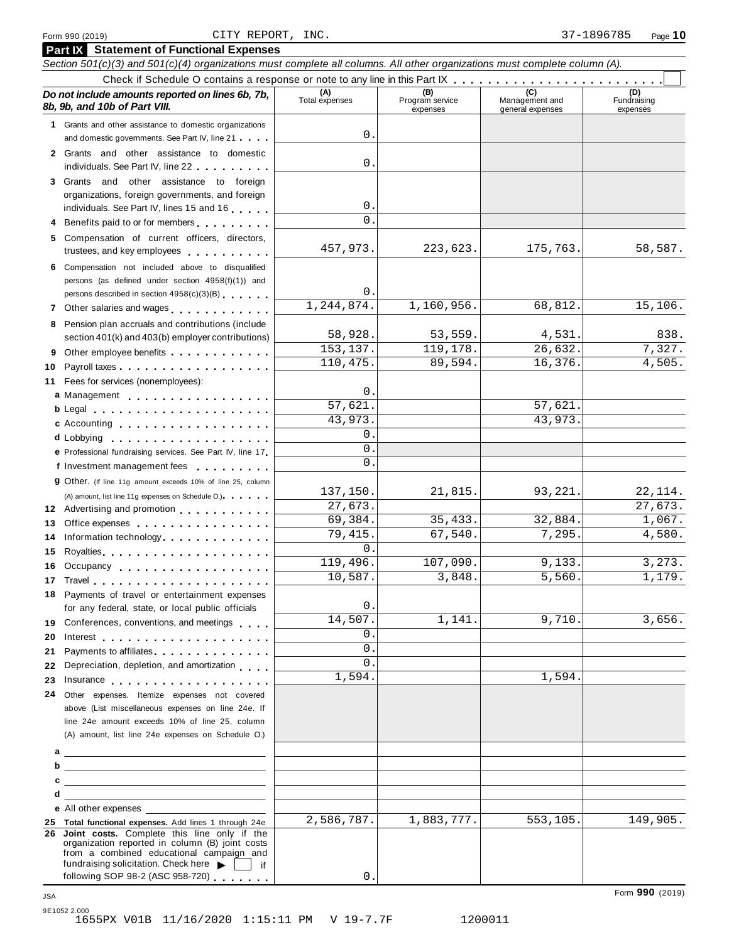|         | Section 501(c)(3) and 501(c)(4) organizations must complete all columns. All other organizations must complete column (A).                                                                                                     |                       |                                    |                                    |                                |
|---------|--------------------------------------------------------------------------------------------------------------------------------------------------------------------------------------------------------------------------------|-----------------------|------------------------------------|------------------------------------|--------------------------------|
|         | Do not include amounts reported on lines 6b, 7b,<br>8b, 9b, and 10b of Part VIII.                                                                                                                                              | (A)<br>Total expenses | (B)<br>Program service<br>expenses | Management and<br>general expenses | (D)<br>Fundraising<br>expenses |
|         | 1 Grants and other assistance to domestic organizations                                                                                                                                                                        |                       |                                    |                                    |                                |
|         | and domestic governments. See Part IV, line 21                                                                                                                                                                                 | 0.                    |                                    |                                    |                                |
|         | 2 Grants and other assistance to domestic                                                                                                                                                                                      |                       |                                    |                                    |                                |
|         | individuals. See Part IV, line 22                                                                                                                                                                                              | $\mathbf 0$           |                                    |                                    |                                |
| 3       | Grants and other assistance to foreign                                                                                                                                                                                         |                       |                                    |                                    |                                |
|         | organizations, foreign governments, and foreign                                                                                                                                                                                | $\mathsf{O}$ .        |                                    |                                    |                                |
|         | individuals. See Part IV, lines 15 and 16                                                                                                                                                                                      | $\Omega$ .            |                                    |                                    |                                |
| 4       | Benefits paid to or for members                                                                                                                                                                                                |                       |                                    |                                    |                                |
| 5       | Compensation of current officers, directors,<br>trustees, and key employees expressed and the state of                                                                                                                         | 457,973.              | 223,623.                           | 175,763.                           | 58,587.                        |
| 6       | Compensation not included above to disqualified                                                                                                                                                                                |                       |                                    |                                    |                                |
|         | persons (as defined under section 4958(f)(1)) and                                                                                                                                                                              | $\mathsf{O}$ .        |                                    |                                    |                                |
|         | persons described in section 4958(c)(3)(B)                                                                                                                                                                                     | 1,244,874.            | 1,160,956.                         | 68,812.                            | 15,106.                        |
|         | 7 Other salaries and wages <b>contained contained contained contained contained contained </b>                                                                                                                                 |                       |                                    |                                    |                                |
| 8       | Pension plan accruals and contributions (include                                                                                                                                                                               | 58,928.               | 53,559.                            | 4,531.                             | 838.                           |
|         | section 401(k) and 403(b) employer contributions)                                                                                                                                                                              | 153,137.              | 119,178.                           | 26,632.                            | 7,327.                         |
| 9<br>10 | Other employee benefits                                                                                                                                                                                                        | 110,475.              | 89,594.                            | 16,376.                            | 4,505.                         |
| 11      | Fees for services (nonemployees):                                                                                                                                                                                              |                       |                                    |                                    |                                |
|         | a Management                                                                                                                                                                                                                   | $\mathsf{O}$ .        |                                    |                                    |                                |
|         |                                                                                                                                                                                                                                | 57,621.               |                                    | 57,621                             |                                |
|         | c Accounting                                                                                                                                                                                                                   | 43,973.               |                                    | 43,973.                            |                                |
|         |                                                                                                                                                                                                                                | 0.                    |                                    |                                    |                                |
|         | e Professional fundraising services. See Part IV, line 17                                                                                                                                                                      | $\Omega$ .            |                                    |                                    |                                |
|         | f Investment management fees                                                                                                                                                                                                   | 0.                    |                                    |                                    |                                |
|         | 9 Other. (If line 11g amount exceeds 10% of line 25, column                                                                                                                                                                    |                       |                                    |                                    |                                |
|         | (A) amount, list line 11g expenses on Schedule O.).                                                                                                                                                                            | 137,150.              | 21,815.                            | 93,221.                            | 22, 114.                       |
|         | 12 Advertising and promotion                                                                                                                                                                                                   | 27,673.               |                                    |                                    | 27,673.                        |
| 13      | Office expenses extensive and the set of the set of the set of the set of the set of the set of the set of the                                                                                                                 | 69,384.               | 35, 433.                           | 32,884.                            | 1,067.                         |
| 14      | Information technology experience and the state of the state of the state of the state of the state of the state of the state of the state of the state of the state of the state of the state of the state of the state of th | 79,415.<br>$\Omega$ . | 67,540.                            | 7,295.                             | 4,580.                         |
| 15      |                                                                                                                                                                                                                                | 119,496.              | 107,090                            | 9,133                              | 3, 273.                        |
| 16      | Occupancy                                                                                                                                                                                                                      | 10,587                | 3,848                              | 5,560                              | 1,179.                         |
|         |                                                                                                                                                                                                                                |                       |                                    |                                    |                                |
|         | 18 Payments of travel or entertainment expenses<br>for any federal, state, or local public officials                                                                                                                           | 0.                    |                                    |                                    |                                |
|         | 19 Conferences, conventions, and meetings                                                                                                                                                                                      | 14,507.               | 1,141.                             | 9,710.                             | 3,656.                         |
| 20      |                                                                                                                                                                                                                                | 0.                    |                                    |                                    |                                |
| 21      | Payments to affiliates.                                                                                                                                                                                                        | $\mathbf{0}$ .        |                                    |                                    |                                |
| 22      | Depreciation, depletion, and amortization                                                                                                                                                                                      | 0.                    |                                    |                                    |                                |
| 23      |                                                                                                                                                                                                                                | 1,594.                |                                    | 1,594.                             |                                |
|         | 24 Other expenses. Itemize expenses not covered                                                                                                                                                                                |                       |                                    |                                    |                                |
|         | above (List miscellaneous expenses on line 24e. If                                                                                                                                                                             |                       |                                    |                                    |                                |
|         | line 24e amount exceeds 10% of line 25, column                                                                                                                                                                                 |                       |                                    |                                    |                                |
|         | (A) amount, list line 24e expenses on Schedule O.)                                                                                                                                                                             |                       |                                    |                                    |                                |
| а       | <u> 1989 - Johann Harry Harry Harry Harry Harry Harry Harry Harry Harry Harry Harry Harry Harry Harry Harry Harry</u>                                                                                                          |                       |                                    |                                    |                                |
| b       | <u> 1989 - Johann Stein, mars an deutscher Stein und der Stein und der Stein und der Stein und der Stein und der</u>                                                                                                           |                       |                                    |                                    |                                |
| с       | <u> 1989 - Johann Stein, mars an deutscher Stein und der Stein und der Stein und der Stein und der Stein und der</u>                                                                                                           |                       |                                    |                                    |                                |
| d       | <u> 1989 - Johann Stein, mars an deutscher Stein und der Stein und der Stein und der Stein und der Stein und der</u>                                                                                                           |                       |                                    |                                    |                                |
|         | e All other expenses examples and the All other expenses                                                                                                                                                                       | 2,586,787.            | 1,883,777.                         | 553,105.                           | 149,905.                       |
| 26      | 25 Total functional expenses. Add lines 1 through 24e<br>Joint costs. Complete this line only if the                                                                                                                           |                       |                                    |                                    |                                |
|         | organization reported in column (B) joint costs<br>from a combined educational campaign and                                                                                                                                    |                       |                                    |                                    |                                |
|         | fundraising solicitation. Check here $\blacktriangleright$<br>l if<br>following SOP 98-2 (ASC 958-720)                                                                                                                         | 0                     |                                    |                                    |                                |
|         |                                                                                                                                                                                                                                |                       |                                    |                                    |                                |

Form **990** (2019) JSA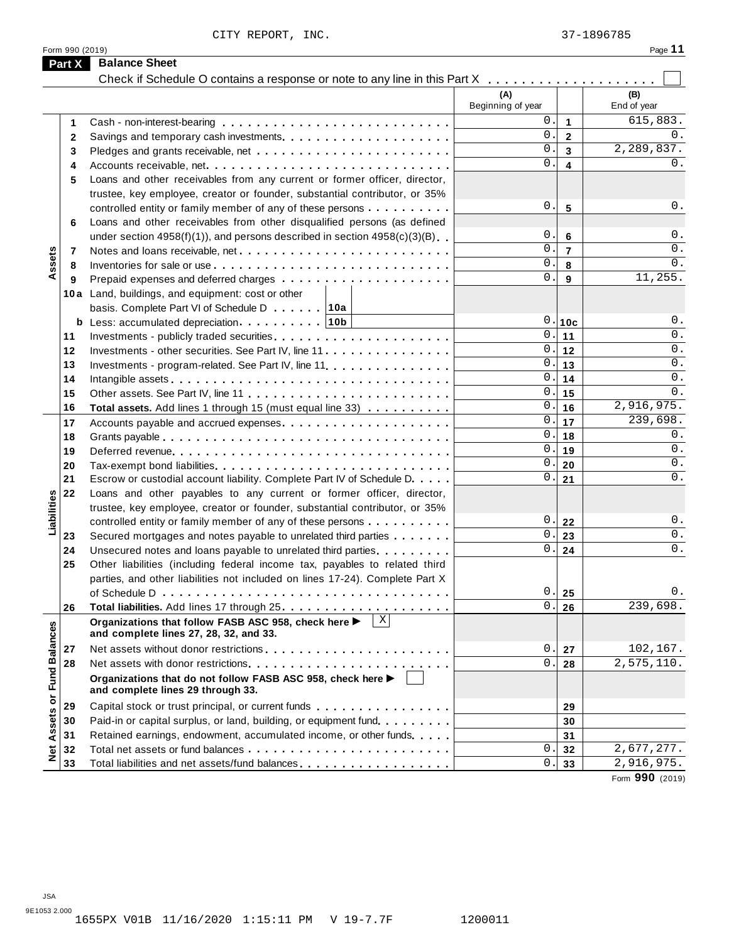|                      | Form 990 (2019) | CITY REPORT, INC.                                                                                                                                                            |                          |                         | 37-1896785<br>Page 11    |
|----------------------|-----------------|------------------------------------------------------------------------------------------------------------------------------------------------------------------------------|--------------------------|-------------------------|--------------------------|
|                      | Part X          | <b>Balance Sheet</b>                                                                                                                                                         |                          |                         |                          |
|                      |                 | Check if Schedule O contains a response or note to any line in this Part X                                                                                                   |                          |                         |                          |
|                      |                 |                                                                                                                                                                              | (A)<br>Beginning of year |                         | (B)<br>End of year       |
|                      | 1               |                                                                                                                                                                              | 0.                       | $\mathbf{1}$            | 615,883.                 |
|                      | $\mathbf{2}$    |                                                                                                                                                                              | $\mathbf{0}$ .           | $\overline{2}$          | 0.                       |
|                      | 3               |                                                                                                                                                                              | $\overline{0}$ .         | $\overline{\mathbf{3}}$ | 2,289,837.               |
|                      | 4               | Accounts receivable, net                                                                                                                                                     | $\overline{0}$ .         | $\overline{\mathbf{4}}$ | 0.                       |
|                      | 5               | Loans and other receivables from any current or former officer, director,                                                                                                    |                          |                         |                          |
|                      |                 | trustee, key employee, creator or founder, substantial contributor, or 35%                                                                                                   |                          |                         |                          |
|                      |                 | controlled entity or family member of any of these persons                                                                                                                   | 0.                       | 5                       | $0$ .                    |
|                      | 6               | Loans and other receivables from other disqualified persons (as defined                                                                                                      |                          |                         |                          |
|                      |                 | under section $4958(f)(1)$ , and persons described in section $4958(c)(3)(B)$                                                                                                | 0.                       | 6                       | 0.                       |
|                      | 7               |                                                                                                                                                                              | $\overline{0}$ .         | $\overline{7}$          | 0.                       |
| Assets               | 8               |                                                                                                                                                                              | 0.                       | 8                       | 0.                       |
|                      | 9               |                                                                                                                                                                              | $\overline{0}$ .         | 9                       | 11,255.                  |
|                      |                 | 10a Land, buildings, and equipment: cost or other                                                                                                                            |                          |                         |                          |
|                      |                 | basis. Complete Part VI of Schedule D [10a]                                                                                                                                  | 0.                       |                         | $0$ .                    |
|                      |                 | <b>b</b> Less: accumulated depreciation $\ldots$ , ,    10b                                                                                                                  | 0.                       | 10c                     | 0.                       |
|                      | 11<br>12        |                                                                                                                                                                              | 0.                       | 11<br>12                | 0.                       |
|                      | 13              | Investments - other securities. See Part IV, line 11<br>Investments - program-related. See Part IV, line 11                                                                  | 0.                       | 13                      | 0.                       |
|                      | 14              |                                                                                                                                                                              | 0.                       | 14                      | 0.                       |
|                      | 15              |                                                                                                                                                                              | 0.                       | 15                      | 0.                       |
|                      | 16              | Total assets. Add lines 1 through 15 (must equal line 33)                                                                                                                    | 0.                       | 16                      | $\overline{2,916,975}$ . |
|                      | 17              |                                                                                                                                                                              | 0.                       | 17                      | 239,698.                 |
|                      | 18              |                                                                                                                                                                              | 0.                       | 18                      | 0.                       |
|                      | 19              |                                                                                                                                                                              | 0.                       | 19                      | 0.                       |
|                      | 20              |                                                                                                                                                                              | 0.                       | 20                      | 0.                       |
|                      | 21              | Escrow or custodial account liability. Complete Part IV of Schedule D.                                                                                                       | $0$ .                    | 21                      | 0.                       |
|                      | 22              | Loans and other payables to any current or former officer, director,                                                                                                         |                          |                         |                          |
| Liabilities          |                 | trustee, key employee, creator or founder, substantial contributor, or 35%                                                                                                   |                          |                         |                          |
|                      |                 | controlled entity or family member of any of these persons                                                                                                                   | 0.                       | 22                      | 0.                       |
|                      | 23              | Secured mortgages and notes payable to unrelated third parties                                                                                                               | 0.                       | 23                      | 0.                       |
|                      | 24              | Unsecured notes and loans payable to unrelated third parties.                                                                                                                | $\overline{0}$ .         | 24                      | $0$ .                    |
|                      | 25              | Other liabilities (including federal income tax, payables to related third                                                                                                   |                          |                         |                          |
|                      |                 | parties, and other liabilities not included on lines 17-24). Complete Part X<br>of Schedule D $\ldots \ldots \ldots \ldots \ldots \ldots \ldots \ldots \ldots \ldots \ldots$ | 0.                       |                         | 0.                       |
|                      | 26              |                                                                                                                                                                              | 0.                       | 25<br>26                | 239,698.                 |
|                      |                 | X <br>Organizations that follow FASB ASC 958, check here ▶<br>and complete lines 27, 28, 32, and 33.                                                                         |                          |                         |                          |
|                      | 27              |                                                                                                                                                                              | 0.                       | 27                      | 102,167.                 |
|                      | 28              |                                                                                                                                                                              | 0.                       | 28                      | 2,575,110.               |
| <b>Fund Balances</b> |                 | Organizations that do not follow FASB ASC 958, check here ▶<br>and complete lines 29 through 33.                                                                             |                          |                         |                          |
| ŏ                    | 29              | Capital stock or trust principal, or current funds                                                                                                                           |                          | 29                      |                          |
|                      | 30              | Paid-in or capital surplus, or land, building, or equipment fund.                                                                                                            |                          | 30                      |                          |
| Assets               | 31              | Retained earnings, endowment, accumulated income, or other funds                                                                                                             |                          | 31                      |                          |
| $\frac{1}{2}$        | 32              |                                                                                                                                                                              | 0                        | 32                      | 2,677,277.               |
|                      | 33              |                                                                                                                                                                              | 0                        | 33                      | $\overline{2,916,975}$ . |
|                      |                 |                                                                                                                                                                              |                          |                         | Form 990 (2019)          |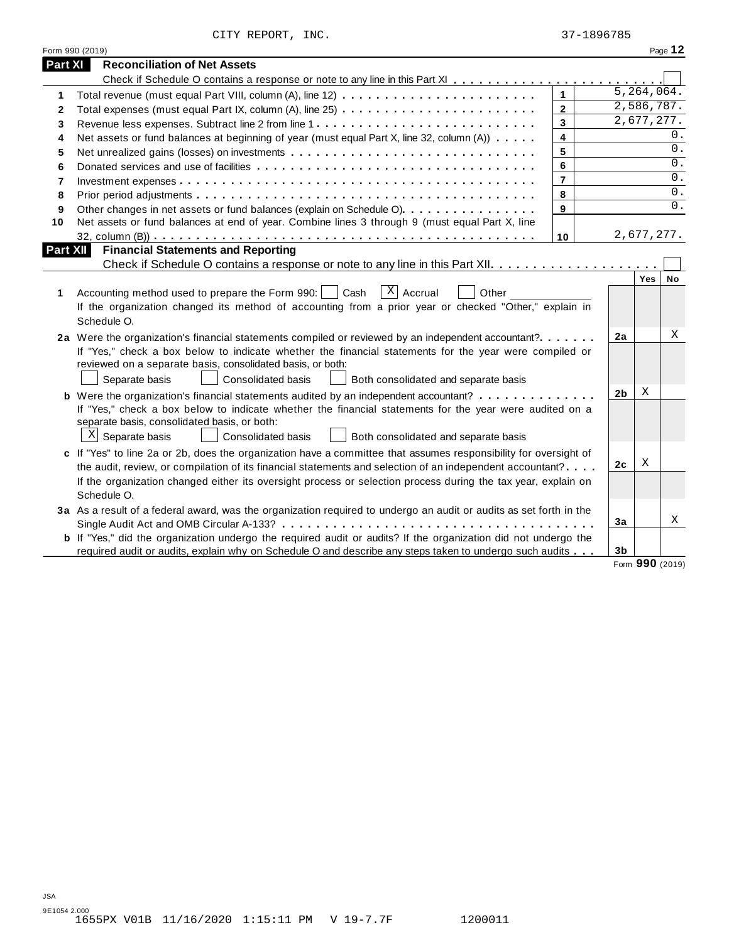|  | CITY REPORT, | INC. |
|--|--------------|------|
|--|--------------|------|

|              | Form 990 (2019)                                                                                                                                                                                                                                                                                                                                                                                                                                                                                                                                                             |                         |                      |                         | Page 12 |
|--------------|-----------------------------------------------------------------------------------------------------------------------------------------------------------------------------------------------------------------------------------------------------------------------------------------------------------------------------------------------------------------------------------------------------------------------------------------------------------------------------------------------------------------------------------------------------------------------------|-------------------------|----------------------|-------------------------|---------|
| Part XI      | <b>Reconciliation of Net Assets</b>                                                                                                                                                                                                                                                                                                                                                                                                                                                                                                                                         |                         |                      |                         |         |
|              |                                                                                                                                                                                                                                                                                                                                                                                                                                                                                                                                                                             |                         |                      |                         |         |
| 1.           |                                                                                                                                                                                                                                                                                                                                                                                                                                                                                                                                                                             | $\mathbf{1}$            |                      | $\overline{5,264},064.$ |         |
| $\mathbf{2}$ |                                                                                                                                                                                                                                                                                                                                                                                                                                                                                                                                                                             | $\overline{2}$          |                      | 2,586,787.              |         |
| 3            |                                                                                                                                                                                                                                                                                                                                                                                                                                                                                                                                                                             | 3                       |                      | 2,677,277.              |         |
| 4            | Net assets or fund balances at beginning of year (must equal Part X, line 32, column (A))                                                                                                                                                                                                                                                                                                                                                                                                                                                                                   | $\overline{\mathbf{4}}$ |                      |                         | 0.      |
| 5            | Net unrealized gains (losses) on investments                                                                                                                                                                                                                                                                                                                                                                                                                                                                                                                                | 5                       |                      |                         | 0.      |
| 6            |                                                                                                                                                                                                                                                                                                                                                                                                                                                                                                                                                                             | 6                       |                      |                         | 0.      |
| 7            |                                                                                                                                                                                                                                                                                                                                                                                                                                                                                                                                                                             | $\overline{7}$          |                      |                         | 0.      |
| 8            |                                                                                                                                                                                                                                                                                                                                                                                                                                                                                                                                                                             | 8                       |                      |                         | 0.      |
| 9            | Other changes in net assets or fund balances (explain on Schedule O).                                                                                                                                                                                                                                                                                                                                                                                                                                                                                                       | 9                       |                      |                         | 0.      |
| 10           | Net assets or fund balances at end of year. Combine lines 3 through 9 (must equal Part X, line                                                                                                                                                                                                                                                                                                                                                                                                                                                                              |                         |                      |                         |         |
|              |                                                                                                                                                                                                                                                                                                                                                                                                                                                                                                                                                                             | 10                      |                      | 2,677,277.              |         |
| Part XII     | <b>Financial Statements and Reporting</b>                                                                                                                                                                                                                                                                                                                                                                                                                                                                                                                                   |                         |                      |                         |         |
|              |                                                                                                                                                                                                                                                                                                                                                                                                                                                                                                                                                                             |                         |                      |                         |         |
| 1            | $X$ Accrual<br>Accounting method used to prepare the Form 990:  <br>Cash<br>Other<br>If the organization changed its method of accounting from a prior year or checked "Other," explain in<br>Schedule O.                                                                                                                                                                                                                                                                                                                                                                   |                         |                      | Yes                     | No      |
|              | 2a Were the organization's financial statements compiled or reviewed by an independent accountant?<br>If "Yes," check a box below to indicate whether the financial statements for the year were compiled or<br>reviewed on a separate basis, consolidated basis, or both:<br>Separate basis<br><b>Consolidated basis</b><br>Both consolidated and separate basis<br><b>b</b> Were the organization's financial statements audited by an independent accountant?<br>If "Yes," check a box below to indicate whether the financial statements for the year were audited on a |                         | 2a<br>2 <sub>b</sub> | Χ                       | Χ       |
|              | separate basis, consolidated basis, or both:<br>$X$ Separate basis<br>Consolidated basis<br>Both consolidated and separate basis                                                                                                                                                                                                                                                                                                                                                                                                                                            |                         |                      |                         |         |
|              | c If "Yes" to line 2a or 2b, does the organization have a committee that assumes responsibility for oversight of<br>the audit, review, or compilation of its financial statements and selection of an independent accountant?<br>If the organization changed either its oversight process or selection process during the tax year, explain on                                                                                                                                                                                                                              |                         | 2 <sub>c</sub>       | Χ                       |         |
|              | Schedule O.                                                                                                                                                                                                                                                                                                                                                                                                                                                                                                                                                                 |                         |                      |                         |         |
|              | 3a As a result of a federal award, was the organization required to undergo an audit or audits as set forth in the                                                                                                                                                                                                                                                                                                                                                                                                                                                          |                         | 3a                   |                         | Χ       |
|              | <b>b</b> If "Yes," did the organization undergo the required audit or audits? If the organization did not undergo the<br>required audit or audits, explain why on Schedule O and describe any steps taken to undergo such audits                                                                                                                                                                                                                                                                                                                                            |                         | 3b                   | $\sim$ $\sim$           |         |

Form **990** (2019)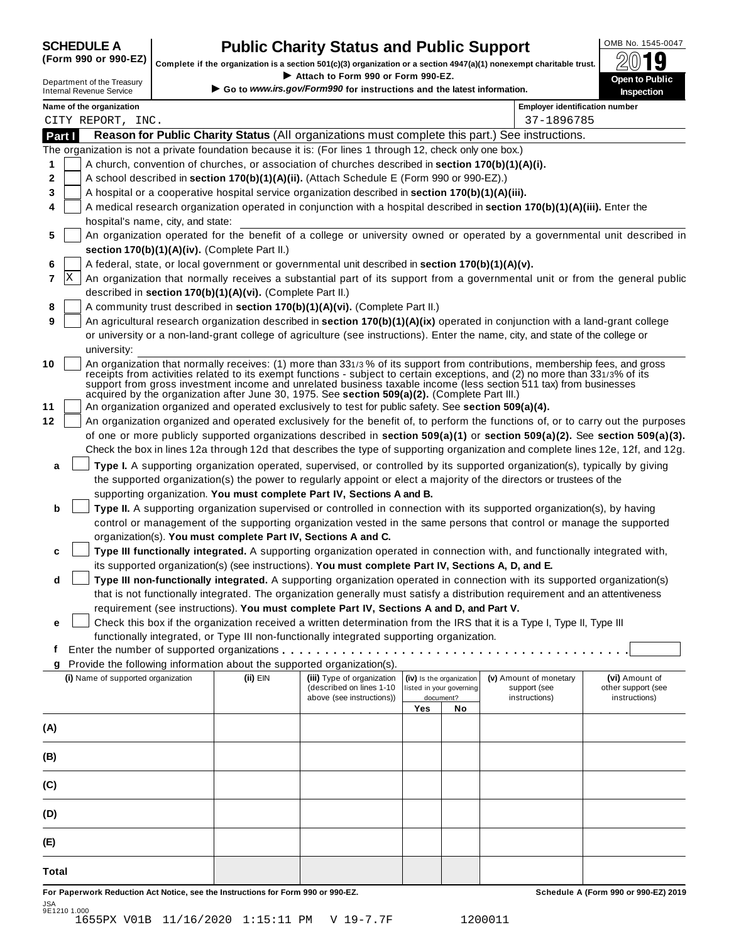| <b>SCHEDULE A</b> |   |
|-------------------|---|
|                   | - |

# **CHEDULE A Public Charity Status and Public Support**  $\frac{100\text{dB No. }1545-0047}{000\text{dB}}$

(Form 990 or 990-EZ) complete if the organization is a section 501(c)(3) organization or a section 4947(a)(1) nonexempt charitable trust.  $2019$ 

|        |                                                               |                                                                                  | Complete if the organization is a section 501(c)(3) organization or a section 4947(a)(1) nonexempt charitable trust. |                          |                          |                                                                                                                                                                                                                                                                                                                                                                                 | ZW IJ                                                                                                                                                                                                                                                          |
|--------|---------------------------------------------------------------|----------------------------------------------------------------------------------|----------------------------------------------------------------------------------------------------------------------|--------------------------|--------------------------|---------------------------------------------------------------------------------------------------------------------------------------------------------------------------------------------------------------------------------------------------------------------------------------------------------------------------------------------------------------------------------|----------------------------------------------------------------------------------------------------------------------------------------------------------------------------------------------------------------------------------------------------------------|
|        | Department of the Treasury<br><b>Internal Revenue Service</b> |                                                                                  | Attach to Form 990 or Form 990-EZ.<br>Go to www.irs.gov/Form990 for instructions and the latest information.         |                          |                          |                                                                                                                                                                                                                                                                                                                                                                                 | Open to Public<br><b>Inspection</b>                                                                                                                                                                                                                            |
|        | Name of the organization                                      |                                                                                  |                                                                                                                      |                          |                          | <b>Employer identification number</b>                                                                                                                                                                                                                                                                                                                                           |                                                                                                                                                                                                                                                                |
|        | CITY REPORT, INC.                                             |                                                                                  |                                                                                                                      |                          |                          | 37-1896785                                                                                                                                                                                                                                                                                                                                                                      |                                                                                                                                                                                                                                                                |
| Part I |                                                               |                                                                                  |                                                                                                                      |                          |                          | Reason for Public Charity Status (All organizations must complete this part.) See instructions.                                                                                                                                                                                                                                                                                 |                                                                                                                                                                                                                                                                |
|        |                                                               |                                                                                  | The organization is not a private foundation because it is: (For lines 1 through 12, check only one box.)            |                          |                          |                                                                                                                                                                                                                                                                                                                                                                                 |                                                                                                                                                                                                                                                                |
| 1      |                                                               |                                                                                  | A church, convention of churches, or association of churches described in section 170(b)(1)(A)(i).                   |                          |                          |                                                                                                                                                                                                                                                                                                                                                                                 |                                                                                                                                                                                                                                                                |
| 2      |                                                               |                                                                                  | A school described in section 170(b)(1)(A)(ii). (Attach Schedule E (Form 990 or 990-EZ).)                            |                          |                          |                                                                                                                                                                                                                                                                                                                                                                                 |                                                                                                                                                                                                                                                                |
| 3      |                                                               |                                                                                  | A hospital or a cooperative hospital service organization described in section 170(b)(1)(A)(iii).                    |                          |                          |                                                                                                                                                                                                                                                                                                                                                                                 |                                                                                                                                                                                                                                                                |
| 4      |                                                               |                                                                                  |                                                                                                                      |                          |                          | A medical research organization operated in conjunction with a hospital described in section 170(b)(1)(A)(iii). Enter the                                                                                                                                                                                                                                                       |                                                                                                                                                                                                                                                                |
|        | hospital's name, city, and state:                             |                                                                                  |                                                                                                                      |                          |                          |                                                                                                                                                                                                                                                                                                                                                                                 | An organization operated for the benefit of a college or university owned or operated by a governmental unit described in                                                                                                                                      |
| 5      |                                                               | section 170(b)(1)(A)(iv). (Complete Part II.)                                    |                                                                                                                      |                          |                          |                                                                                                                                                                                                                                                                                                                                                                                 |                                                                                                                                                                                                                                                                |
| 6      |                                                               |                                                                                  | A federal, state, or local government or governmental unit described in section 170(b)(1)(A)(v).                     |                          |                          |                                                                                                                                                                                                                                                                                                                                                                                 |                                                                                                                                                                                                                                                                |
| X<br>7 |                                                               |                                                                                  |                                                                                                                      |                          |                          |                                                                                                                                                                                                                                                                                                                                                                                 | An organization that normally receives a substantial part of its support from a governmental unit or from the general public                                                                                                                                   |
|        |                                                               | described in section 170(b)(1)(A)(vi). (Complete Part II.)                       |                                                                                                                      |                          |                          |                                                                                                                                                                                                                                                                                                                                                                                 |                                                                                                                                                                                                                                                                |
| 8      |                                                               |                                                                                  | A community trust described in section 170(b)(1)(A)(vi). (Complete Part II.)                                         |                          |                          |                                                                                                                                                                                                                                                                                                                                                                                 |                                                                                                                                                                                                                                                                |
| 9      |                                                               |                                                                                  |                                                                                                                      |                          |                          | An agricultural research organization described in section 170(b)(1)(A)(ix) operated in conjunction with a land-grant college                                                                                                                                                                                                                                                   |                                                                                                                                                                                                                                                                |
|        |                                                               |                                                                                  |                                                                                                                      |                          |                          | or university or a non-land-grant college of agriculture (see instructions). Enter the name, city, and state of the college or                                                                                                                                                                                                                                                  |                                                                                                                                                                                                                                                                |
|        | university:                                                   |                                                                                  |                                                                                                                      |                          |                          |                                                                                                                                                                                                                                                                                                                                                                                 |                                                                                                                                                                                                                                                                |
| 10     |                                                               |                                                                                  |                                                                                                                      |                          |                          | An organization that normally receives: (1) more than 331/3% of its support from contributions, membership fees, and gross<br>receipts from activities related to its exempt functions - subject to certain exceptions, and (2) no more than 331/3% of its<br>support from gross investment income and unrelated business taxable income (less section 511 tax) from businesses |                                                                                                                                                                                                                                                                |
|        |                                                               |                                                                                  | acquired by the organization after June 30, 1975. See section 509(a)(2). (Complete Part III.)                        |                          |                          |                                                                                                                                                                                                                                                                                                                                                                                 |                                                                                                                                                                                                                                                                |
| 11     |                                                               |                                                                                  | An organization organized and operated exclusively to test for public safety. See section 509(a)(4).                 |                          |                          |                                                                                                                                                                                                                                                                                                                                                                                 |                                                                                                                                                                                                                                                                |
| 12     |                                                               |                                                                                  |                                                                                                                      |                          |                          |                                                                                                                                                                                                                                                                                                                                                                                 | An organization organized and operated exclusively for the benefit of, to perform the functions of, or to carry out the purposes                                                                                                                               |
|        |                                                               |                                                                                  |                                                                                                                      |                          |                          |                                                                                                                                                                                                                                                                                                                                                                                 | of one or more publicly supported organizations described in section 509(a)(1) or section 509(a)(2). See section 509(a)(3).<br>Check the box in lines 12a through 12d that describes the type of supporting organization and complete lines 12e, 12f, and 12g. |
| a      |                                                               |                                                                                  |                                                                                                                      |                          |                          | Type I. A supporting organization operated, supervised, or controlled by its supported organization(s), typically by giving                                                                                                                                                                                                                                                     |                                                                                                                                                                                                                                                                |
|        |                                                               |                                                                                  |                                                                                                                      |                          |                          | the supported organization(s) the power to regularly appoint or elect a majority of the directors or trustees of the                                                                                                                                                                                                                                                            |                                                                                                                                                                                                                                                                |
|        |                                                               |                                                                                  | supporting organization. You must complete Part IV, Sections A and B.                                                |                          |                          |                                                                                                                                                                                                                                                                                                                                                                                 |                                                                                                                                                                                                                                                                |
| b      |                                                               |                                                                                  |                                                                                                                      |                          |                          | Type II. A supporting organization supervised or controlled in connection with its supported organization(s), by having                                                                                                                                                                                                                                                         |                                                                                                                                                                                                                                                                |
|        |                                                               |                                                                                  |                                                                                                                      |                          |                          | control or management of the supporting organization vested in the same persons that control or manage the supported                                                                                                                                                                                                                                                            |                                                                                                                                                                                                                                                                |
|        |                                                               |                                                                                  | organization(s). You must complete Part IV, Sections A and C.                                                        |                          |                          |                                                                                                                                                                                                                                                                                                                                                                                 |                                                                                                                                                                                                                                                                |
| c      |                                                               |                                                                                  |                                                                                                                      |                          |                          | Type III functionally integrated. A supporting organization operated in connection with, and functionally integrated with,                                                                                                                                                                                                                                                      |                                                                                                                                                                                                                                                                |
|        |                                                               |                                                                                  | its supported organization(s) (see instructions). You must complete Part IV, Sections A, D, and E.                   |                          |                          |                                                                                                                                                                                                                                                                                                                                                                                 |                                                                                                                                                                                                                                                                |
| d      |                                                               |                                                                                  |                                                                                                                      |                          |                          | Type III non-functionally integrated. A supporting organization operated in connection with its supported organization(s)                                                                                                                                                                                                                                                       |                                                                                                                                                                                                                                                                |
|        |                                                               |                                                                                  | requirement (see instructions). You must complete Part IV, Sections A and D, and Part V.                             |                          |                          | that is not functionally integrated. The organization generally must satisfy a distribution requirement and an attentiveness                                                                                                                                                                                                                                                    |                                                                                                                                                                                                                                                                |
| e      |                                                               |                                                                                  |                                                                                                                      |                          |                          | Check this box if the organization received a written determination from the IRS that it is a Type I, Type II, Type III                                                                                                                                                                                                                                                         |                                                                                                                                                                                                                                                                |
|        |                                                               |                                                                                  | functionally integrated, or Type III non-functionally integrated supporting organization.                            |                          |                          |                                                                                                                                                                                                                                                                                                                                                                                 |                                                                                                                                                                                                                                                                |
| f      |                                                               |                                                                                  | Enter the number of supported organizations                                                                          |                          |                          |                                                                                                                                                                                                                                                                                                                                                                                 |                                                                                                                                                                                                                                                                |
| g      |                                                               |                                                                                  | Provide the following information about the supported organization(s).                                               |                          |                          |                                                                                                                                                                                                                                                                                                                                                                                 |                                                                                                                                                                                                                                                                |
|        | (i) Name of supported organization                            | (ii) EIN                                                                         | (iii) Type of organization<br>(described on lines 1-10                                                               | listed in your governing | (iv) Is the organization | (v) Amount of monetary<br>support (see                                                                                                                                                                                                                                                                                                                                          | (vi) Amount of<br>other support (see                                                                                                                                                                                                                           |
|        |                                                               |                                                                                  | above (see instructions))                                                                                            |                          | document?                | instructions)                                                                                                                                                                                                                                                                                                                                                                   | instructions)                                                                                                                                                                                                                                                  |
|        |                                                               |                                                                                  |                                                                                                                      | Yes                      | No                       |                                                                                                                                                                                                                                                                                                                                                                                 |                                                                                                                                                                                                                                                                |
| (A)    |                                                               |                                                                                  |                                                                                                                      |                          |                          |                                                                                                                                                                                                                                                                                                                                                                                 |                                                                                                                                                                                                                                                                |
| (B)    |                                                               |                                                                                  |                                                                                                                      |                          |                          |                                                                                                                                                                                                                                                                                                                                                                                 |                                                                                                                                                                                                                                                                |
| (C)    |                                                               |                                                                                  |                                                                                                                      |                          |                          |                                                                                                                                                                                                                                                                                                                                                                                 |                                                                                                                                                                                                                                                                |
| (D)    |                                                               |                                                                                  |                                                                                                                      |                          |                          |                                                                                                                                                                                                                                                                                                                                                                                 |                                                                                                                                                                                                                                                                |
| (E)    |                                                               |                                                                                  |                                                                                                                      |                          |                          |                                                                                                                                                                                                                                                                                                                                                                                 |                                                                                                                                                                                                                                                                |
| Total  |                                                               |                                                                                  |                                                                                                                      |                          |                          |                                                                                                                                                                                                                                                                                                                                                                                 |                                                                                                                                                                                                                                                                |
|        |                                                               | For Paperwork Reduction Act Notice, see the Instructions for Form 990 or 990-EZ. |                                                                                                                      |                          |                          |                                                                                                                                                                                                                                                                                                                                                                                 | Schedule A (Form 990 or 990-EZ) 2019                                                                                                                                                                                                                           |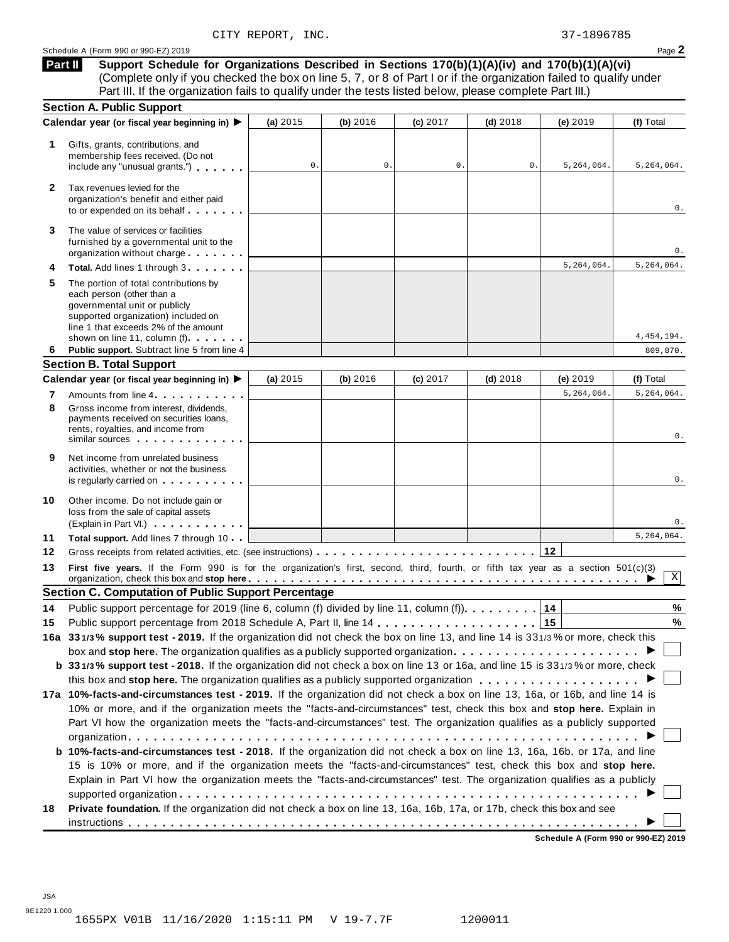### Schedule <sup>A</sup> (Form <sup>990</sup> or 990-EZ) <sup>2019</sup> Page **2**

**Support Schedule for Organizations Described in Sections 170(b)(1)(A)(iv) and 170(b)(1)(A)(vi)** (Complete only if you checked the box on line 5, 7, or 8 of Part I or if the organization failed to qualify under Part III. If the organization fails to qualify under the tests listed below, please complete Part III.) **Part II**

|    | <b>Section A. Public Support</b>                                                                                                                                                                                                                                                                                                                                     |          |          |                |            |            |              |
|----|----------------------------------------------------------------------------------------------------------------------------------------------------------------------------------------------------------------------------------------------------------------------------------------------------------------------------------------------------------------------|----------|----------|----------------|------------|------------|--------------|
|    | Calendar year (or fiscal year beginning in) ▶                                                                                                                                                                                                                                                                                                                        | (a) 2015 | (b) 2016 | (c) 2017       | $(d)$ 2018 | (e) 2019   | (f) Total    |
| 1. | Gifts, grants, contributions, and<br>membership fees received. (Do not<br>include any "unusual grants.")                                                                                                                                                                                                                                                             | 0.       | 0.       | $\mathbf{0}$ . | 0.         | 5,264,064. | 5,264,064.   |
| 2  | Tax revenues levied for the<br>organization's benefit and either paid<br>to or expended on its behalf                                                                                                                                                                                                                                                                |          |          |                |            |            | 0.           |
| 3  | The value of services or facilities<br>furnished by a governmental unit to the<br>organization without charge                                                                                                                                                                                                                                                        |          |          |                |            |            | 0.           |
| 4  | Total. Add lines 1 through 3                                                                                                                                                                                                                                                                                                                                         |          |          |                |            | 5,264,064. | 5,264,064.   |
| 5  | The portion of total contributions by<br>each person (other than a<br>governmental unit or publicly<br>supported organization) included on<br>line 1 that exceeds 2% of the amount<br>shown on line 11, column (f)                                                                                                                                                   |          |          |                |            |            | 4, 454, 194. |
| 6  | Public support. Subtract line 5 from line 4                                                                                                                                                                                                                                                                                                                          |          |          |                |            |            | 809,870.     |
|    | <b>Section B. Total Support</b>                                                                                                                                                                                                                                                                                                                                      |          |          |                |            |            |              |
|    | Calendar year (or fiscal year beginning in) ▶                                                                                                                                                                                                                                                                                                                        | (a) 2015 | (b) 2016 | (c) 2017       | $(d)$ 2018 | (e) 2019   | (f) Total    |
| 7  | Amounts from line 4                                                                                                                                                                                                                                                                                                                                                  |          |          |                |            | 5,264,064. | 5,264,064.   |
| 8  | Gross income from interest, dividends,<br>payments received on securities loans,<br>rents, royalties, and income from<br>similar sources experiences                                                                                                                                                                                                                 |          |          |                |            |            | 0.           |
| 9  | Net income from unrelated business<br>activities, whether or not the business<br>is regularly carried on the control of the set of the set of the set of the set of the set of the set of the s                                                                                                                                                                      |          |          |                |            |            | 0.           |
| 10 | Other income. Do not include gain or<br>loss from the sale of capital assets<br>(Explain in Part VI.)                                                                                                                                                                                                                                                                |          |          |                |            |            | 0.           |
| 11 | Total support. Add lines 7 through 10                                                                                                                                                                                                                                                                                                                                |          |          |                |            |            | 5,264,064.   |
| 12 |                                                                                                                                                                                                                                                                                                                                                                      |          |          |                |            |            |              |
| 13 | First five years. If the Form 990 is for the organization's first, second, third, fourth, or fifth tax year as a section 501(c)(3)<br>organization, check this box and stop here entitled and state in the set of the set of the set of the set of the set of the set of the set of the set of the set of the set of the set of the set of the set of the set of the |          |          |                |            |            | $\mathbf X$  |
|    | <b>Section C. Computation of Public Support Percentage</b>                                                                                                                                                                                                                                                                                                           |          |          |                |            |            |              |
| 14 | Public support percentage for 2019 (line 6, column (f) divided by line 11, column (f).                                                                                                                                                                                                                                                                               |          |          |                |            | 14         | %            |
| 15 |                                                                                                                                                                                                                                                                                                                                                                      |          |          |                |            | 15         | $\%$         |
|    | 16a 331/3% support test - 2019. If the organization did not check the box on line 13, and line 14 is 331/3% or more, check this                                                                                                                                                                                                                                      |          |          |                |            |            |              |
|    |                                                                                                                                                                                                                                                                                                                                                                      |          |          |                |            |            |              |
|    | b 331/3% support test - 2018. If the organization did not check a box on line 13 or 16a, and line 15 is 331/3% or more, check                                                                                                                                                                                                                                        |          |          |                |            |            |              |
|    |                                                                                                                                                                                                                                                                                                                                                                      |          |          |                |            |            |              |
|    | 17a 10%-facts-and-circumstances test - 2019. If the organization did not check a box on line 13, 16a, or 16b, and line 14 is                                                                                                                                                                                                                                         |          |          |                |            |            |              |
|    | 10% or more, and if the organization meets the "facts-and-circumstances" test, check this box and stop here. Explain in                                                                                                                                                                                                                                              |          |          |                |            |            |              |
|    | Part VI how the organization meets the "facts-and-circumstances" test. The organization qualifies as a publicly supported                                                                                                                                                                                                                                            |          |          |                |            |            |              |
|    |                                                                                                                                                                                                                                                                                                                                                                      |          |          |                |            |            |              |
|    | b 10%-facts-and-circumstances test - 2018. If the organization did not check a box on line 13, 16a, 16b, or 17a, and line                                                                                                                                                                                                                                            |          |          |                |            |            |              |
|    | 15 is 10% or more, and if the organization meets the "facts-and-circumstances" test, check this box and stop here.                                                                                                                                                                                                                                                   |          |          |                |            |            |              |
|    | Explain in Part VI how the organization meets the "facts-and-circumstances" test. The organization qualifies as a publicly                                                                                                                                                                                                                                           |          |          |                |            |            |              |
|    |                                                                                                                                                                                                                                                                                                                                                                      |          |          |                |            |            |              |
| 18 | Private foundation. If the organization did not check a box on line 13, 16a, 16b, 17a, or 17b, check this box and see                                                                                                                                                                                                                                                |          |          |                |            |            |              |
|    |                                                                                                                                                                                                                                                                                                                                                                      |          |          |                |            |            |              |

**Schedule A (Form 990 or 990-EZ) 2019**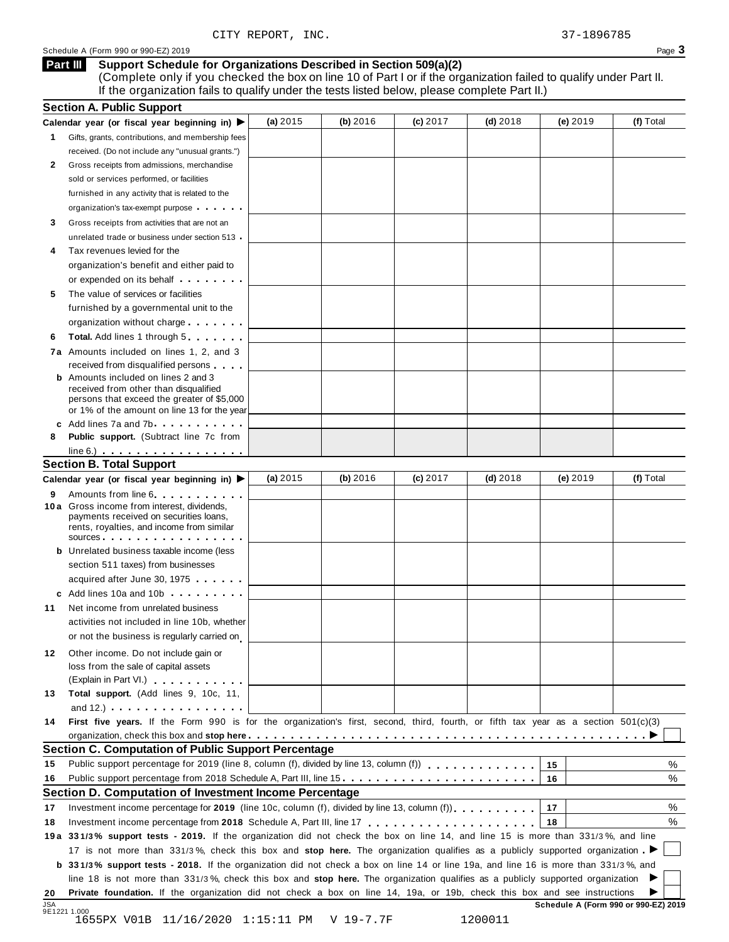(Complete only if you checked the box on line 10 of Part I or if the organization failed to qualify under Part II. If the organization fails to qualify under the tests listed below, please complete Part II.)

|                | <b>Section A. Public Support</b>                                                                                                                                                                                                                           |            |            |            |            |          |           |
|----------------|------------------------------------------------------------------------------------------------------------------------------------------------------------------------------------------------------------------------------------------------------------|------------|------------|------------|------------|----------|-----------|
|                | Calendar year (or fiscal year beginning in)                                                                                                                                                                                                                | (a) $2015$ | (b) $2016$ | $(c)$ 2017 | $(d)$ 2018 | (e) 2019 | (f) Total |
| 1              | Gifts, grants, contributions, and membership fees                                                                                                                                                                                                          |            |            |            |            |          |           |
|                | received. (Do not include any "unusual grants.")                                                                                                                                                                                                           |            |            |            |            |          |           |
| $\mathbf{2}$   | Gross receipts from admissions, merchandise                                                                                                                                                                                                                |            |            |            |            |          |           |
|                | sold or services performed, or facilities                                                                                                                                                                                                                  |            |            |            |            |          |           |
|                | furnished in any activity that is related to the                                                                                                                                                                                                           |            |            |            |            |          |           |
|                | organization's tax-exempt purpose                                                                                                                                                                                                                          |            |            |            |            |          |           |
| 3              | Gross receipts from activities that are not an                                                                                                                                                                                                             |            |            |            |            |          |           |
|                | unrelated trade or business under section 513                                                                                                                                                                                                              |            |            |            |            |          |           |
| 4              | Tax revenues levied for the                                                                                                                                                                                                                                |            |            |            |            |          |           |
|                | organization's benefit and either paid to                                                                                                                                                                                                                  |            |            |            |            |          |           |
|                | or expended on its behalf <b>contains the set of the set of the set of the set of the set of the set of the set of the set of the set of the set of the set of the set of the set of the set of the set of the set of the set of</b>                       |            |            |            |            |          |           |
| 5              | The value of services or facilities                                                                                                                                                                                                                        |            |            |            |            |          |           |
|                | furnished by a governmental unit to the                                                                                                                                                                                                                    |            |            |            |            |          |           |
|                | organization without charge                                                                                                                                                                                                                                |            |            |            |            |          |           |
| 6              | <b>Total.</b> Add lines 1 through 5                                                                                                                                                                                                                        |            |            |            |            |          |           |
|                | 7a Amounts included on lines 1, 2, and 3                                                                                                                                                                                                                   |            |            |            |            |          |           |
|                | received from disqualified persons                                                                                                                                                                                                                         |            |            |            |            |          |           |
|                | <b>b</b> Amounts included on lines 2 and 3                                                                                                                                                                                                                 |            |            |            |            |          |           |
|                | received from other than disqualified                                                                                                                                                                                                                      |            |            |            |            |          |           |
|                | persons that exceed the greater of \$5,000                                                                                                                                                                                                                 |            |            |            |            |          |           |
|                | or 1% of the amount on line 13 for the year                                                                                                                                                                                                                |            |            |            |            |          |           |
|                | c Add lines 7a and 7b                                                                                                                                                                                                                                      |            |            |            |            |          |           |
| 8              | Public support. (Subtract line 7c from                                                                                                                                                                                                                     |            |            |            |            |          |           |
|                | $line 6.)$                                                                                                                                                                                                                                                 |            |            |            |            |          |           |
|                | <b>Section B. Total Support</b>                                                                                                                                                                                                                            |            |            |            |            |          |           |
|                | Calendar year (or fiscal year beginning in) ▶                                                                                                                                                                                                              | (a) 2015   | (b) 2016   | (c) 2017   | $(d)$ 2018 | (e) 2019 | (f) Total |
| 9              | Amounts from line 6                                                                                                                                                                                                                                        |            |            |            |            |          |           |
|                | 10 a Gross income from interest, dividends,<br>payments received on securities loans,                                                                                                                                                                      |            |            |            |            |          |           |
|                | rents, royalties, and income from similar                                                                                                                                                                                                                  |            |            |            |            |          |           |
|                | sources                                                                                                                                                                                                                                                    |            |            |            |            |          |           |
|                | <b>b</b> Unrelated business taxable income (less                                                                                                                                                                                                           |            |            |            |            |          |           |
|                | section 511 taxes) from businesses                                                                                                                                                                                                                         |            |            |            |            |          |           |
|                | acquired after June 30, 1975                                                                                                                                                                                                                               |            |            |            |            |          |           |
|                | c Add lines 10a and 10b                                                                                                                                                                                                                                    |            |            |            |            |          |           |
| 11             | Net income from unrelated business                                                                                                                                                                                                                         |            |            |            |            |          |           |
|                | activities not included in line 10b, whether                                                                                                                                                                                                               |            |            |            |            |          |           |
|                | or not the business is regularly carried on                                                                                                                                                                                                                |            |            |            |            |          |           |
| 12             | Other income. Do not include gain or                                                                                                                                                                                                                       |            |            |            |            |          |           |
|                | loss from the sale of capital assets                                                                                                                                                                                                                       |            |            |            |            |          |           |
|                | (Explain in Part VI.)                                                                                                                                                                                                                                      |            |            |            |            |          |           |
| 13             | Total support. (Add lines 9, 10c, 11,                                                                                                                                                                                                                      |            |            |            |            |          |           |
|                | and 12.) $\cdots$ $\cdots$ $\cdots$ $\cdots$                                                                                                                                                                                                               |            |            |            |            |          |           |
| 14             | First five years. If the Form 990 is for the organization's first, second, third, fourth, or fifth tax year as a section 501(c)(3)                                                                                                                         |            |            |            |            |          |           |
|                |                                                                                                                                                                                                                                                            |            |            |            |            |          |           |
|                | <b>Section C. Computation of Public Support Percentage</b>                                                                                                                                                                                                 |            |            |            |            |          |           |
| 15             |                                                                                                                                                                                                                                                            |            |            |            |            | 15       | %         |
| 16             | Public support percentage from 2018 Schedule A, Part III, line 15.                                                                                                                                                                                         |            |            |            |            | 16       | %         |
|                |                                                                                                                                                                                                                                                            |            |            |            |            |          |           |
|                |                                                                                                                                                                                                                                                            |            |            |            |            | 17       | %         |
|                | Section D. Computation of Investment Income Percentage                                                                                                                                                                                                     |            |            |            |            |          |           |
|                | Investment income percentage for 2019 (line 10c, column (f), divided by line 13, column (f) $\ldots$ ,                                                                                                                                                     |            |            |            |            |          |           |
|                |                                                                                                                                                                                                                                                            |            |            |            |            | 18       | %         |
|                | 19a 331/3% support tests - 2019. If the organization did not check the box on line 14, and line 15 is more than 331/3%, and line                                                                                                                           |            |            |            |            |          |           |
|                | 17 is not more than 331/3%, check this box and stop here. The organization qualifies as a publicly supported organization                                                                                                                                  |            |            |            |            |          |           |
|                | b 331/3% support tests - 2018. If the organization did not check a box on line 14 or line 19a, and line 16 is more than 331/3%, and                                                                                                                        |            |            |            |            |          |           |
| 17<br>18<br>20 | line 18 is not more than 331/3%, check this box and stop here. The organization qualifies as a publicly supported organization<br>Private foundation. If the organization did not check a box on line 14, 19a, or 19b, check this box and see instructions |            |            |            |            |          |           |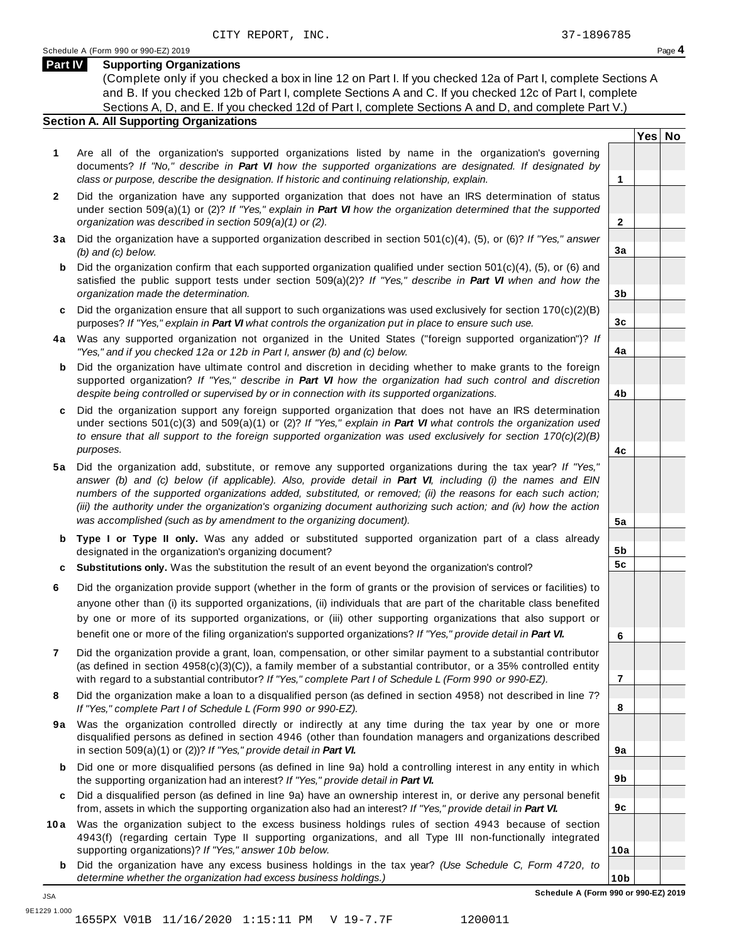**Yes No**

**2**

**3a**

**3b**

**3c**

**4a**

**4b**

**4c**

**5a**

**5b 5c**

**6**

**7**

**8**

**9a**

**9b**

**9c**

**10a**

### **Part IV Supporting Organizations**

(Complete only if you checked a box in line 12 on Part I. If you checked 12a of Part I, complete Sections A and B. If you checked 12b of Part I, complete Sections A and C. If you checked 12c of Part I, complete Sections A, D, and E. If you checked 12d of Part I, complete Sections A and D, and complete Part V.)

### **Section A. All Supporting Organizations**

- **1** Are all of the organization's supported organizations listed by name in the organization's governing documents? *If "No," describe in Part VI how the supported organizations are designated. If designated by class or purpose, describe the designation. If historic and continuing relationship, explain.* **1**
- **2** Did the organization have any supported organization that does not have an IRS determination of status under section 509(a)(1) or (2)? *If"Yes," explain in Part VI how the organization determined that the supported organization was described in section 509(a)(1) or (2).*
- **3 a** Did the organization have a supported organization described in section 501(c)(4), (5), or (6)? *If "Yes," answer (b) and (c) below.*
- **b** Did the organization confirm that each supported organization qualified under section 501(c)(4), (5), or (6) and | satisfied the public support tests under section 509(a)(2)? *If "Yes," describe in Part VI when and how the organization made the determination.*
- **c** Did the organization ensure that all support to such organizations was used exclusively for section 170(c)(2)(B) purposes? *If"Yes," explain in Part VI what controls the organization put in place to ensure such use.*
- **4 a** Was any supported organization not organized in the United States ("foreign supported organization")? *If "Yes," and if you checked 12a or 12b in Part I, answer (b) and (c) below.*
- **b** Did the organization have ultimate control and discretion in deciding whether to make grants to the foreign | supported organization? *If "Yes," describe in Part VI how the organization had such control and discretion despite being controlled or supervised by or in connection with its supported organizations.*
- **c** Did the organization support any foreign supported organization that does not have an IRS determination under sections 501(c)(3) and 509(a)(1) or (2)? *If "Yes," explain in Part VI what controls the organization used to ensure that all support to the foreign supported organization was used exclusively for section 170(c)(2)(B) purposes.*
- **5 a** Did the organization add, substitute, or remove any supported organizations during the tax year? *If "Yes,"* answer (b) and (c) below (if applicable). Also, provide detail in Part VI, including (i) the names and EIN *numbers of the supported organizations added, substituted, or removed; (ii) the reasons for each such action;* (iii) the authority under the organization's organizing document authorizing such action; and (iv) how the action *was accomplished (such as by amendment to the organizing document).*
- **b Type I or Type II only.** Was any added or substituted supported organization part of a class already designated in the organization's organizing document?
- **c Substitutions only.** Was the substitution the result of an event beyond the organization's control?
- **6** Did the organization provide support (whether in the form of grants or the provision of services or facilities) to anyone other than (i) its supported organizations, (ii) individuals that are part of the charitable class benefited by one or more of its supported organizations, or (iii) other supporting organizations that also support or benefit one or more of the filing organization's supported organizations? *If"Yes," provide detail in Part VI.*
- **7** Did the organization provide a grant, loan, compensation, or other similar payment to a substantial contributor (as defined in section 4958(c)(3)(C)), a family member of a substantial contributor, or a 35% controlled entity with regard to a substantial contributor? *If"Yes," complete Part I of Schedule L (Form 990 or 990-EZ).*
- **8** Did the organization make a loan to a disqualified person (as defined in section 4958) not described in line 7? *If "Yes," complete Part I of Schedule L (Form 990 or 990-EZ).*
- **9a** Was the organization controlled directly or indirectly at any time during the tax year by one or more | disqualified persons as defined in section 4946 (other than foundation managers and organizations described in section 509(a)(1) or (2))? *If"Yes," provide detail in Part VI.*
- **b** Did one or more disqualified persons (as defined in line 9a) hold a controlling interest in any entity in which | the supporting organization had an interest? *If"Yes," provide detail in Part VI.*
- **c** Did a disqualified person (as defined in line 9a) have an ownership interest in, or derive any personal benefit from, assets in which the supporting organization also had an interest? *If"Yes," provide detail in Part VI.*
- **10a** Was the organization subject to the excess business holdings rules of section 4943 because of section | 4943(f) (regarding certain Type II supporting organizations, and all Type III non-functionally integrated supporting organizations)? *If"Yes," answer 10b below.*
	- **b** Did the organization have any excess business holdings in the tax year? *(Use Schedule C, Form 4720, to determine whether the organization had excess business holdings.)*

JSA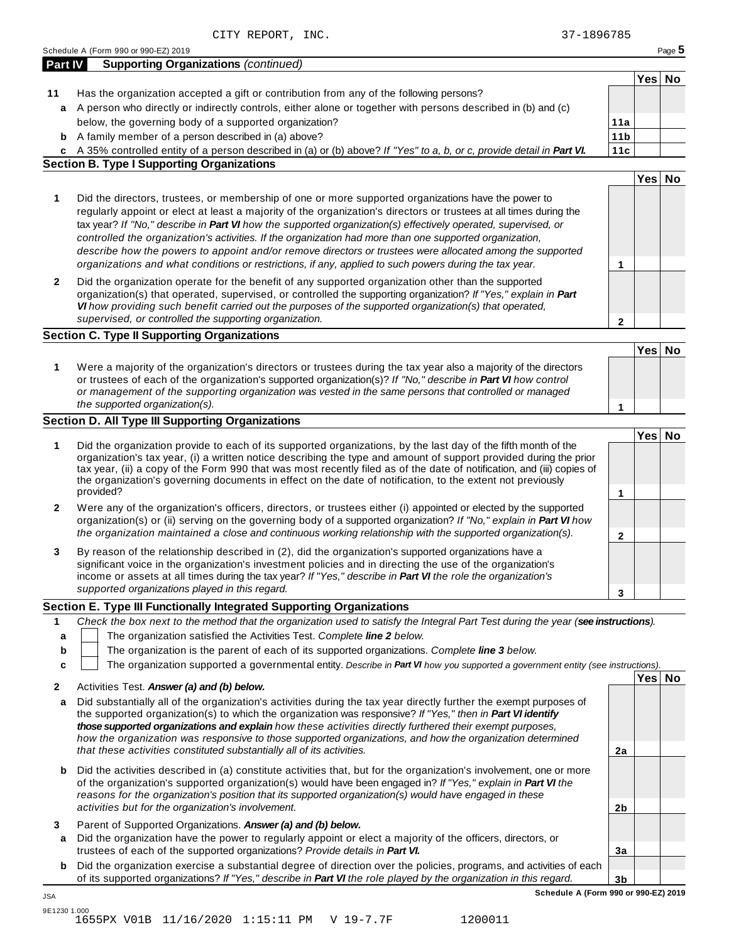|         | CITY REPORT, INC.                                                                                                                                                                                                                           | 37-1896785      |        |        |
|---------|---------------------------------------------------------------------------------------------------------------------------------------------------------------------------------------------------------------------------------------------|-----------------|--------|--------|
|         | Schedule A (Form 990 or 990-EZ) 2019                                                                                                                                                                                                        |                 |        | Page 5 |
| Part IV | <b>Supporting Organizations (continued)</b>                                                                                                                                                                                                 |                 |        |        |
|         |                                                                                                                                                                                                                                             |                 | Yes No |        |
| 11      | Has the organization accepted a gift or contribution from any of the following persons?                                                                                                                                                     |                 |        |        |
| a       | A person who directly or indirectly controls, either alone or together with persons described in (b) and (c)                                                                                                                                |                 |        |        |
|         | below, the governing body of a supported organization?                                                                                                                                                                                      | 11a             |        |        |
|         | <b>b</b> A family member of a person described in (a) above?                                                                                                                                                                                | 11 <sub>b</sub> |        |        |
|         | c A 35% controlled entity of a person described in (a) or (b) above? If "Yes" to a, b, or c, provide detail in Part VI.                                                                                                                     | 11c             |        |        |
|         | <b>Section B. Type I Supporting Organizations</b>                                                                                                                                                                                           |                 |        |        |
|         |                                                                                                                                                                                                                                             |                 | Yes No |        |
|         |                                                                                                                                                                                                                                             |                 |        |        |
| 1       | Did the directors, trustees, or membership of one or more supported organizations have the power to<br>regularly appoint or elect at least a majority of the organization's directors or trustees at all times during the                   |                 |        |        |
|         | tax year? If "No," describe in Part VI how the supported organization(s) effectively operated, supervised, or                                                                                                                               |                 |        |        |
|         | controlled the organization's activities. If the organization had more than one supported organization,                                                                                                                                     |                 |        |        |
|         | describe how the powers to appoint and/or remove directors or trustees were allocated among the supported                                                                                                                                   |                 |        |        |
|         | organizations and what conditions or restrictions, if any, applied to such powers during the tax year.                                                                                                                                      | 1               |        |        |
| 2       | Did the organization operate for the benefit of any supported organization other than the supported                                                                                                                                         |                 |        |        |
|         | organization(s) that operated, supervised, or controlled the supporting organization? If "Yes," explain in Part                                                                                                                             |                 |        |        |
|         | VI how providing such benefit carried out the purposes of the supported organization(s) that operated,                                                                                                                                      |                 |        |        |
|         | supervised, or controlled the supporting organization.                                                                                                                                                                                      | $\mathbf{2}$    |        |        |
|         | <b>Section C. Type II Supporting Organizations</b>                                                                                                                                                                                          |                 |        |        |
|         |                                                                                                                                                                                                                                             |                 | Yes No |        |
| 1       | Were a majority of the organization's directors or trustees during the tax year also a majority of the directors                                                                                                                            |                 |        |        |
|         | or trustees of each of the organization's supported organization(s)? If "No," describe in Part VI how control                                                                                                                               |                 |        |        |
|         | or management of the supporting organization was vested in the same persons that controlled or managed                                                                                                                                      |                 |        |        |
|         | the supported organization(s).                                                                                                                                                                                                              | 1               |        |        |
|         | <b>Section D. All Type III Supporting Organizations</b>                                                                                                                                                                                     |                 |        |        |
|         |                                                                                                                                                                                                                                             |                 | Yes No |        |
| 1       | Did the organization provide to each of its supported organizations, by the last day of the fifth month of the                                                                                                                              |                 |        |        |
|         | organization's tax year, (i) a written notice describing the type and amount of support provided during the prior<br>tax year, (ii) a copy of the Form 990 that was most recently filed as of the date of notification, and (iii) copies of |                 |        |        |
|         | the organization's governing documents in effect on the date of notification, to the extent not previously                                                                                                                                  |                 |        |        |
|         | provided?                                                                                                                                                                                                                                   | 1               |        |        |
| 2       | Were any of the organization's officers, directors, or trustees either (i) appointed or elected by the supported                                                                                                                            |                 |        |        |
|         | organization(s) or (ii) serving on the governing body of a supported organization? If "No," explain in Part VI how                                                                                                                          |                 |        |        |
|         | the organization maintained a close and continuous working relationship with the supported organization(s).                                                                                                                                 | $\mathbf{2}$    |        |        |
| 3       | By reason of the relationship described in (2), did the organization's supported organizations have a                                                                                                                                       |                 |        |        |
|         | significant voice in the organization's investment policies and in directing the use of the organization's                                                                                                                                  |                 |        |        |
|         | income or assets at all times during the tax year? If "Yes," describe in Part VI the role the organization's                                                                                                                                |                 |        |        |
|         | supported organizations played in this regard.                                                                                                                                                                                              | 3               |        |        |
|         | Section E. Type III Functionally Integrated Supporting Organizations                                                                                                                                                                        |                 |        |        |
| 1       | Check the box next to the method that the organization used to satisfy the Integral Part Test during the year (see instructions).                                                                                                           |                 |        |        |
| a       | The organization satisfied the Activities Test. Complete line 2 below.                                                                                                                                                                      |                 |        |        |
| b       | The organization is the parent of each of its supported organizations. Complete line 3 below.                                                                                                                                               |                 |        |        |
| c       | The organization supported a governmental entity. Describe in Part VI how you supported a government entity (see instructions).                                                                                                             |                 |        |        |
|         |                                                                                                                                                                                                                                             |                 | Yes No |        |
| 2       | Activities Test. Answer (a) and (b) below.                                                                                                                                                                                                  |                 |        |        |
| a       | Did substantially all of the organization's activities during the tax year directly further the exempt purposes of                                                                                                                          |                 |        |        |
|         | the supported organization(s) to which the organization was responsive? If "Yes," then in Part VI identify                                                                                                                                  |                 |        |        |
|         | those supported organizations and explain how these activities directly furthered their exempt purposes,<br>how the organization was responsive to those supported organizations, and how the organization determined                       |                 |        |        |
|         | that these activities constituted substantially all of its activities.                                                                                                                                                                      | 2a              |        |        |
|         |                                                                                                                                                                                                                                             |                 |        |        |
| b       | Did the activities described in (a) constitute activities that, but for the organization's involvement, one or more                                                                                                                         |                 |        |        |

- of the organization's supported organization(s) would have been engaged in? *If"Yes," explain in Part VI the reasons for the organization's position that its supported organization(s) would have engaged in these activities but for the organization's involvement.*
- **3** Parent of Supported Organizations. *Answer (a) and (b) below.*
- **a** Did the organization have the power to regularly appoint or elect a majority of the officers, directors, or trustees of each of the supported organizations? *Provide details in Part VI.*
- **b** Did the organization exercise a substantial degree of direction over the policies, programs, and activities of each of its supported organizations? *If"Yes," describe in Part VI the role played by the organization in this regard.*

**3b Schedule A (Form 990 or 990-EZ) 2019**

**2b**

**3a**

JSA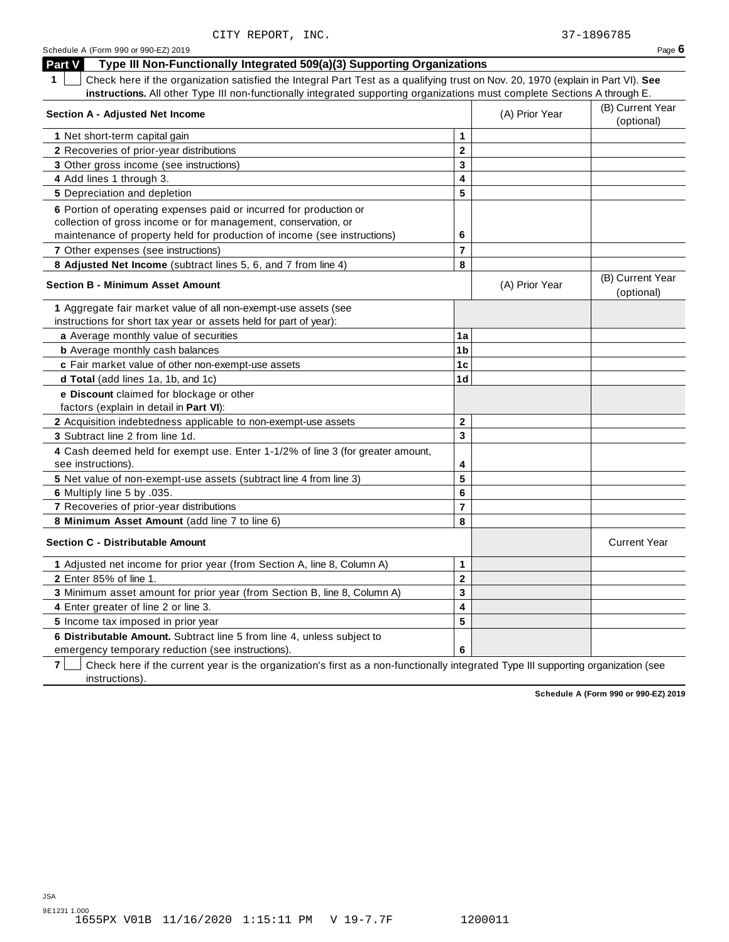| Schedule A (Form 990 or 990-EZ) 2019 | Page $6$ |
|--------------------------------------|----------|
|--------------------------------------|----------|

| Type III Non-Functionally Integrated 509(a)(3) Supporting Organizations<br>Part V                                                    |                         |                                |                                |
|--------------------------------------------------------------------------------------------------------------------------------------|-------------------------|--------------------------------|--------------------------------|
| Check here if the organization satisfied the Integral Part Test as a qualifying trust on Nov. 20, 1970 (explain in Part VI). See     |                         |                                |                                |
| instructions. All other Type III non-functionally integrated supporting organizations must complete Sections A through E.            |                         |                                |                                |
| <b>Section A - Adjusted Net Income</b>                                                                                               | (A) Prior Year          | (B) Current Year<br>(optional) |                                |
| 1 Net short-term capital gain                                                                                                        | $\mathbf{1}$            |                                |                                |
| 2 Recoveries of prior-year distributions                                                                                             | $\mathbf{2}$            |                                |                                |
| 3 Other gross income (see instructions)                                                                                              | 3                       |                                |                                |
| 4 Add lines 1 through 3.                                                                                                             | $\overline{\mathbf{4}}$ |                                |                                |
| 5 Depreciation and depletion                                                                                                         | 5                       |                                |                                |
| 6 Portion of operating expenses paid or incurred for production or<br>collection of gross income or for management, conservation, or |                         |                                |                                |
| maintenance of property held for production of income (see instructions)                                                             | 6                       |                                |                                |
| 7 Other expenses (see instructions)                                                                                                  | $\overline{7}$          |                                |                                |
| 8 Adjusted Net Income (subtract lines 5, 6, and 7 from line 4)                                                                       | 8                       |                                |                                |
| <b>Section B - Minimum Asset Amount</b>                                                                                              |                         | (A) Prior Year                 | (B) Current Year<br>(optional) |
| 1 Aggregate fair market value of all non-exempt-use assets (see<br>instructions for short tax year or assets held for part of year): |                         |                                |                                |
| a Average monthly value of securities                                                                                                | 1a                      |                                |                                |
| <b>b</b> Average monthly cash balances                                                                                               | 1 <sub>b</sub>          |                                |                                |
| c Fair market value of other non-exempt-use assets                                                                                   | 1 <sub>c</sub>          |                                |                                |
| d Total (add lines 1a, 1b, and 1c)                                                                                                   | 1 <sub>d</sub>          |                                |                                |
| e Discount claimed for blockage or other<br>factors (explain in detail in Part VI):                                                  |                         |                                |                                |
| <b>2</b> Acquisition indebtedness applicable to non-exempt-use assets                                                                | $\mathbf{2}$            |                                |                                |
| 3 Subtract line 2 from line 1d.                                                                                                      | 3                       |                                |                                |
| 4 Cash deemed held for exempt use. Enter 1-1/2% of line 3 (for greater amount,<br>see instructions).                                 | 4                       |                                |                                |
| 5 Net value of non-exempt-use assets (subtract line 4 from line 3)                                                                   | 5                       |                                |                                |
| 6 Multiply line 5 by .035.                                                                                                           | 6                       |                                |                                |
| 7 Recoveries of prior-year distributions                                                                                             | $\overline{7}$          |                                |                                |
| 8 Minimum Asset Amount (add line 7 to line 6)                                                                                        | 8                       |                                |                                |
| <b>Section C - Distributable Amount</b>                                                                                              |                         |                                | <b>Current Year</b>            |
| 1 Adjusted net income for prior year (from Section A, line 8, Column A)                                                              | $\mathbf{1}$            |                                |                                |
| 2 Enter 85% of line 1.                                                                                                               | $\mathbf{2}$            |                                |                                |
| 3 Minimum asset amount for prior year (from Section B, line 8, Column A)                                                             | $\overline{\mathbf{3}}$ |                                |                                |
| 4 Enter greater of line 2 or line 3.                                                                                                 | $\overline{\mathbf{4}}$ |                                |                                |
| 5 Income tax imposed in prior year                                                                                                   | 5                       |                                |                                |
| 6 Distributable Amount. Subtract line 5 from line 4, unless subject to<br>emergency temporary reduction (see instructions).          | 6                       |                                |                                |

**7** | Check here if the current year is the organization's first as a non-functionally integrated Type III supporting organization (see instructions).

**Schedule A (Form 990 or 990-EZ) 2019**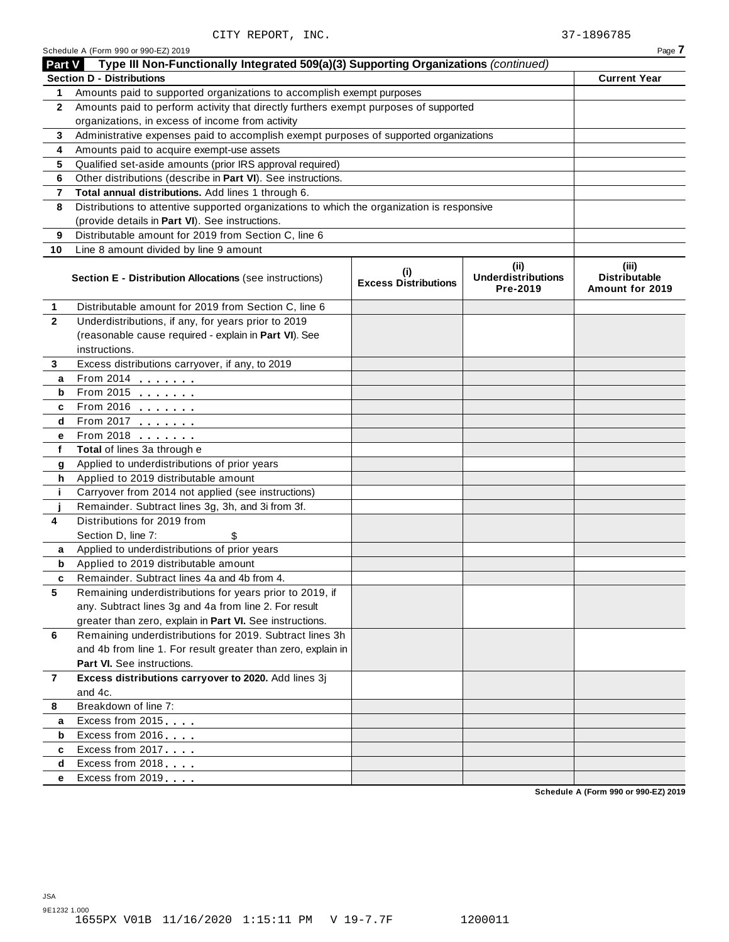|              | Schedule A (Form 990 or 990-EZ) 2019                                                       |                                    |                                               | Page 7                                           |
|--------------|--------------------------------------------------------------------------------------------|------------------------------------|-----------------------------------------------|--------------------------------------------------|
| Part V       | Type III Non-Functionally Integrated 509(a)(3) Supporting Organizations (continued)        |                                    |                                               |                                                  |
|              | <b>Section D - Distributions</b>                                                           |                                    |                                               | <b>Current Year</b>                              |
| 1.           | Amounts paid to supported organizations to accomplish exempt purposes                      |                                    |                                               |                                                  |
| $\mathbf{2}$ | Amounts paid to perform activity that directly furthers exempt purposes of supported       |                                    |                                               |                                                  |
|              | organizations, in excess of income from activity                                           |                                    |                                               |                                                  |
| 3            | Administrative expenses paid to accomplish exempt purposes of supported organizations      |                                    |                                               |                                                  |
| 4            | Amounts paid to acquire exempt-use assets                                                  |                                    |                                               |                                                  |
| 5            | Qualified set-aside amounts (prior IRS approval required)                                  |                                    |                                               |                                                  |
| 6            | Other distributions (describe in Part VI). See instructions.                               |                                    |                                               |                                                  |
| 7            | Total annual distributions. Add lines 1 through 6.                                         |                                    |                                               |                                                  |
| 8            | Distributions to attentive supported organizations to which the organization is responsive |                                    |                                               |                                                  |
|              | (provide details in Part VI). See instructions.                                            |                                    |                                               |                                                  |
| 9            | Distributable amount for 2019 from Section C, line 6                                       |                                    |                                               |                                                  |
| 10           | Line 8 amount divided by line 9 amount                                                     |                                    |                                               |                                                  |
|              | <b>Section E - Distribution Allocations (see instructions)</b>                             | (i)<br><b>Excess Distributions</b> | (ii)<br><b>Underdistributions</b><br>Pre-2019 | (iii)<br><b>Distributable</b><br>Amount for 2019 |
| 1            | Distributable amount for 2019 from Section C, line 6                                       |                                    |                                               |                                                  |
| $\mathbf{2}$ | Underdistributions, if any, for years prior to 2019                                        |                                    |                                               |                                                  |
|              | (reasonable cause required - explain in Part VI). See                                      |                                    |                                               |                                                  |
|              | instructions.                                                                              |                                    |                                               |                                                  |
| 3            | Excess distributions carryover, if any, to 2019                                            |                                    |                                               |                                                  |
| а            | From 2014 2014                                                                             |                                    |                                               |                                                  |
| b            | From 2015 $\frac{1}{2}$                                                                    |                                    |                                               |                                                  |
| c            |                                                                                            |                                    |                                               |                                                  |
| d            |                                                                                            |                                    |                                               |                                                  |
| е            | From 2018                                                                                  |                                    |                                               |                                                  |
| f            | Total of lines 3a through e                                                                |                                    |                                               |                                                  |
| g            | Applied to underdistributions of prior years                                               |                                    |                                               |                                                  |
| h            | Applied to 2019 distributable amount                                                       |                                    |                                               |                                                  |
| j.           | Carryover from 2014 not applied (see instructions)                                         |                                    |                                               |                                                  |
|              | Remainder. Subtract lines 3g, 3h, and 3i from 3f.                                          |                                    |                                               |                                                  |
| 4            | Distributions for 2019 from                                                                |                                    |                                               |                                                  |
|              | Section D, line 7:<br>\$                                                                   |                                    |                                               |                                                  |
| a            | Applied to underdistributions of prior years                                               |                                    |                                               |                                                  |
| b            | Applied to 2019 distributable amount                                                       |                                    |                                               |                                                  |
|              | Remainder. Subtract lines 4a and 4b from 4.                                                |                                    |                                               |                                                  |
| 5            | Remaining underdistributions for years prior to 2019, if                                   |                                    |                                               |                                                  |
|              | any. Subtract lines 3g and 4a from line 2. For result                                      |                                    |                                               |                                                  |
|              | greater than zero, explain in Part VI. See instructions.                                   |                                    |                                               |                                                  |
| 6            | Remaining underdistributions for 2019. Subtract lines 3h                                   |                                    |                                               |                                                  |
|              | and 4b from line 1. For result greater than zero, explain in<br>Part VI. See instructions. |                                    |                                               |                                                  |
|              |                                                                                            |                                    |                                               |                                                  |
| $\mathbf{7}$ | Excess distributions carryover to 2020. Add lines 3j<br>and 4c.                            |                                    |                                               |                                                  |
|              | Breakdown of line 7:                                                                       |                                    |                                               |                                                  |
| 8            | Excess from 2015                                                                           |                                    |                                               |                                                  |
| a<br>b       | Excess from 2016                                                                           |                                    |                                               |                                                  |
|              | Excess from 2017                                                                           |                                    |                                               |                                                  |
| c<br>d       | Excess from 2018                                                                           |                                    |                                               |                                                  |
| е            | Excess from 2019                                                                           |                                    |                                               |                                                  |
|              |                                                                                            |                                    |                                               | Schedule A (Form 990 or 990-F7) 2019             |

**Schedule A (Form 990 or 990-EZ) 2019**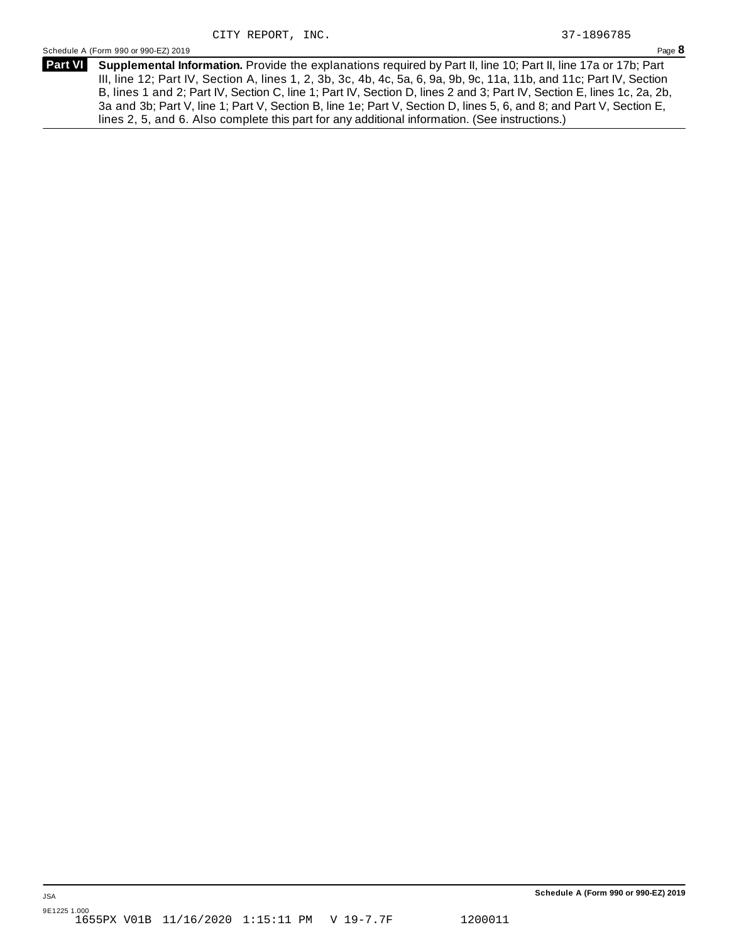**Supplemental Information.** Provide the explanations required by Part II, line 10; Part II, line 17a or 17b; Part **Part VI** III, line 12; Part IV, Section A, lines 1, 2, 3b, 3c, 4b, 4c, 5a, 6, 9a, 9b, 9c, 11a, 11b, and 11c; Part IV, Section B, lines 1 and 2; Part IV, Section C, line 1; Part IV, Section D, lines 2 and 3; Part IV, Section E, lines 1c, 2a, 2b, 3a and 3b; Part V, line 1; Part V, Section B, line 1e; Part V, Section D, lines 5, 6, and 8; and Part V, Section E, lines 2, 5, and 6. Also complete this part for any additional information. (See instructions.)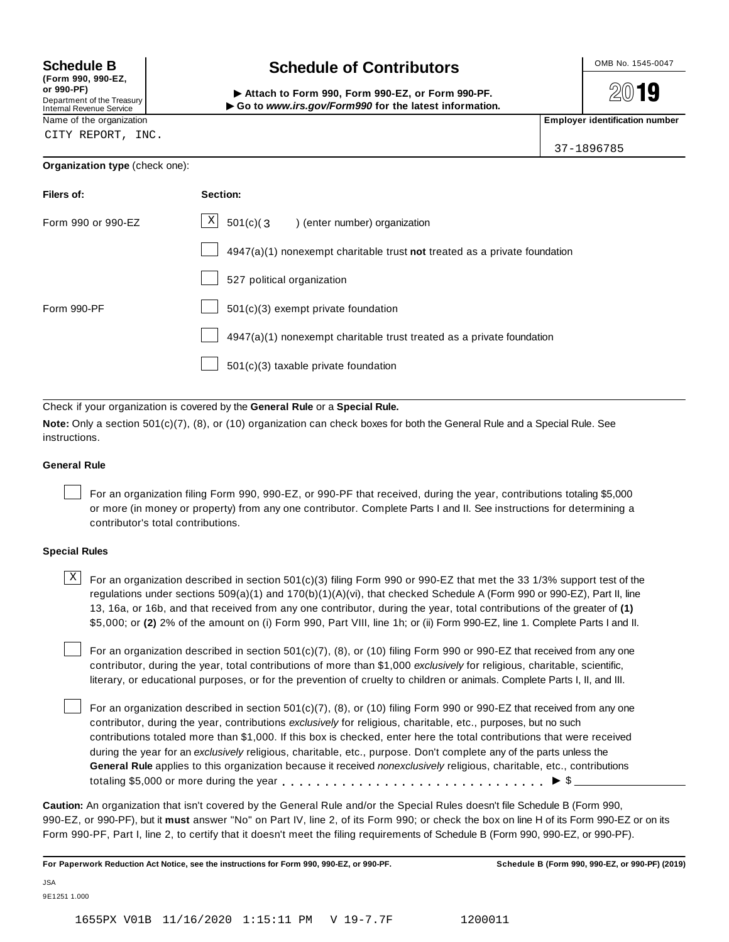# **(Form 990, 990-EZ,**

| (I VIIII JJV, JJV-L4,      |  |
|----------------------------|--|
| or 990-PF)                 |  |
| Department of the Treasury |  |
| Internal Revenue Service   |  |

## **Schedule B chedule of Contributors**

2019

(Point issue, sub-EZ,<br>Department of the Treasury internal Revenue Service<br>Department of the Treasury internal Revenue Service internal Revenue Service internal Revenue Service internal<br>Name of the organization internal Re

37-1896785

CITY REPORT, INC.

### **Organization type** (check one):

| Filers of:         | Section:                                                                  |
|--------------------|---------------------------------------------------------------------------|
| Form 990 or 990-EZ | $\lfloor x \rfloor$ 501(c)(3) (enter number) organization                 |
|                    | 4947(a)(1) nonexempt charitable trust not treated as a private foundation |
|                    | 527 political organization                                                |
| Form 990-PF        | 501(c)(3) exempt private foundation                                       |
|                    | 4947(a)(1) nonexempt charitable trust treated as a private foundation     |
|                    | 501(c)(3) taxable private foundation                                      |

Check if your organization is covered by the **General Rule** or a **Special Rule.**

**Note:** Only a section 501(c)(7), (8), or (10) organization can check boxes for both the General Rule and a Special Rule. See instructions.

### **General Rule**

For an organization filing Form 990, 990-EZ, or 990-PF that received, during the year, contributions totaling \$5,000 or more (in money or property) from any one contributor. Complete Parts I and II. See instructions for determining a contributor's total contributions.

### **Special Rules**

 $\text{X}$  For an organization described in section 501(c)(3) filing Form 990 or 990-EZ that met the 33 1/3% support test of the regulations under sections 509(a)(1) and 170(b)(1)(A)(vi), that checked Schedule A (Form 990 or 990-EZ), Part II, line 13, 16a, or 16b, and that received from any one contributor, during the year, total contributions of the greater of **(1)** \$5,000; or **(2)** 2% of the amount on (i) Form 990, Part VIII, line 1h; or (ii) Form 990-EZ, line 1. Complete Parts I and II.

For an organization described in section 501(c)(7), (8), or (10) filing Form 990 or 990-EZ that received from any one contributor, during the year, total contributions of more than \$1,000 *exclusively* for religious, charitable, scientific, literary, or educational purposes, or for the prevention of cruelty to children or animals. Complete Parts I, II, and III.

For an organization described in section 501(c)(7), (8), or (10) filing Form 990 or 990-EZ that received from any one contributor, during the year, contributions *exclusively* for religious, charitable, etc., purposes, but no such contributions totaled more than \$1,000. If this box is checked, enter here the total contributions that were received during the year for an *exclusively* religious, charitable, etc., purpose. Don't complete any of the parts unless the **General Rule** applies to this organization because it received *nonexclusively* religious, charitable, etc., contributions totaling \$5,000 or more during the year m m m m m m m m m m m m m m m m m m m m m m m m m m m m m m m I \$

**Caution:** An organization that isn't covered by the General Rule and/or the Special Rules doesn't file Schedule B (Form 990, 990-EZ, or 990-PF), but it **must** answer "No" on Part IV, line 2, of its Form 990; or check the box on line H of its Form 990-EZ or on its Form 990-PF, Part I, line 2, to certify that it doesn't meet the filing requirements of Schedule B (Form 990, 990-EZ, or 990-PF).

For Paperwork Reduction Act Notice, see the instructions for Form 990, 990-EZ, or 990-PF. Schedule B (Form 990, 990-EZ, or 990-PF) (2019)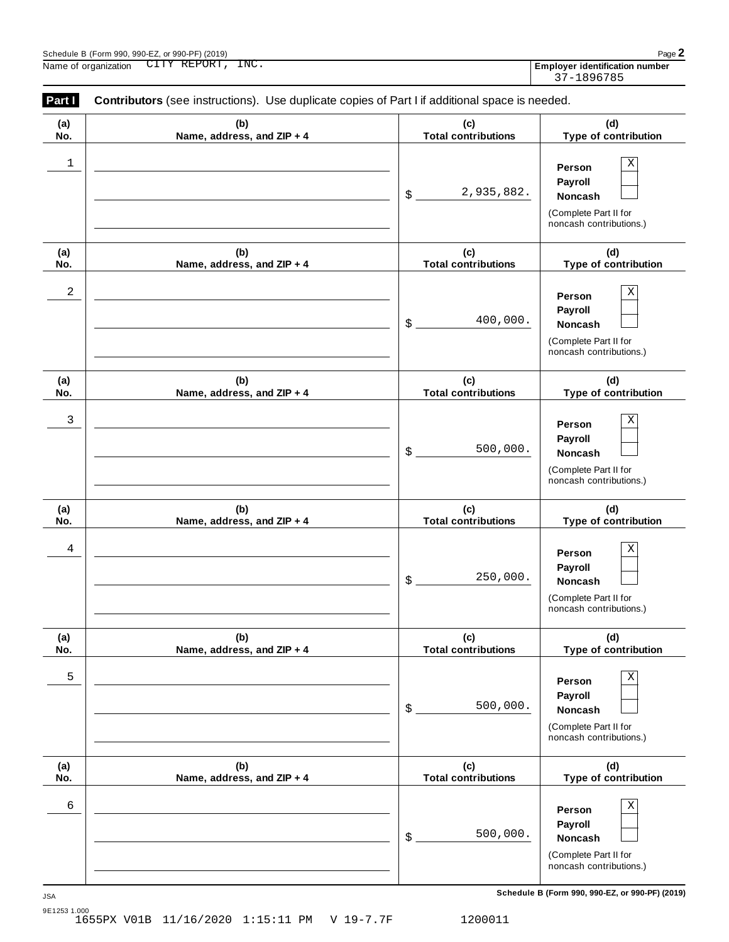| Paq                                   |
|---------------------------------------|
| <b>Employer identification number</b> |
| 37-1896785                            |

| Part I<br>Contributors (see instructions). Use duplicate copies of Part I if additional space is needed. |                                   |                                   |                                                                                                 |  |
|----------------------------------------------------------------------------------------------------------|-----------------------------------|-----------------------------------|-------------------------------------------------------------------------------------------------|--|
| (a)<br>No.                                                                                               | (b)<br>Name, address, and ZIP + 4 | (c)<br><b>Total contributions</b> | (d)<br>Type of contribution                                                                     |  |
| 1                                                                                                        |                                   | 2,935,882.<br>\$                  | Χ<br>Person<br>Payroll<br>Noncash<br>(Complete Part II for<br>noncash contributions.)           |  |
| (a)<br>No.                                                                                               | (b)<br>Name, address, and ZIP + 4 | (c)<br><b>Total contributions</b> | (d)<br>Type of contribution                                                                     |  |
| 2                                                                                                        |                                   | 400,000.<br>\$                    | Χ<br>Person<br>Payroll<br>Noncash<br>(Complete Part II for<br>noncash contributions.)           |  |
| (a)<br>No.                                                                                               | (b)<br>Name, address, and ZIP + 4 | (c)<br><b>Total contributions</b> | (d)<br>Type of contribution                                                                     |  |
| 3                                                                                                        |                                   | 500,000.<br>\$                    | Χ<br>Person<br>Payroll<br>Noncash<br>(Complete Part II for<br>noncash contributions.)           |  |
| (a)<br>No.                                                                                               | (b)<br>Name, address, and ZIP + 4 | (c)<br><b>Total contributions</b> | (d)<br>Type of contribution                                                                     |  |
| 4                                                                                                        |                                   | 250,000.<br>\$                    | Χ<br>Person<br>Payroll<br>Noncash<br>(Complete Part II for<br>noncash contributions.)           |  |
| (a)<br>No.                                                                                               | (b)<br>Name, address, and ZIP + 4 | (c)<br><b>Total contributions</b> | (d)<br>Type of contribution                                                                     |  |
| 5                                                                                                        |                                   | 500,000.<br>\$                    | $\mathbf X$<br>Person<br>Payroll<br>Noncash<br>(Complete Part II for<br>noncash contributions.) |  |
| (a)<br>No.                                                                                               | (b)<br>Name, address, and ZIP + 4 | (c)<br><b>Total contributions</b> | (d)<br>Type of contribution                                                                     |  |
| 6                                                                                                        |                                   | 500,000.<br>\$                    | Χ<br>Person<br>Payroll<br>Noncash<br>(Complete Part II for<br>noncash contributions.)           |  |

**Schedule B (Form 990, 990-EZ, or 990-PF) (2019)** JSA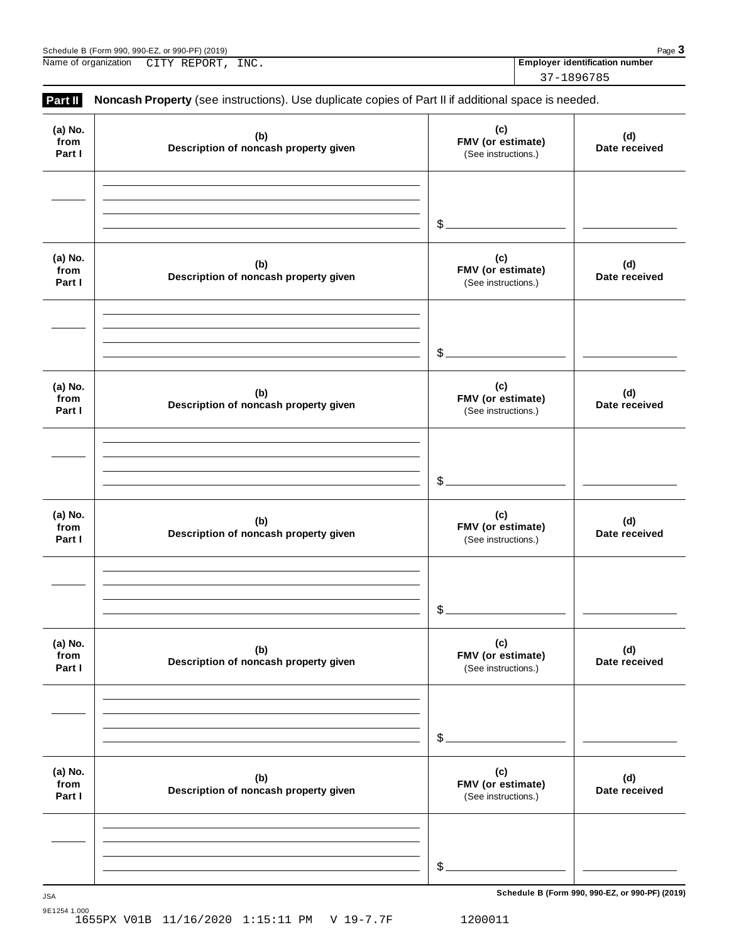| . or 990-PF $^{\circ}$<br>(2019)<br>990-EZ.<br>990<br>Schedule B<br>(Form | Pag |
|---------------------------------------------------------------------------|-----|
|                                                                           |     |

Name of organization **Employer identification number** CITY REPORT, INC.

37-1896785

| (a) No.                   | (b)                                          | (c)                                             | (d)                  |
|---------------------------|----------------------------------------------|-------------------------------------------------|----------------------|
| from<br>Part I            | Description of noncash property given        | FMV (or estimate)<br>(See instructions.)        | Date received        |
|                           |                                              |                                                 |                      |
|                           |                                              | $\mathcal{L}$                                   |                      |
| (a) No.<br>from<br>Part I | (b)<br>Description of noncash property given | (c)<br>FMV (or estimate)<br>(See instructions.) | (d)<br>Date received |
|                           |                                              | $\mathcal{L}$                                   |                      |
|                           |                                              |                                                 |                      |
| (a) No.<br>from<br>Part I | (b)<br>Description of noncash property given | (c)<br>FMV (or estimate)<br>(See instructions.) | (d)<br>Date received |
|                           |                                              |                                                 |                      |
|                           |                                              | \$.                                             |                      |
| (a) No.<br>from<br>Part I | (b)<br>Description of noncash property given | (c)<br>FMV (or estimate)<br>(See instructions.) | (d)<br>Date received |
|                           |                                              |                                                 |                      |
|                           |                                              | \$                                              |                      |
| (a) No.<br>from<br>Part I | (b)<br>Description of noncash property given | (c)<br>FMV (or estimate)<br>(See instructions.) | (d)<br>Date received |
|                           |                                              |                                                 |                      |
|                           |                                              | \$                                              |                      |
| (a) No.<br>from<br>Part I | (b)<br>Description of noncash property given | (c)<br>FMV (or estimate)<br>(See instructions.) | (d)<br>Date received |
|                           |                                              |                                                 |                      |
|                           |                                              |                                                 |                      |

**Schedule B (Form 990, 990-EZ, or 990-PF) (2019)** JSA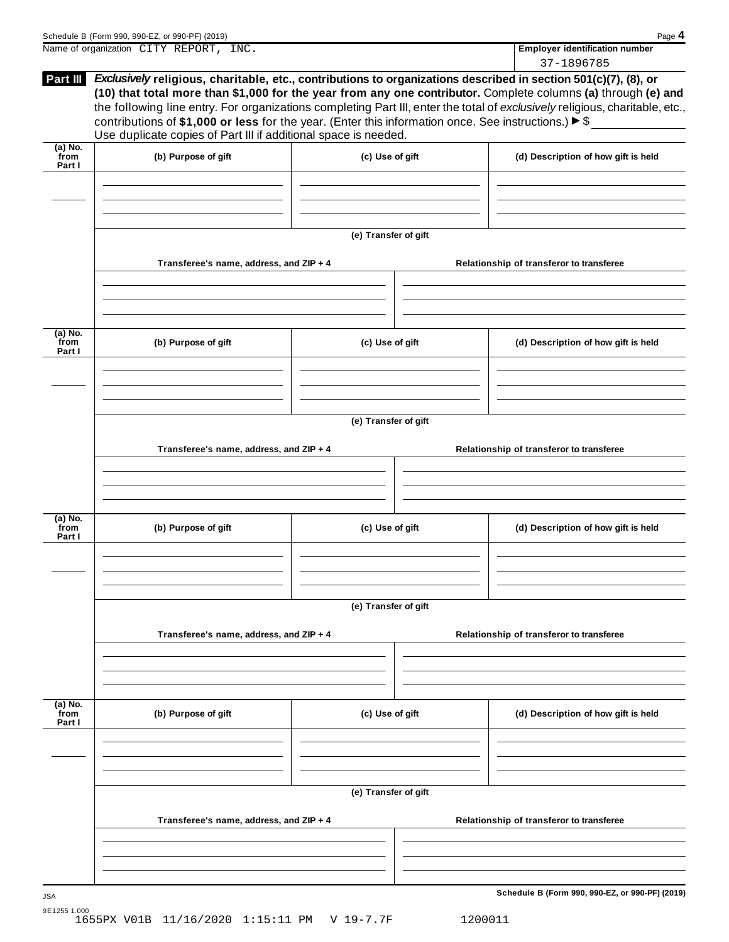|                             | Schedule B (Form 990, 990-EZ, or 990-PF) (2019)                                                                                                                                                                                        |                      | Page 4                                                                                                                                                                                                                                                      |
|-----------------------------|----------------------------------------------------------------------------------------------------------------------------------------------------------------------------------------------------------------------------------------|----------------------|-------------------------------------------------------------------------------------------------------------------------------------------------------------------------------------------------------------------------------------------------------------|
|                             | Name of organization CITY REPORT, INC.                                                                                                                                                                                                 |                      | <b>Employer identification number</b>                                                                                                                                                                                                                       |
| Part III                    | Exclusively religious, charitable, etc., contributions to organizations described in section 501(c)(7), (8), or<br>contributions of \$1,000 or less for the year. (Enter this information once. See instructions.) $\triangleright$ \$ |                      | 37-1896785<br>(10) that total more than \$1,000 for the year from any one contributor. Complete columns (a) through (e) and<br>the following line entry. For organizations completing Part III, enter the total of exclusively religious, charitable, etc., |
| $(a)$ No.                   | Use duplicate copies of Part III if additional space is needed.                                                                                                                                                                        |                      |                                                                                                                                                                                                                                                             |
| from<br>Part I              | (b) Purpose of gift                                                                                                                                                                                                                    | (c) Use of gift      | (d) Description of how gift is held                                                                                                                                                                                                                         |
|                             |                                                                                                                                                                                                                                        | (e) Transfer of gift |                                                                                                                                                                                                                                                             |
|                             | Transferee's name, address, and ZIP + 4                                                                                                                                                                                                |                      | Relationship of transferor to transferee                                                                                                                                                                                                                    |
| $(a)$ No.<br>from<br>Part I | (b) Purpose of gift                                                                                                                                                                                                                    | (c) Use of gift      | (d) Description of how gift is held                                                                                                                                                                                                                         |
|                             | Transferee's name, address, and ZIP + 4                                                                                                                                                                                                | (e) Transfer of gift | Relationship of transferor to transferee                                                                                                                                                                                                                    |
| (a) No.<br>from<br>Part I   | (b) Purpose of gift                                                                                                                                                                                                                    | (c) Use of gift      | (d) Description of how gift is held                                                                                                                                                                                                                         |
|                             |                                                                                                                                                                                                                                        | (e) Transfer of gift |                                                                                                                                                                                                                                                             |
|                             | Transferee's name, address, and ZIP + 4                                                                                                                                                                                                |                      | Relationship of transferor to transferee                                                                                                                                                                                                                    |
| $(a)$ No.<br>from<br>Part I | (b) Purpose of gift                                                                                                                                                                                                                    | (c) Use of gift      | (d) Description of how gift is held                                                                                                                                                                                                                         |
|                             |                                                                                                                                                                                                                                        |                      |                                                                                                                                                                                                                                                             |
|                             | Transferee's name, address, and ZIP + 4                                                                                                                                                                                                | (e) Transfer of gift | Relationship of transferor to transferee                                                                                                                                                                                                                    |
|                             |                                                                                                                                                                                                                                        |                      |                                                                                                                                                                                                                                                             |
| <b>JSA</b>                  |                                                                                                                                                                                                                                        |                      | Schedule B (Form 990, 990-EZ, or 990-PF) (2019)                                                                                                                                                                                                             |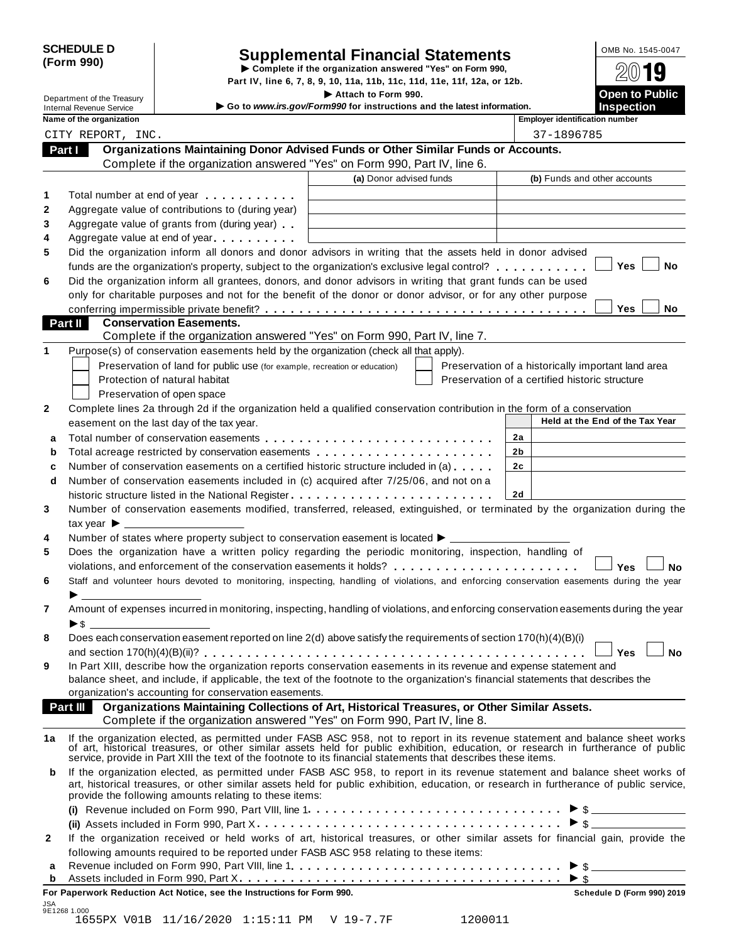| <b>SCHEDULE D</b> |  |
|-------------------|--|
| (Form 990)        |  |

| <b>SCHEDULE D</b><br>(Form 990)<br>Complete if the organization answered "Yes" on Form 990,<br>Department of the Treasury |                                  |                                                                                                                                                                                                                               | <b>Supplemental Financial Statements</b>                                                                                                                                                                                                                               |                                                    | OMB No. 1545-0047               |
|---------------------------------------------------------------------------------------------------------------------------|----------------------------------|-------------------------------------------------------------------------------------------------------------------------------------------------------------------------------------------------------------------------------|------------------------------------------------------------------------------------------------------------------------------------------------------------------------------------------------------------------------------------------------------------------------|----------------------------------------------------|---------------------------------|
|                                                                                                                           |                                  |                                                                                                                                                                                                                               | Part IV, line 6, 7, 8, 9, 10, 11a, 11b, 11c, 11d, 11e, 11f, 12a, or 12b.                                                                                                                                                                                               |                                                    |                                 |
|                                                                                                                           |                                  | Attach to Form 990.                                                                                                                                                                                                           |                                                                                                                                                                                                                                                                        | Open to Public                                     |                                 |
| Go to www.irs.gov/Form990 for instructions and the latest information.<br><b>Internal Revenue Service</b>                 |                                  |                                                                                                                                                                                                                               |                                                                                                                                                                                                                                                                        |                                                    | <b>Inspection</b>               |
|                                                                                                                           | Name of the organization         |                                                                                                                                                                                                                               |                                                                                                                                                                                                                                                                        | <b>Employer identification number</b>              |                                 |
|                                                                                                                           | CITY REPORT, INC.                |                                                                                                                                                                                                                               |                                                                                                                                                                                                                                                                        | 37-1896785                                         |                                 |
| Part I                                                                                                                    |                                  |                                                                                                                                                                                                                               | Organizations Maintaining Donor Advised Funds or Other Similar Funds or Accounts.                                                                                                                                                                                      |                                                    |                                 |
|                                                                                                                           |                                  |                                                                                                                                                                                                                               | Complete if the organization answered "Yes" on Form 990, Part IV, line 6.                                                                                                                                                                                              |                                                    |                                 |
|                                                                                                                           |                                  |                                                                                                                                                                                                                               | (a) Donor advised funds                                                                                                                                                                                                                                                | (b) Funds and other accounts                       |                                 |
| 1                                                                                                                         |                                  | Total number at end of year entitled as a set of the set of the set of the set of the set of the set of the set of the set of the set of the set of the set of the set of the set of the set of the set of the set of the set |                                                                                                                                                                                                                                                                        |                                                    |                                 |
| 2                                                                                                                         |                                  | Aggregate value of contributions to (during year)                                                                                                                                                                             |                                                                                                                                                                                                                                                                        |                                                    |                                 |
| 3                                                                                                                         |                                  | Aggregate value of grants from (during year)                                                                                                                                                                                  |                                                                                                                                                                                                                                                                        |                                                    |                                 |
| 4                                                                                                                         |                                  | Aggregate value at end of year                                                                                                                                                                                                |                                                                                                                                                                                                                                                                        |                                                    |                                 |
| 5                                                                                                                         |                                  |                                                                                                                                                                                                                               | Did the organization inform all donors and donor advisors in writing that the assets held in donor advised                                                                                                                                                             |                                                    | Yes<br>No                       |
|                                                                                                                           |                                  |                                                                                                                                                                                                                               | funds are the organization's property, subject to the organization's exclusive legal control?<br>Did the organization inform all grantees, donors, and donor advisors in writing that grant funds can be used                                                          |                                                    |                                 |
| 6                                                                                                                         |                                  |                                                                                                                                                                                                                               | only for charitable purposes and not for the benefit of the donor or donor advisor, or for any other purpose                                                                                                                                                           |                                                    |                                 |
|                                                                                                                           |                                  |                                                                                                                                                                                                                               |                                                                                                                                                                                                                                                                        |                                                    | Yes<br><b>No</b>                |
| Part II                                                                                                                   |                                  | <b>Conservation Easements.</b>                                                                                                                                                                                                |                                                                                                                                                                                                                                                                        |                                                    |                                 |
|                                                                                                                           |                                  |                                                                                                                                                                                                                               | Complete if the organization answered "Yes" on Form 990, Part IV, line 7.                                                                                                                                                                                              |                                                    |                                 |
| 1                                                                                                                         |                                  |                                                                                                                                                                                                                               | Purpose(s) of conservation easements held by the organization (check all that apply).                                                                                                                                                                                  |                                                    |                                 |
|                                                                                                                           |                                  | Preservation of land for public use (for example, recreation or education)                                                                                                                                                    |                                                                                                                                                                                                                                                                        | Preservation of a historically important land area |                                 |
|                                                                                                                           |                                  | Protection of natural habitat                                                                                                                                                                                                 |                                                                                                                                                                                                                                                                        | Preservation of a certified historic structure     |                                 |
|                                                                                                                           |                                  | Preservation of open space                                                                                                                                                                                                    |                                                                                                                                                                                                                                                                        |                                                    |                                 |
| 2                                                                                                                         |                                  |                                                                                                                                                                                                                               | Complete lines 2a through 2d if the organization held a qualified conservation contribution in the form of a conservation                                                                                                                                              |                                                    |                                 |
|                                                                                                                           |                                  | easement on the last day of the tax year.                                                                                                                                                                                     |                                                                                                                                                                                                                                                                        |                                                    | Held at the End of the Tax Year |
| a                                                                                                                         |                                  |                                                                                                                                                                                                                               |                                                                                                                                                                                                                                                                        | 2a                                                 |                                 |
| b                                                                                                                         |                                  |                                                                                                                                                                                                                               | Total acreage restricted by conservation easements                                                                                                                                                                                                                     | 2b                                                 |                                 |
| c                                                                                                                         |                                  |                                                                                                                                                                                                                               | Number of conservation easements on a certified historic structure included in (a)                                                                                                                                                                                     | 2c                                                 |                                 |
| d                                                                                                                         |                                  |                                                                                                                                                                                                                               | Number of conservation easements included in (c) acquired after 7/25/06, and not on a                                                                                                                                                                                  |                                                    |                                 |
|                                                                                                                           |                                  |                                                                                                                                                                                                                               | historic structure listed in the National Register                                                                                                                                                                                                                     | 2d                                                 |                                 |
| 3                                                                                                                         |                                  |                                                                                                                                                                                                                               | Number of conservation easements modified, transferred, released, extinguished, or terminated by the organization during the                                                                                                                                           |                                                    |                                 |
|                                                                                                                           | tax year $\blacktriangleright$ _ |                                                                                                                                                                                                                               |                                                                                                                                                                                                                                                                        |                                                    |                                 |
| 4                                                                                                                         |                                  |                                                                                                                                                                                                                               | Number of states where property subject to conservation easement is located $\blacktriangleright$ ____                                                                                                                                                                 |                                                    |                                 |
| 5                                                                                                                         |                                  |                                                                                                                                                                                                                               | Does the organization have a written policy regarding the periodic monitoring, inspection, handling of                                                                                                                                                                 |                                                    |                                 |
|                                                                                                                           |                                  |                                                                                                                                                                                                                               | violations, and enforcement of the conservation easements it holds?                                                                                                                                                                                                    |                                                    | Yes<br>Nο                       |
| 6                                                                                                                         |                                  |                                                                                                                                                                                                                               | Staff and volunteer hours devoted to monitoring, inspecting, handling of violations, and enforcing conservation easements during the year                                                                                                                              |                                                    |                                 |
|                                                                                                                           |                                  |                                                                                                                                                                                                                               |                                                                                                                                                                                                                                                                        |                                                    |                                 |
| 7                                                                                                                         |                                  |                                                                                                                                                                                                                               | Amount of expenses incurred in monitoring, inspecting, handling of violations, and enforcing conservation easements during the year                                                                                                                                    |                                                    |                                 |
|                                                                                                                           | $\triangleright$ \$              |                                                                                                                                                                                                                               |                                                                                                                                                                                                                                                                        |                                                    |                                 |
| 8                                                                                                                         |                                  |                                                                                                                                                                                                                               | Does each conservation easement reported on line 2(d) above satisfy the requirements of section 170(h)(4)(B)(i)                                                                                                                                                        |                                                    |                                 |
|                                                                                                                           |                                  |                                                                                                                                                                                                                               | In Part XIII, describe how the organization reports conservation easements in its revenue and expense statement and                                                                                                                                                    |                                                    | Yes<br><b>No</b>                |
| 9                                                                                                                         |                                  |                                                                                                                                                                                                                               | balance sheet, and include, if applicable, the text of the footnote to the organization's financial statements that describes the                                                                                                                                      |                                                    |                                 |
|                                                                                                                           |                                  | organization's accounting for conservation easements.                                                                                                                                                                         |                                                                                                                                                                                                                                                                        |                                                    |                                 |
|                                                                                                                           | Part III                         |                                                                                                                                                                                                                               | Organizations Maintaining Collections of Art, Historical Treasures, or Other Similar Assets.                                                                                                                                                                           |                                                    |                                 |
|                                                                                                                           |                                  |                                                                                                                                                                                                                               | Complete if the organization answered "Yes" on Form 990, Part IV, line 8.                                                                                                                                                                                              |                                                    |                                 |
| 1a                                                                                                                        |                                  |                                                                                                                                                                                                                               | If the organization elected, as permitted under FASB ASC 958, not to report in its revenue statement and balance sheet works of art, historical treasures, or other similar assets held for public exhibition, education, or r                                         |                                                    |                                 |
| b                                                                                                                         |                                  | provide the following amounts relating to these items:                                                                                                                                                                        | If the organization elected, as permitted under FASB ASC 958, to report in its revenue statement and balance sheet works of<br>art, historical treasures, or other similar assets held for public exhibition, education, or research in furtherance of public service, |                                                    |                                 |
|                                                                                                                           |                                  |                                                                                                                                                                                                                               |                                                                                                                                                                                                                                                                        |                                                    | $\triangleright$ \$             |
|                                                                                                                           |                                  |                                                                                                                                                                                                                               |                                                                                                                                                                                                                                                                        |                                                    | $\triangleright$ \$             |
|                                                                                                                           |                                  |                                                                                                                                                                                                                               |                                                                                                                                                                                                                                                                        |                                                    |                                 |

| 2 If the organization received or held works of art, historical treasures, or other similar assets for financial gain, provide the |
|------------------------------------------------------------------------------------------------------------------------------------|
| following amounts required to be reported under FASB ASC 958 relating to these items:                                              |
|                                                                                                                                    |
| <b>L.</b> Assate included in Ferry 000, Deat V.                                                                                    |

| For Paperwork Reduction Act Notice, see the Instructions for Form 990. | Schedule D (Form 990) 2019 |
|------------------------------------------------------------------------|----------------------------|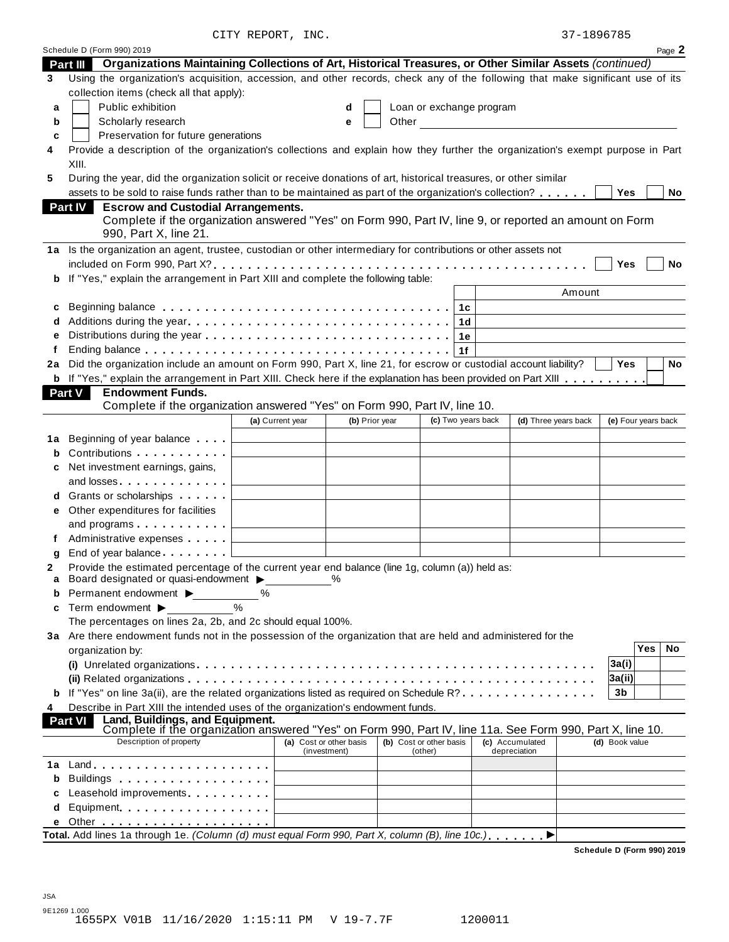| 37-1896785 |  |  |  |
|------------|--|--|--|
|            |  |  |  |

|    | Schedule D (Form 990) 2019                                                                                                                                      |                                                                                                                        |                                         |       |                                    |                          |                                                     |                     |     | Page 2    |
|----|-----------------------------------------------------------------------------------------------------------------------------------------------------------------|------------------------------------------------------------------------------------------------------------------------|-----------------------------------------|-------|------------------------------------|--------------------------|-----------------------------------------------------|---------------------|-----|-----------|
|    | Organizations Maintaining Collections of Art, Historical Treasures, or Other Similar Assets (continued)<br>Part III                                             |                                                                                                                        |                                         |       |                                    |                          |                                                     |                     |     |           |
| 3  | Using the organization's acquisition, accession, and other records, check any of the following that make significant use of its                                 |                                                                                                                        |                                         |       |                                    |                          |                                                     |                     |     |           |
|    | collection items (check all that apply):                                                                                                                        |                                                                                                                        |                                         |       |                                    |                          |                                                     |                     |     |           |
| a  | Public exhibition                                                                                                                                               |                                                                                                                        | d                                       |       |                                    | Loan or exchange program |                                                     |                     |     |           |
| b  | Scholarly research                                                                                                                                              |                                                                                                                        | е                                       | Other |                                    |                          | <u> 1980 - Jan Barbara Barbara, prima politik (</u> |                     |     |           |
| c  | Preservation for future generations                                                                                                                             |                                                                                                                        |                                         |       |                                    |                          |                                                     |                     |     |           |
| 4  | Provide a description of the organization's collections and explain how they further the organization's exempt purpose in Part                                  |                                                                                                                        |                                         |       |                                    |                          |                                                     |                     |     |           |
|    | XIII.                                                                                                                                                           |                                                                                                                        |                                         |       |                                    |                          |                                                     |                     |     |           |
| 5  | During the year, did the organization solicit or receive donations of art, historical treasures, or other similar                                               |                                                                                                                        |                                         |       |                                    |                          |                                                     |                     |     |           |
|    | assets to be sold to raise funds rather than to be maintained as part of the organization's collection?                                                         |                                                                                                                        |                                         |       |                                    |                          |                                                     | Yes                 |     | No        |
|    | <b>Escrow and Custodial Arrangements.</b><br><b>Part IV</b>                                                                                                     |                                                                                                                        |                                         |       |                                    |                          |                                                     |                     |     |           |
|    | Complete if the organization answered "Yes" on Form 990, Part IV, line 9, or reported an amount on Form                                                         |                                                                                                                        |                                         |       |                                    |                          |                                                     |                     |     |           |
|    | 990, Part X, line 21.                                                                                                                                           |                                                                                                                        |                                         |       |                                    |                          |                                                     |                     |     |           |
|    | 1a Is the organization an agent, trustee, custodian or other intermediary for contributions or other assets not                                                 |                                                                                                                        |                                         |       |                                    |                          |                                                     |                     |     |           |
|    |                                                                                                                                                                 |                                                                                                                        |                                         |       |                                    |                          |                                                     | Yes                 |     | No        |
| b  | If "Yes," explain the arrangement in Part XIII and complete the following table:                                                                                |                                                                                                                        |                                         |       |                                    |                          |                                                     |                     |     |           |
|    |                                                                                                                                                                 |                                                                                                                        |                                         |       |                                    |                          | Amount                                              |                     |     |           |
| c  | Beginning balance enterpreteration of the contract of the contract of the contract of the contract of the contr                                                 |                                                                                                                        |                                         |       | 1c                                 |                          |                                                     |                     |     |           |
| d  |                                                                                                                                                                 |                                                                                                                        |                                         |       |                                    | 1d                       |                                                     |                     |     |           |
| e  |                                                                                                                                                                 |                                                                                                                        |                                         |       |                                    | 1е                       |                                                     |                     |     |           |
| f  |                                                                                                                                                                 |                                                                                                                        |                                         |       | 1f                                 |                          |                                                     |                     |     |           |
| 2a | Did the organization include an amount on Form 990, Part X, line 21, for escrow or custodial account liability?                                                 |                                                                                                                        |                                         |       |                                    |                          |                                                     | <b>Yes</b>          |     | <b>No</b> |
|    | <b>b</b> If "Yes," explain the arrangement in Part XIII. Check here if the explanation has been provided on Part XIII                                           |                                                                                                                        |                                         |       |                                    |                          |                                                     |                     |     |           |
|    | <b>Endowment Funds.</b><br>Part V                                                                                                                               |                                                                                                                        |                                         |       |                                    |                          |                                                     |                     |     |           |
|    | Complete if the organization answered "Yes" on Form 990, Part IV, line 10.                                                                                      |                                                                                                                        |                                         |       |                                    |                          |                                                     |                     |     |           |
|    |                                                                                                                                                                 | (a) Current year                                                                                                       | (b) Prior year                          |       |                                    | (c) Two years back       | (d) Three years back                                | (e) Four years back |     |           |
|    |                                                                                                                                                                 |                                                                                                                        |                                         |       |                                    |                          |                                                     |                     |     |           |
| 1a | Beginning of year balance                                                                                                                                       |                                                                                                                        |                                         |       |                                    |                          |                                                     |                     |     |           |
|    | Contributions <b>Contributions</b>                                                                                                                              |                                                                                                                        |                                         |       |                                    |                          |                                                     |                     |     |           |
| С  | Net investment earnings, gains,                                                                                                                                 |                                                                                                                        |                                         |       |                                    |                          |                                                     |                     |     |           |
|    | and losses                                                                                                                                                      |                                                                                                                        |                                         |       |                                    |                          |                                                     |                     |     |           |
| d  | Grants or scholarships <b>State of State State</b>                                                                                                              |                                                                                                                        |                                         |       |                                    |                          |                                                     |                     |     |           |
| е  | Other expenditures for facilities                                                                                                                               |                                                                                                                        |                                         |       |                                    |                          |                                                     |                     |     |           |
|    | and programs                                                                                                                                                    | <u> 1989 - Johann Barn, amerikansk politiker (</u>                                                                     |                                         |       |                                    |                          |                                                     |                     |     |           |
|    | Administrative expenses [1994]                                                                                                                                  | <u> 1980 - John Stein, mars and de Branch and de Branch and de Branch and de Branch and de Branch and de Branch an</u> |                                         |       |                                    |                          |                                                     |                     |     |           |
| g  | End of year balance [1] [1]                                                                                                                                     |                                                                                                                        |                                         |       |                                    |                          |                                                     |                     |     |           |
| 2  | Provide the estimated percentage of the current year end balance (line 1g, column (a)) held as:                                                                 |                                                                                                                        |                                         |       |                                    |                          |                                                     |                     |     |           |
| a  | Board designated or quasi-endowment $\blacktriangleright$                                                                                                       |                                                                                                                        | %                                       |       |                                    |                          |                                                     |                     |     |           |
| b  | Permanent endowment $\blacktriangleright$                                                                                                                       | %                                                                                                                      |                                         |       |                                    |                          |                                                     |                     |     |           |
| C  | Term endowment ▶                                                                                                                                                | $\frac{0}{0}$                                                                                                          |                                         |       |                                    |                          |                                                     |                     |     |           |
|    | The percentages on lines 2a, 2b, and 2c should equal 100%.                                                                                                      |                                                                                                                        |                                         |       |                                    |                          |                                                     |                     |     |           |
|    | 3a Are there endowment funds not in the possession of the organization that are held and administered for the                                                   |                                                                                                                        |                                         |       |                                    |                          |                                                     |                     |     |           |
|    | organization by:                                                                                                                                                |                                                                                                                        |                                         |       |                                    |                          |                                                     |                     | Yes | No        |
|    |                                                                                                                                                                 |                                                                                                                        |                                         |       |                                    |                          |                                                     | 3a(i)               |     |           |
|    |                                                                                                                                                                 |                                                                                                                        |                                         |       |                                    |                          |                                                     | 3a(ii)              |     |           |
| b  | If "Yes" on line 3a(ii), are the related organizations listed as required on Schedule R?                                                                        |                                                                                                                        |                                         |       |                                    |                          |                                                     | 3 <sub>b</sub>      |     |           |
| 4  | Describe in Part XIII the intended uses of the organization's endowment funds.                                                                                  |                                                                                                                        |                                         |       |                                    |                          |                                                     |                     |     |           |
|    | Land, Buildings, and Equipment.<br>Complete if the organization answered "Yes" on Form 990, Part IV, line 11a. See Form 990, Part X, line 10.<br><b>Part VI</b> |                                                                                                                        |                                         |       |                                    |                          |                                                     |                     |     |           |
|    |                                                                                                                                                                 |                                                                                                                        |                                         |       |                                    |                          |                                                     |                     |     |           |
|    | Description of property                                                                                                                                         |                                                                                                                        | (a) Cost or other basis<br>(investment) |       | (b) Cost or other basis<br>(other) |                          | (c) Accumulated<br>depreciation                     | (d) Book value      |     |           |
| 1а |                                                                                                                                                                 |                                                                                                                        |                                         |       |                                    |                          |                                                     |                     |     |           |
| b  |                                                                                                                                                                 |                                                                                                                        |                                         |       |                                    |                          |                                                     |                     |     |           |
| C  | Leasehold improvements entitled and the set of the set of the set of the set of the set of the set of the set o                                                 |                                                                                                                        |                                         |       |                                    |                          |                                                     |                     |     |           |
| d  |                                                                                                                                                                 |                                                                                                                        |                                         |       |                                    |                          |                                                     |                     |     |           |
|    | Equipment                                                                                                                                                       |                                                                                                                        |                                         |       |                                    |                          |                                                     |                     |     |           |
|    | Total. Add lines 1a through 1e. (Column (d) must equal Form 990, Part X, column (B), line 10c.).                                                                |                                                                                                                        |                                         |       |                                    |                          |                                                     |                     |     |           |
|    |                                                                                                                                                                 |                                                                                                                        |                                         |       |                                    |                          |                                                     |                     |     |           |

**Schedule D (Form 990) 2019**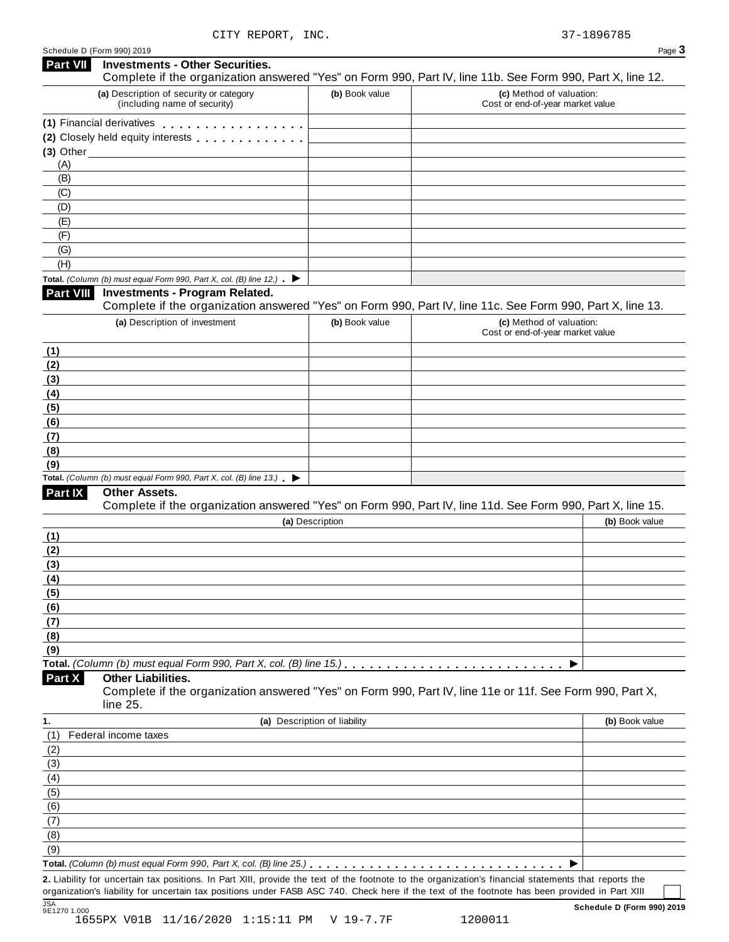| Part VII       | <b>Investments - Other Securities.</b><br>Complete if the organization answered "Yes" on Form 990, Part IV, line 11b. See Form 990, Part X, line 12. |                              |                                                              |                |
|----------------|------------------------------------------------------------------------------------------------------------------------------------------------------|------------------------------|--------------------------------------------------------------|----------------|
|                | (a) Description of security or category<br>(including name of security)                                                                              | (b) Book value               | (c) Method of valuation:<br>Cost or end-of-year market value |                |
|                | (1) Financial derivatives extended to Financial derivatives                                                                                          |                              |                                                              |                |
|                | (2) Closely held equity interests                                                                                                                    |                              |                                                              |                |
| $(3)$ Other    |                                                                                                                                                      |                              |                                                              |                |
| (A)            |                                                                                                                                                      |                              |                                                              |                |
| (B)            |                                                                                                                                                      |                              |                                                              |                |
| (C)            |                                                                                                                                                      |                              |                                                              |                |
| (D)            |                                                                                                                                                      |                              |                                                              |                |
| (E)            |                                                                                                                                                      |                              |                                                              |                |
| (F)            |                                                                                                                                                      |                              |                                                              |                |
| (G)            |                                                                                                                                                      |                              |                                                              |                |
| (H)            |                                                                                                                                                      |                              |                                                              |                |
|                | Total. (Column (b) must equal Form 990, Part X, col. (B) line 12.) $\blacktriangleright$                                                             |                              |                                                              |                |
| Part VIII      | <b>Investments - Program Related.</b>                                                                                                                |                              |                                                              |                |
|                | Complete if the organization answered "Yes" on Form 990, Part IV, line 11c. See Form 990, Part X, line 13.                                           |                              |                                                              |                |
|                | (a) Description of investment                                                                                                                        | (b) Book value               | (c) Method of valuation:                                     |                |
|                |                                                                                                                                                      |                              | Cost or end-of-year market value                             |                |
| (1)            |                                                                                                                                                      |                              |                                                              |                |
| (2)            |                                                                                                                                                      |                              |                                                              |                |
| (3)            |                                                                                                                                                      |                              |                                                              |                |
| (4)            |                                                                                                                                                      |                              |                                                              |                |
| (5)            |                                                                                                                                                      |                              |                                                              |                |
| (6)            |                                                                                                                                                      |                              |                                                              |                |
| (7)            |                                                                                                                                                      |                              |                                                              |                |
| (8)            |                                                                                                                                                      |                              |                                                              |                |
| (9)            |                                                                                                                                                      |                              |                                                              |                |
|                | Total. (Column (b) must equal Form 990, Part X, col. (B) line $13$ .)                                                                                |                              |                                                              |                |
| <b>Part IX</b> | Other Assets.                                                                                                                                        |                              |                                                              |                |
|                | Complete if the organization answered "Yes" on Form 990, Part IV, line 11d. See Form 990, Part X, line 15.                                           |                              |                                                              |                |
|                |                                                                                                                                                      | (a) Description              |                                                              | (b) Book value |
| (1)            |                                                                                                                                                      |                              |                                                              |                |
| (2)            |                                                                                                                                                      |                              |                                                              |                |
| (3)            |                                                                                                                                                      |                              |                                                              |                |
| (4)            |                                                                                                                                                      |                              |                                                              |                |
| (5)            |                                                                                                                                                      |                              |                                                              |                |
| (6)            |                                                                                                                                                      |                              |                                                              |                |
| <u>(7)</u>     |                                                                                                                                                      |                              |                                                              |                |
| (8)            |                                                                                                                                                      |                              |                                                              |                |
| (9)            |                                                                                                                                                      |                              |                                                              |                |
|                | Total. (Column (b) must equal Form 990, Part X, col. (B) line 15.)                                                                                   |                              |                                                              |                |
| Part X         | <b>Other Liabilities.</b>                                                                                                                            |                              |                                                              |                |
|                | Complete if the organization answered "Yes" on Form 990, Part IV, line 11e or 11f. See Form 990, Part X,                                             |                              |                                                              |                |
|                | line 25.                                                                                                                                             |                              |                                                              |                |
| 1.             |                                                                                                                                                      | (a) Description of liability |                                                              | (b) Book value |
| (1)            | Federal income taxes                                                                                                                                 |                              |                                                              |                |
|                |                                                                                                                                                      |                              |                                                              |                |
| (2)            |                                                                                                                                                      |                              |                                                              |                |
| (3)            |                                                                                                                                                      |                              |                                                              |                |
| (4)            |                                                                                                                                                      |                              |                                                              |                |
| (5)            |                                                                                                                                                      |                              |                                                              |                |
| (6)            |                                                                                                                                                      |                              |                                                              |                |
| (7)            |                                                                                                                                                      |                              |                                                              |                |
| (8)            |                                                                                                                                                      |                              |                                                              |                |
| (9)            |                                                                                                                                                      |                              |                                                              |                |
|                |                                                                                                                                                      |                              |                                                              |                |
|                | 2. Liability for uncertain tax positions. In Part XIII, provide the text of the footnote to the organization's financial statements that reports the |                              |                                                              |                |
|                | organization's liability for uncertain tax positions under FASB ASC 740. Check here if the text of the footnote has been provided in Part XIII       |                              |                                                              |                |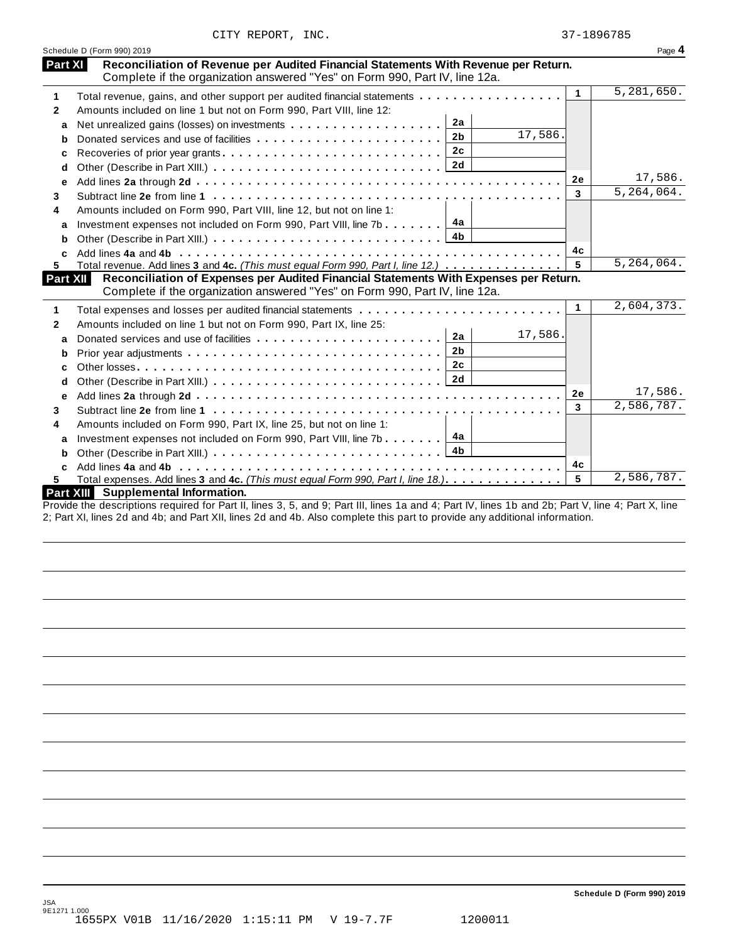|  | CITY REPORT, | INC. |
|--|--------------|------|
|--|--------------|------|

|              | Schedule D (Form 990) 2019                                                                                                                                                    |              | Page 4       |
|--------------|-------------------------------------------------------------------------------------------------------------------------------------------------------------------------------|--------------|--------------|
|              | Reconciliation of Revenue per Audited Financial Statements With Revenue per Return.<br>Part XI<br>Complete if the organization answered "Yes" on Form 990, Part IV, line 12a. |              |              |
| 1            | Total revenue, gains, and other support per audited financial statements                                                                                                      | $\mathbf{1}$ | 5,281,650.   |
| $\mathbf{2}$ | Amounts included on line 1 but not on Form 990, Part VIII, line 12:                                                                                                           |              |              |
| a            | 2a                                                                                                                                                                            |              |              |
| b            | 17,586.<br>2 <sub>b</sub><br>Donated services and use of facilities                                                                                                           |              |              |
| с            | 2 <sub>c</sub><br>Recoveries of prior year grants                                                                                                                             |              |              |
| d            |                                                                                                                                                                               |              |              |
| e            |                                                                                                                                                                               | 2е           | 17,586.      |
| 3            |                                                                                                                                                                               | 3            | 5, 264, 064. |
| 4            | Amounts included on Form 990, Part VIII, line 12, but not on line 1:                                                                                                          |              |              |
| a            | 4а<br>Investment expenses not included on Form 990, Part VIII, line 7b                                                                                                        |              |              |
| b            | 4b                                                                                                                                                                            |              |              |
|              |                                                                                                                                                                               | 4c           |              |
| 5.           | Total revenue. Add lines 3 and 4c. (This must equal Form 990, Part I, line 12.)                                                                                               | 5            | 5,264,064.   |
| Part XII     | Reconciliation of Expenses per Audited Financial Statements With Expenses per Return.<br>Complete if the organization answered "Yes" on Form 990, Part IV, line 12a.          |              | 2,604,373.   |
| 1            |                                                                                                                                                                               | 1            |              |
| 2            | Amounts included on line 1 but not on Form 990, Part IX, line 25:                                                                                                             |              |              |
| a            | 17,586.<br>2a                                                                                                                                                                 |              |              |
| b            | 2 <sub>b</sub>                                                                                                                                                                |              |              |
|              |                                                                                                                                                                               |              |              |
| c            | 2c                                                                                                                                                                            |              |              |
| d            | 2d                                                                                                                                                                            |              |              |
| е            |                                                                                                                                                                               | <b>2e</b>    | 17,586.      |
| 3            |                                                                                                                                                                               | 3            | 2,586,787.   |
| 4            | Amounts included on Form 990, Part IX, line 25, but not on line 1:                                                                                                            |              |              |
| a            | 4a<br>Investment expenses not included on Form 990, Part VIII, line 7b                                                                                                        |              |              |
| b            | 4b                                                                                                                                                                            |              |              |
| C            |                                                                                                                                                                               | 4c           |              |
| 5            | Total expenses. Add lines 3 and 4c. (This must equal Form 990, Part I, line 18.)                                                                                              | 5            | 2,586,787.   |

Provide the descriptions required for Part II, lines 3, 5, and 9; Part III, lines 1a and 4; Part IV, lines 1b and 2b; Part V, line 4; Part X, line 2; Part XI, lines 2d and 4b; and Part XII, lines 2d and 4b. Also complete this part to provide any additional information.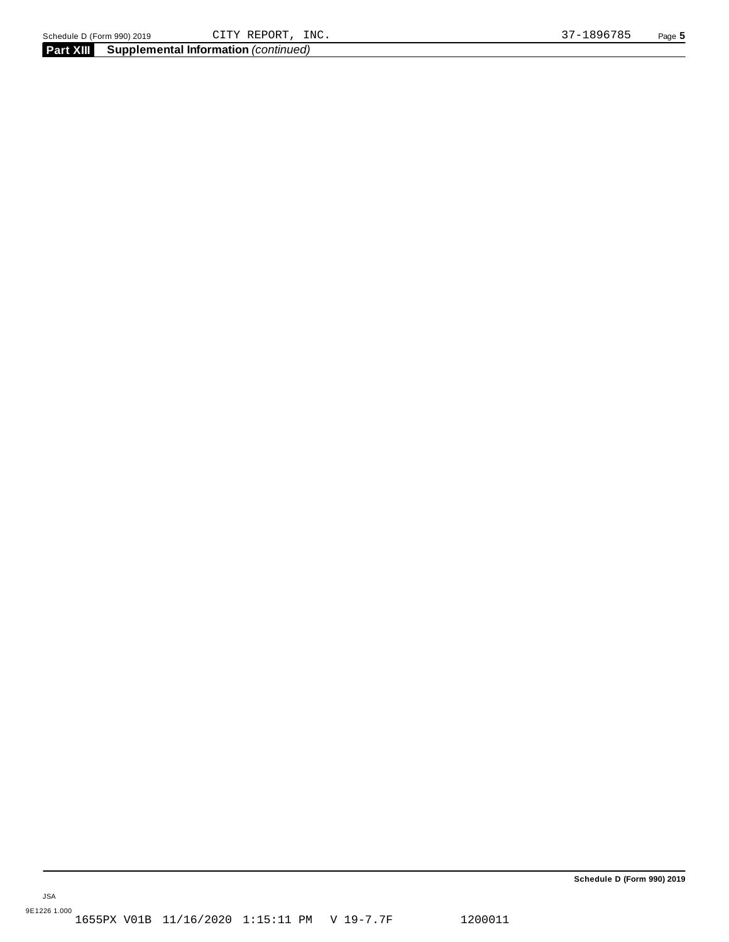**Schedule D (Form 990) 2019**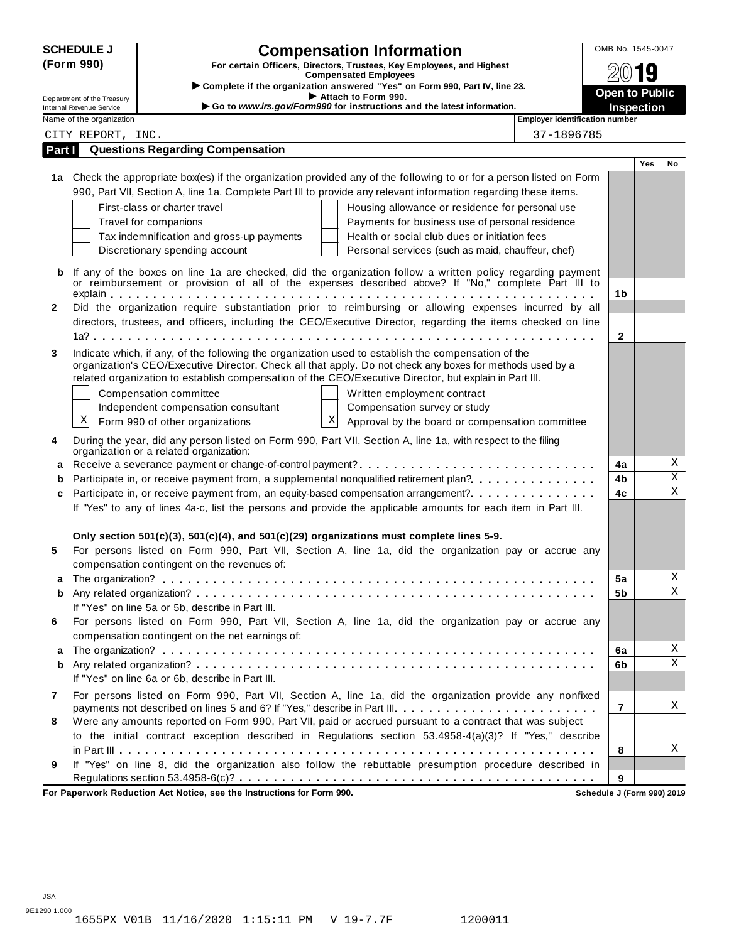| <b>SCHEDULE J</b>                                                                   | <b>Compensation Information</b>                                                                                                                                                                                   | OMB No. 1545-0047     |            |             |  |  |  |  |
|-------------------------------------------------------------------------------------|-------------------------------------------------------------------------------------------------------------------------------------------------------------------------------------------------------------------|-----------------------|------------|-------------|--|--|--|--|
| (Form 990)<br>For certain Officers, Directors, Trustees, Key Employees, and Highest |                                                                                                                                                                                                                   |                       |            | 9           |  |  |  |  |
|                                                                                     | <b>Compensated Employees</b><br>Complete if the organization answered "Yes" on Form 990, Part IV, line 23.                                                                                                        |                       |            |             |  |  |  |  |
| Department of the Treasury                                                          | Attach to Form 990.<br>Go to www.irs.gov/Form990 for instructions and the latest information.                                                                                                                     | <b>Open to Public</b> |            |             |  |  |  |  |
| <b>Internal Revenue Service</b><br>Name of the organization                         | <b>Employer identification number</b>                                                                                                                                                                             | <b>Inspection</b>     |            |             |  |  |  |  |
| CITY REPORT, INC.                                                                   | 37-1896785                                                                                                                                                                                                        |                       |            |             |  |  |  |  |
| Part I                                                                              | <b>Questions Regarding Compensation</b>                                                                                                                                                                           |                       |            |             |  |  |  |  |
|                                                                                     |                                                                                                                                                                                                                   |                       | <b>Yes</b> | No          |  |  |  |  |
|                                                                                     | 1a Check the appropriate box(es) if the organization provided any of the following to or for a person listed on Form                                                                                              |                       |            |             |  |  |  |  |
|                                                                                     | 990, Part VII, Section A, line 1a. Complete Part III to provide any relevant information regarding these items.                                                                                                   |                       |            |             |  |  |  |  |
|                                                                                     | First-class or charter travel<br>Housing allowance or residence for personal use                                                                                                                                  |                       |            |             |  |  |  |  |
|                                                                                     | Payments for business use of personal residence<br>Travel for companions                                                                                                                                          |                       |            |             |  |  |  |  |
|                                                                                     | Tax indemnification and gross-up payments<br>Health or social club dues or initiation fees                                                                                                                        |                       |            |             |  |  |  |  |
|                                                                                     | Discretionary spending account<br>Personal services (such as maid, chauffeur, chef)                                                                                                                               |                       |            |             |  |  |  |  |
|                                                                                     |                                                                                                                                                                                                                   |                       |            |             |  |  |  |  |
| b                                                                                   | If any of the boxes on line 1a are checked, did the organization follow a written policy regarding payment<br>or reimbursement or provision of all of the expenses described above? If "No," complete Part III to |                       |            |             |  |  |  |  |
|                                                                                     |                                                                                                                                                                                                                   | 1b                    |            |             |  |  |  |  |
| $\mathbf{2}$                                                                        | Did the organization require substantiation prior to reimbursing or allowing expenses incurred by all                                                                                                             |                       |            |             |  |  |  |  |
|                                                                                     | directors, trustees, and officers, including the CEO/Executive Director, regarding the items checked on line                                                                                                      |                       |            |             |  |  |  |  |
|                                                                                     |                                                                                                                                                                                                                   | 2                     |            |             |  |  |  |  |
| 3                                                                                   | Indicate which, if any, of the following the organization used to establish the compensation of the                                                                                                               |                       |            |             |  |  |  |  |
|                                                                                     | organization's CEO/Executive Director. Check all that apply. Do not check any boxes for methods used by a                                                                                                         |                       |            |             |  |  |  |  |
|                                                                                     | related organization to establish compensation of the CEO/Executive Director, but explain in Part III.                                                                                                            |                       |            |             |  |  |  |  |
|                                                                                     | Compensation committee<br>Written employment contract                                                                                                                                                             |                       |            |             |  |  |  |  |
|                                                                                     | Independent compensation consultant<br>Compensation survey or study                                                                                                                                               |                       |            |             |  |  |  |  |
| Χ                                                                                   | $\mathbf X$<br>Form 990 of other organizations<br>Approval by the board or compensation committee                                                                                                                 |                       |            |             |  |  |  |  |
| 4                                                                                   | During the year, did any person listed on Form 990, Part VII, Section A, line 1a, with respect to the filing                                                                                                      |                       |            |             |  |  |  |  |
|                                                                                     | organization or a related organization:                                                                                                                                                                           |                       |            |             |  |  |  |  |
|                                                                                     | a Receive a severance payment or change-of-control payment?                                                                                                                                                       | 4a                    |            | Χ           |  |  |  |  |
| b                                                                                   | Participate in, or receive payment from, a supplemental nonqualified retirement plan?.                                                                                                                            | 4b                    |            | X           |  |  |  |  |
| c                                                                                   | Participate in, or receive payment from, an equity-based compensation arrangement?                                                                                                                                | 4c                    |            | $\mathbf X$ |  |  |  |  |
|                                                                                     | If "Yes" to any of lines 4a-c, list the persons and provide the applicable amounts for each item in Part III.                                                                                                     |                       |            |             |  |  |  |  |
|                                                                                     |                                                                                                                                                                                                                   |                       |            |             |  |  |  |  |
|                                                                                     | Only section $501(c)(3)$ , $501(c)(4)$ , and $501(c)(29)$ organizations must complete lines 5-9.                                                                                                                  |                       |            |             |  |  |  |  |
| 5                                                                                   | For persons listed on Form 990, Part VII, Section A, line 1a, did the organization pay or accrue any                                                                                                              |                       |            |             |  |  |  |  |
|                                                                                     | compensation contingent on the revenues of:                                                                                                                                                                       |                       |            |             |  |  |  |  |
|                                                                                     |                                                                                                                                                                                                                   | 5a                    |            | Χ           |  |  |  |  |
| b                                                                                   |                                                                                                                                                                                                                   | 5b                    |            | Χ           |  |  |  |  |
|                                                                                     | If "Yes" on line 5a or 5b, describe in Part III.                                                                                                                                                                  |                       |            |             |  |  |  |  |
| 6                                                                                   | For persons listed on Form 990, Part VII, Section A, line 1a, did the organization pay or accrue any                                                                                                              |                       |            |             |  |  |  |  |
|                                                                                     | compensation contingent on the net earnings of:                                                                                                                                                                   |                       |            |             |  |  |  |  |
| a                                                                                   |                                                                                                                                                                                                                   | 6a                    |            | Χ           |  |  |  |  |
| b                                                                                   |                                                                                                                                                                                                                   | 6b                    |            | X           |  |  |  |  |
|                                                                                     | If "Yes" on line 6a or 6b, describe in Part III.                                                                                                                                                                  |                       |            |             |  |  |  |  |
| 7                                                                                   | For persons listed on Form 990, Part VII, Section A, line 1a, did the organization provide any nonfixed                                                                                                           |                       |            |             |  |  |  |  |
|                                                                                     | payments not described on lines 5 and 6? If "Yes," describe in Part III.                                                                                                                                          | $\overline{7}$        |            | Χ           |  |  |  |  |
| 8                                                                                   | Were any amounts reported on Form 990, Part VII, paid or accrued pursuant to a contract that was subject                                                                                                          |                       |            |             |  |  |  |  |
|                                                                                     | to the initial contract exception described in Regulations section 53.4958-4(a)(3)? If "Yes," describe                                                                                                            |                       |            |             |  |  |  |  |
|                                                                                     |                                                                                                                                                                                                                   | 8                     |            | Χ           |  |  |  |  |
|                                                                                     |                                                                                                                                                                                                                   |                       |            |             |  |  |  |  |
| 9                                                                                   | If "Yes" on line 8, did the organization also follow the rebuttable presumption procedure described in                                                                                                            |                       |            |             |  |  |  |  |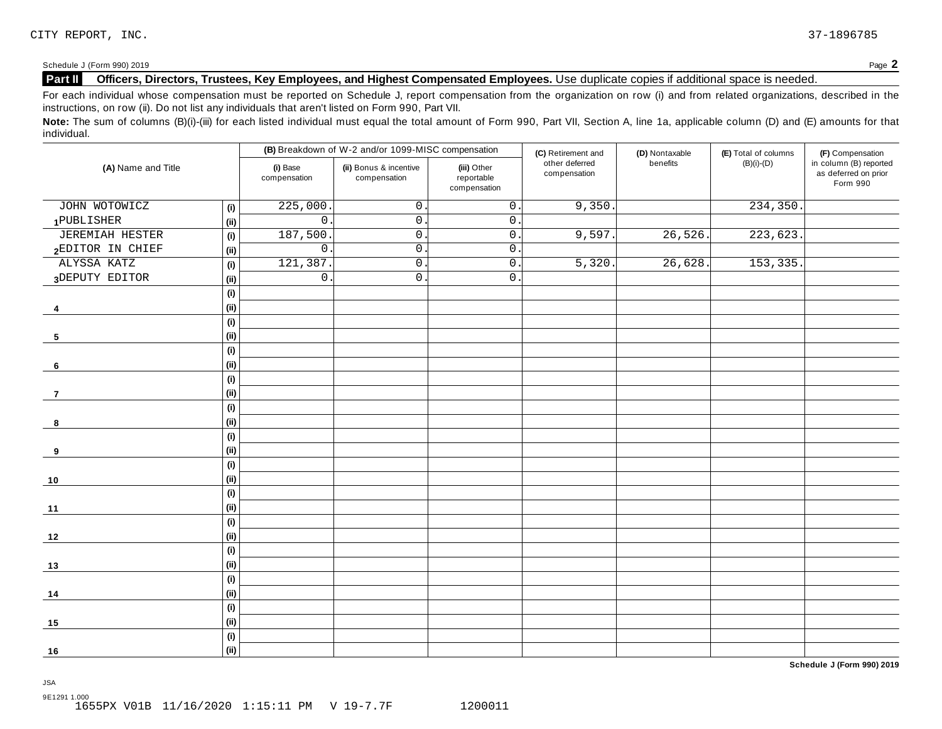Schedule <sup>J</sup> (Form 990) <sup>2019</sup> Page **2**

### **Part II Officers, Directors, Trustees, Key Employees, and Highest Compensated Employees.** Use duplicate copies ifadditional space is needed.

For each individual whose compensation must be reported on Schedule J, report compensation from the organization on row (i) and from related organizations, described in the instructions, on row (ii). Do not list any individuals that aren't listed on Form 990, Part VII.

Note: The sum of columns (B)(i)-(iii) for each listed individual must equal the total amount of Form 990, Part VII, Section A, line 1a, applicable column (D) and (E) amounts for that individual.

|                        |                              |                          | (B) Breakdown of W-2 and/or 1099-MISC compensation |                                           | (C) Retirement and             | (D) Nontaxable | (E) Total of columns | (F) Compensation                                           |
|------------------------|------------------------------|--------------------------|----------------------------------------------------|-------------------------------------------|--------------------------------|----------------|----------------------|------------------------------------------------------------|
| (A) Name and Title     |                              | (i) Base<br>compensation | (ii) Bonus & incentive<br>compensation             | (iii) Other<br>reportable<br>compensation | other deferred<br>compensation | benefits       | $(B)(i)-(D)$         | in column (B) reported<br>as deferred on prior<br>Form 990 |
| JOHN WOTOWICZ          | (i)                          | 225,000                  | $\mathsf{O}$ .                                     | $\overline{0}$ .                          | 9,350.                         |                | 234, 350.            |                                                            |
| 1PUBLISHER             | (i)                          | $\mathsf{O}$             | $\mathsf{O}$ .                                     | $0$ .                                     |                                |                |                      |                                                            |
| <b>JEREMIAH HESTER</b> | (i)                          | 187,500                  | $0\,$ .                                            | $\overline{0}$ .                          | 9,597                          | 26,526.        | 223,623.             |                                                            |
| 2EDITOR IN CHIEF       | (i)                          | $\mathsf{O}$             | $\mathbf 0$                                        | 0.                                        |                                |                |                      |                                                            |
| ALYSSA KATZ            | (i)                          | 121,387                  | $0\,$ .                                            | $\mathsf 0$ .                             | 5,320                          | 26,628.        | 153,335.             |                                                            |
| 3DEPUTY EDITOR         | (i)                          | $\mathsf{O}\xspace$      | $\mathsf{O}$ .                                     | $\overline{0}$ .                          |                                |                |                      |                                                            |
|                        | (i)                          |                          |                                                    |                                           |                                |                |                      |                                                            |
| 4                      | (i)                          |                          |                                                    |                                           |                                |                |                      |                                                            |
|                        | (i)                          |                          |                                                    |                                           |                                |                |                      |                                                            |
| 5                      | (i)                          |                          |                                                    |                                           |                                |                |                      |                                                            |
|                        | $\qquad \qquad \textbf{(i)}$ |                          |                                                    |                                           |                                |                |                      |                                                            |
| 6                      | (i)                          |                          |                                                    |                                           |                                |                |                      |                                                            |
|                        | (i)                          |                          |                                                    |                                           |                                |                |                      |                                                            |
| 7                      | (i)                          |                          |                                                    |                                           |                                |                |                      |                                                            |
|                        | (i)                          |                          |                                                    |                                           |                                |                |                      |                                                            |
| 8                      | (i)                          |                          |                                                    |                                           |                                |                |                      |                                                            |
|                        | (i)                          |                          |                                                    |                                           |                                |                |                      |                                                            |
| 9                      | (i)                          |                          |                                                    |                                           |                                |                |                      |                                                            |
|                        | (i)                          |                          |                                                    |                                           |                                |                |                      |                                                            |
| 10                     | (i)                          |                          |                                                    |                                           |                                |                |                      |                                                            |
|                        | (i)                          |                          |                                                    |                                           |                                |                |                      |                                                            |
| 11                     | (i)                          |                          |                                                    |                                           |                                |                |                      |                                                            |
|                        | (i)                          |                          |                                                    |                                           |                                |                |                      |                                                            |
| 12                     | (i)                          |                          |                                                    |                                           |                                |                |                      |                                                            |
|                        | (i)                          |                          |                                                    |                                           |                                |                |                      |                                                            |
| $13$                   | (i)                          |                          |                                                    |                                           |                                |                |                      |                                                            |
|                        | (i)                          |                          |                                                    |                                           |                                |                |                      |                                                            |
| 14                     | (i)                          |                          |                                                    |                                           |                                |                |                      |                                                            |
|                        | (i)                          |                          |                                                    |                                           |                                |                |                      |                                                            |
| 15                     | (i)                          |                          |                                                    |                                           |                                |                |                      |                                                            |
|                        | (i)                          |                          |                                                    |                                           |                                |                |                      |                                                            |
| 16                     | (ii)                         |                          |                                                    |                                           |                                |                |                      |                                                            |

**Schedule J (Form 990) 2019**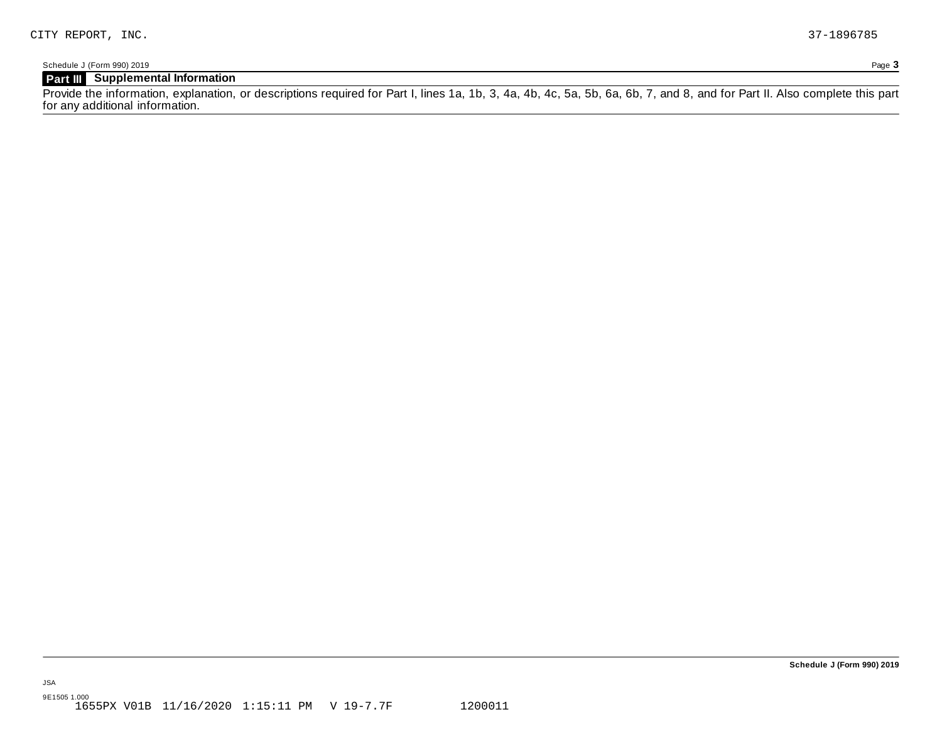Schedule J (Form 990) 2019 Page **3**

### **Part III Supplemental Information**

Provide the information, explanation, or descriptions required for Part I, lines 1a, 1b, 3, 4a, 4b, 4c, 5a, 5b, 6a, 6b, 7, and 8, and for Part II. Also complete this part for any additional information.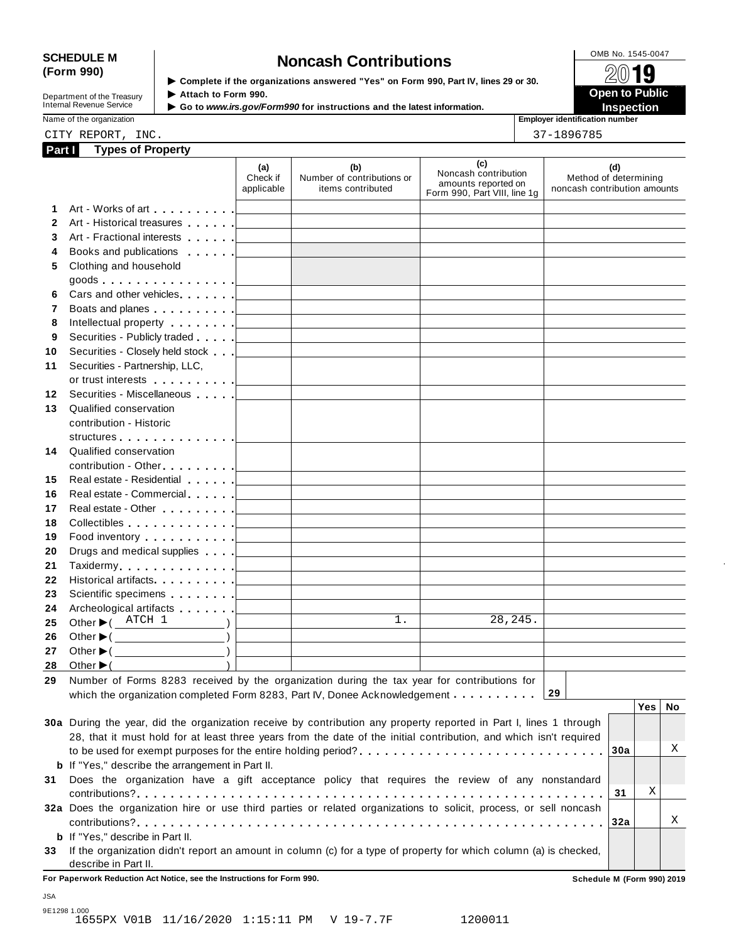# SCHEDULE M<br>
(Form 990) **Schedule Moncash Contributions**<br>  $\begin{array}{r} \hline \text{OMB No. 1545-0047} \\ \hline \end{array}$

**Department of the Treasury<br>Internal Revenue Service** 

**Examplete** if the organizations answered "Yes" on Form 990, Part IV, lines 29 or 30. △<del>Ⅳ</del><br>▶ Attach to Form 990. **Department of the Treasury ▶ Attach to Form 990.**<br>Internal Revenue Service ▶ Go to *www.irs.gov/Form990* for instructions and the latest information.<br>Nome of the organization aumhor

| iname or the organization |  |  |  |
|---------------------------|--|--|--|
|                           |  |  |  |

Name of the organization **Employer identification number** CITY REPORT, INC. 37-1896785

| Part I       | <b>Types of Property</b>                                                                                                                                                                                                       |                                 |                                                                            |                                                                                    |                                                              |                  |    |
|--------------|--------------------------------------------------------------------------------------------------------------------------------------------------------------------------------------------------------------------------------|---------------------------------|----------------------------------------------------------------------------|------------------------------------------------------------------------------------|--------------------------------------------------------------|------------------|----|
|              |                                                                                                                                                                                                                                | (a)<br>Check if<br>applicable   | (b)<br>Number of contributions or<br>items contributed                     | (c)<br>Noncash contribution<br>amounts reported on<br>Form 990, Part VIII, line 1g | (d)<br>Method of determining<br>noncash contribution amounts |                  |    |
| 1            |                                                                                                                                                                                                                                |                                 | <u> 1989 - Johann Stein, mars an deus Amerikaansk kommunister (</u>        |                                                                                    |                                                              |                  |    |
| $\mathbf{2}$ | Art - Historical treasures                                                                                                                                                                                                     | the contract of the contract of | <u> 1989 - Johann Stoff, Amerikaansk politiker (</u>                       |                                                                                    |                                                              |                  |    |
| 3            |                                                                                                                                                                                                                                |                                 |                                                                            |                                                                                    |                                                              |                  |    |
| 4            | Books and publications entering the state of the state of the state of the state of the state of the state of the state of the state of the state of the state of the state of the state of the state of the state of the stat |                                 |                                                                            |                                                                                    |                                                              |                  |    |
| 5            | Clothing and household                                                                                                                                                                                                         |                                 |                                                                            |                                                                                    |                                                              |                  |    |
|              |                                                                                                                                                                                                                                |                                 |                                                                            |                                                                                    |                                                              |                  |    |
| 6            |                                                                                                                                                                                                                                |                                 |                                                                            | the control of the control of the control of the control of the control of         |                                                              |                  |    |
| 7            |                                                                                                                                                                                                                                |                                 |                                                                            | the control of the control of the control of the control of the control of         |                                                              |                  |    |
| 8            |                                                                                                                                                                                                                                |                                 |                                                                            |                                                                                    |                                                              |                  |    |
| 9            | Securities - Publicly traded equal to the securities - Publicly traded equal to the securities - Publicly traded                                                                                                               |                                 |                                                                            |                                                                                    |                                                              |                  |    |
| 10           |                                                                                                                                                                                                                                |                                 |                                                                            |                                                                                    |                                                              |                  |    |
| 11           | Securities - Partnership, LLC,                                                                                                                                                                                                 |                                 |                                                                            |                                                                                    |                                                              |                  |    |
|              |                                                                                                                                                                                                                                |                                 |                                                                            |                                                                                    |                                                              |                  |    |
| 12           | Securities - Miscellaneous                                                                                                                                                                                                     |                                 |                                                                            |                                                                                    |                                                              |                  |    |
| 13           | Qualified conservation                                                                                                                                                                                                         |                                 |                                                                            |                                                                                    |                                                              |                  |    |
|              | contribution - Historic                                                                                                                                                                                                        |                                 |                                                                            |                                                                                    |                                                              |                  |    |
|              | structures [19]                                                                                                                                                                                                                |                                 |                                                                            |                                                                                    |                                                              |                  |    |
| 14           | Qualified conservation                                                                                                                                                                                                         |                                 |                                                                            |                                                                                    |                                                              |                  |    |
|              |                                                                                                                                                                                                                                |                                 |                                                                            |                                                                                    |                                                              |                  |    |
| 15           | Real estate - Residential                                                                                                                                                                                                      |                                 | the control of the control of the control of the control of the control of |                                                                                    |                                                              |                  |    |
| 16           |                                                                                                                                                                                                                                |                                 |                                                                            | the control of the control of the control of the control of the control of         |                                                              |                  |    |
| 17           |                                                                                                                                                                                                                                |                                 |                                                                            |                                                                                    |                                                              |                  |    |
| 18           |                                                                                                                                                                                                                                |                                 |                                                                            |                                                                                    |                                                              |                  |    |
| 19           | Food inventory $\ldots \ldots \ldots$ . $\Box$                                                                                                                                                                                 |                                 |                                                                            |                                                                                    |                                                              |                  |    |
| 20           |                                                                                                                                                                                                                                |                                 |                                                                            |                                                                                    |                                                              |                  |    |
| 21           | Drugs and medical supplies equal to the contract of the contract of the contract of the contract of the contract of the contract of the contract of the contract of the contract of the contract of the contract of the contra |                                 |                                                                            |                                                                                    |                                                              |                  |    |
| 22           |                                                                                                                                                                                                                                |                                 |                                                                            |                                                                                    |                                                              |                  |    |
| 23           |                                                                                                                                                                                                                                |                                 |                                                                            |                                                                                    |                                                              |                  |    |
| 24           | Archeological artifacts <u>  _ _ _ _ _ _   _ _ _ _ _ _ _ _ _ _ _</u>                                                                                                                                                           |                                 |                                                                            | the control of the control of the control of the control of                        |                                                              |                  |    |
| 25           |                                                                                                                                                                                                                                |                                 | $\overline{1}$ .                                                           | 28,245.                                                                            |                                                              |                  |    |
| 26           |                                                                                                                                                                                                                                |                                 |                                                                            |                                                                                    |                                                              |                  |    |
| 27           |                                                                                                                                                                                                                                |                                 |                                                                            |                                                                                    |                                                              |                  |    |
|              | 28 Other $\blacktriangleright$ (                                                                                                                                                                                               |                                 |                                                                            |                                                                                    |                                                              |                  |    |
| 29           | Number of Forms 8283 received by the organization during the tax year for contributions for                                                                                                                                    |                                 |                                                                            |                                                                                    |                                                              |                  |    |
|              |                                                                                                                                                                                                                                |                                 |                                                                            |                                                                                    | 29                                                           |                  |    |
|              | which the organization completed Form 8283, Part IV, Donee Acknowledgement                                                                                                                                                     |                                 |                                                                            |                                                                                    |                                                              | Yes <sub>1</sub> | No |
|              | 30a During the year, did the organization receive by contribution any property reported in Part I, lines 1 through                                                                                                             |                                 |                                                                            |                                                                                    |                                                              |                  |    |
|              | 28, that it must hold for at least three years from the date of the initial contribution, and which isn't required                                                                                                             |                                 |                                                                            |                                                                                    |                                                              |                  |    |
|              |                                                                                                                                                                                                                                |                                 |                                                                            |                                                                                    | 30a                                                          |                  | Χ  |
|              | <b>b</b> If "Yes," describe the arrangement in Part II.                                                                                                                                                                        |                                 |                                                                            |                                                                                    |                                                              |                  |    |
|              |                                                                                                                                                                                                                                |                                 |                                                                            |                                                                                    |                                                              |                  |    |
| 31           | Does the organization have a gift acceptance policy that requires the review of any nonstandard                                                                                                                                |                                 |                                                                            |                                                                                    | 31                                                           | Χ                |    |
|              |                                                                                                                                                                                                                                |                                 |                                                                            |                                                                                    |                                                              |                  |    |
|              | 32a Does the organization hire or use third parties or related organizations to solicit, process, or sell noncash                                                                                                              |                                 |                                                                            |                                                                                    |                                                              |                  | Χ  |
|              |                                                                                                                                                                                                                                |                                 |                                                                            |                                                                                    | 32a                                                          |                  |    |
|              | <b>b</b> If "Yes," describe in Part II.                                                                                                                                                                                        |                                 |                                                                            |                                                                                    |                                                              |                  |    |
| 33           | If the organization didn't report an amount in column (c) for a type of property for which column (a) is checked,                                                                                                              |                                 |                                                                            |                                                                                    |                                                              |                  |    |
|              | describe in Part II.                                                                                                                                                                                                           |                                 |                                                                            |                                                                                    |                                                              |                  |    |
|              | For Paperwork Reduction Act Notice, see the Instructions for Form 990.                                                                                                                                                         |                                 |                                                                            |                                                                                    | Schedule M (Form 990) 2019                                   |                  |    |

9E1298 1.000 1655PX V01B 11/16/2020 1:15:11 PM V 19-7.7F 1200011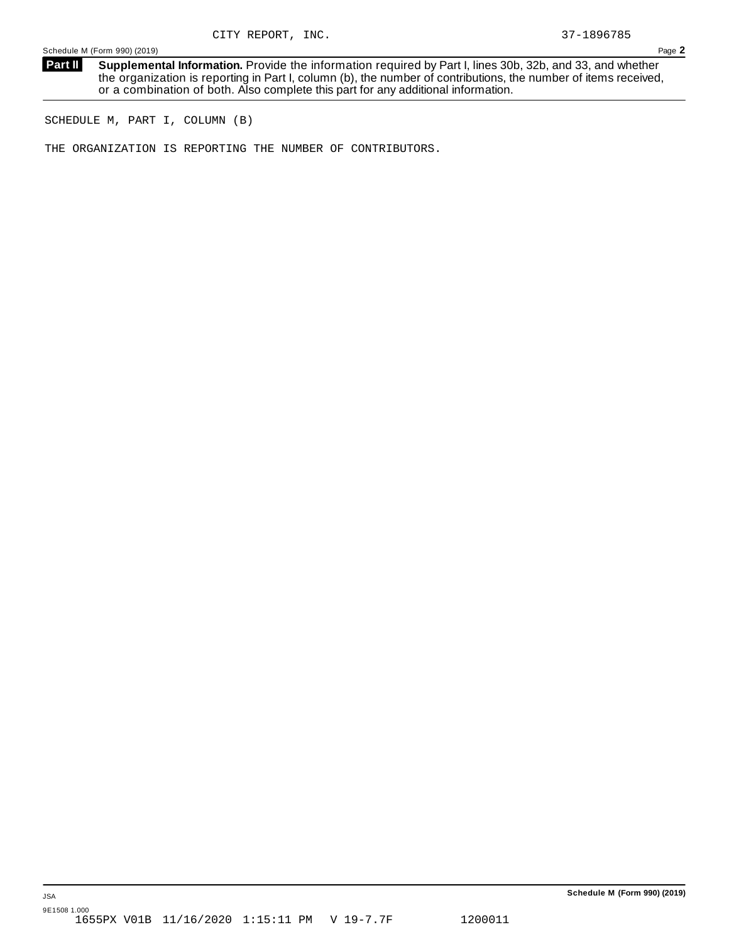**Supplemental Information.** Provide the information required by Part I, lines 30b, 32b, and 33, and whether the organization is reporting in Part I, column (b), the number of contributions, the number of items received, or a combination of both. Also complete this part for any additional information. **Part II**

SCHEDULE M, PART I, COLUMN (B)

THE ORGANIZATION IS REPORTING THE NUMBER OF CONTRIBUTORS.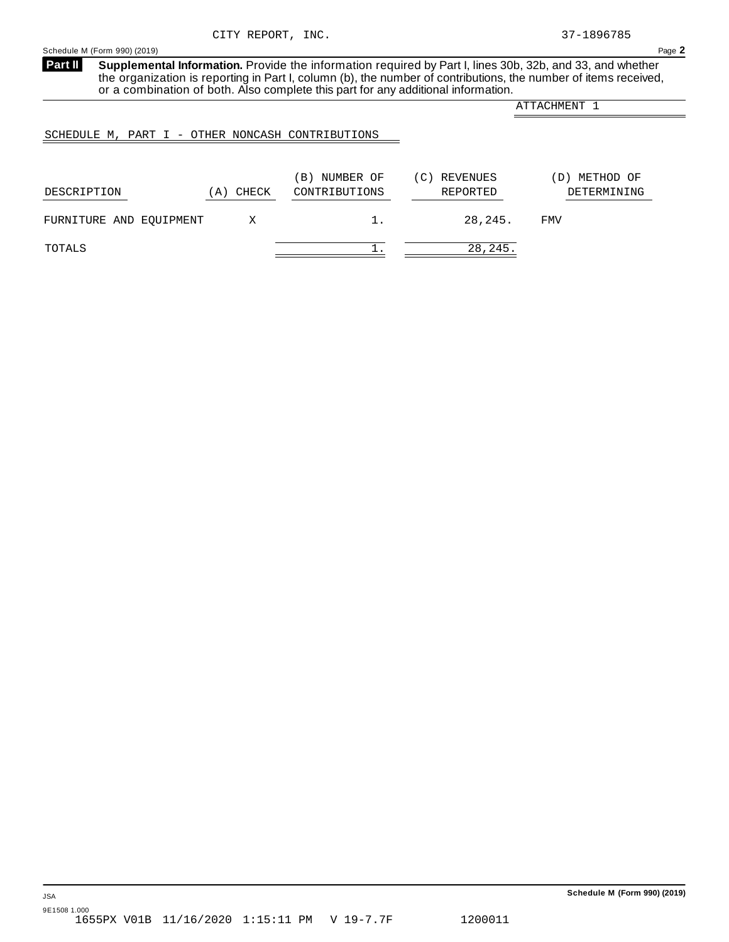<span id="page-34-0"></span>**Part II**

**Supplemental Information.** Provide the information required by Part I, lines 30b, 32b, and 33, and whether the organization is reporting in Part I, column (b), the number of contributions, the number of items received, or a combination of both. Also complete this part for any additional information.

ATTACHMENT 1

### SCHEDULE M, PART I - OTHER NONCASH CONTRIBUTIONS

| DESCRIPTION             | CHECK<br>A) | NUMBER OF<br>B)<br>CONTRIBUTIONS | REVENUES<br>(C)<br>REPORTED | METHOD OF<br>D)<br>DETERMINING |
|-------------------------|-------------|----------------------------------|-----------------------------|--------------------------------|
| FURNITURE AND EOUIPMENT |             |                                  | 28,245.                     | FMV                            |
| TOTALS                  |             |                                  | 28, 245.                    |                                |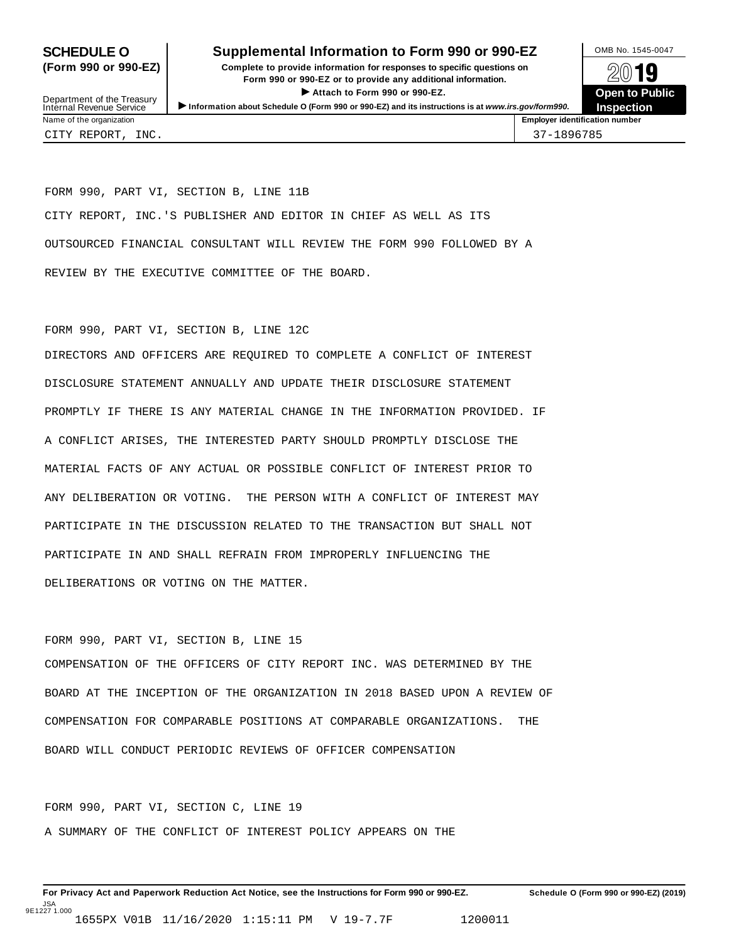### **SCHEDULE O** Supplemental Information to Form 990 or 990-EZ DAMB No. 1545-0047

**(Form 990 or 990-EZ) Complete to provide information for responses to specific questions on** plete to provide information for responses to specific questions on  $\mathbb{Z}^{0}$  **19 EV D**<br>
Attach to Form 990 or 990-EZ.<br>
and the Communicational information.<br> **Communication of the Communication of the Communication of the Communication of the Communication of the Communication of the Communication o** Department of the Treasury <br>Depen to Public<br>Name of the organization<br>Name of the organization<br>Name of the organization<br>Name of the organization<br>Name of the organization<br>Name of the organization<br>Name of the organization<br>Na



Department of the Treasury<br>Internal Revenue Service

FORM 990, PART VI, SECTION B, LINE 11B CITY REPORT, INC.'S PUBLISHER AND EDITOR IN CHIEF AS WELL AS ITS OUTSOURCED FINANCIAL CONSULTANT WILL REVIEW THE FORM 990 FOLLOWED BY A REVIEW BY THE EXECUTIVE COMMITTEE OF THE BOARD.

### FORM 990, PART VI, SECTION B, LINE 12C

DIRECTORS AND OFFICERS ARE REQUIRED TO COMPLETE A CONFLICT OF INTEREST DISCLOSURE STATEMENT ANNUALLY AND UPDATE THEIR DISCLOSURE STATEMENT PROMPTLY IF THERE IS ANY MATERIAL CHANGE IN THE INFORMATION PROVIDED. IF A CONFLICT ARISES, THE INTERESTED PARTY SHOULD PROMPTLY DISCLOSE THE MATERIAL FACTS OF ANY ACTUAL OR POSSIBLE CONFLICT OF INTEREST PRIOR TO ANY DELIBERATION OR VOTING. THE PERSON WITH A CONFLICT OF INTEREST MAY PARTICIPATE IN THE DISCUSSION RELATED TO THE TRANSACTION BUT SHALL NOT PARTICIPATE IN AND SHALL REFRAIN FROM IMPROPERLY INFLUENCING THE DELIBERATIONS OR VOTING ON THE MATTER.

# FORM 990, PART VI, SECTION B, LINE 15 COMPENSATION OF THE OFFICERS OF CITY REPORT INC. WAS DETERMINED BY THE BOARD AT THE INCEPTION OF THE ORGANIZATION IN 2018 BASED UPON A REVIEW OF COMPENSATION FOR COMPARABLE POSITIONS AT COMPARABLE ORGANIZATIONS. THE BOARD WILL CONDUCT PERIODIC REVIEWS OF OFFICER COMPENSATION

FORM 990, PART VI, SECTION C, LINE 19 A SUMMARY OF THE CONFLICT OF INTEREST POLICY APPEARS ON THE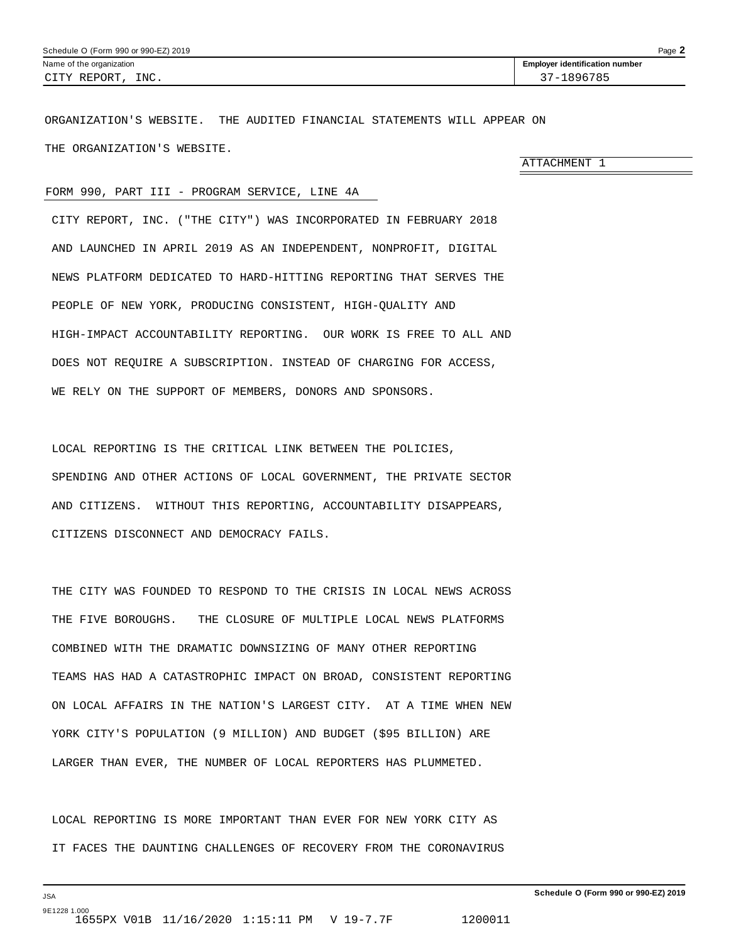<span id="page-36-0"></span>ORGANIZATION'S WEBSITE. THE AUDITED FINANCIAL STATEMENTS WILL APPEAR ON THE ORGANIZATION'S WEBSITE.

ATTACHMENT 1

### FORM 990, PART III - PROGRAM SERVICE, LINE 4A

CITY REPORT, INC. ("THE CITY") WAS INCORPORATED IN FEBRUARY 2018 AND LAUNCHED IN APRIL 2019 AS AN INDEPENDENT, NONPROFIT, DIGITAL NEWS PLATFORM DEDICATED TO HARD-HITTING REPORTING THAT SERVES THE PEOPLE OF NEW YORK, PRODUCING CONSISTENT, HIGH-QUALITY AND HIGH-IMPACT ACCOUNTABILITY REPORTING. OUR WORK IS FREE TO ALL AND DOES NOT REQUIRE A SUBSCRIPTION. INSTEAD OF CHARGING FOR ACCESS, WE RELY ON THE SUPPORT OF MEMBERS, DONORS AND SPONSORS.

LOCAL REPORTING IS THE CRITICAL LINK BETWEEN THE POLICIES, SPENDING AND OTHER ACTIONS OF LOCAL GOVERNMENT, THE PRIVATE SECTOR AND CITIZENS. WITHOUT THIS REPORTING, ACCOUNTABILITY DISAPPEARS, CITIZENS DISCONNECT AND DEMOCRACY FAILS.

THE CITY WAS FOUNDED TO RESPOND TO THE CRISIS IN LOCAL NEWS ACROSS THE FIVE BOROUGHS. THE CLOSURE OF MULTIPLE LOCAL NEWS PLATFORMS COMBINED WITH THE DRAMATIC DOWNSIZING OF MANY OTHER REPORTING TEAMS HAS HAD A CATASTROPHIC IMPACT ON BROAD, CONSISTENT REPORTING ON LOCAL AFFAIRS IN THE NATION'S LARGEST CITY. AT A TIME WHEN NEW YORK CITY'S POPULATION (9 MILLION) AND BUDGET (\$95 BILLION) ARE LARGER THAN EVER, THE NUMBER OF LOCAL REPORTERS HAS PLUMMETED.

LOCAL REPORTING IS MORE IMPORTANT THAN EVER FOR NEW YORK CITY AS IT FACES THE DAUNTING CHALLENGES OF RECOVERY FROM THE CORONAVIRUS

JSA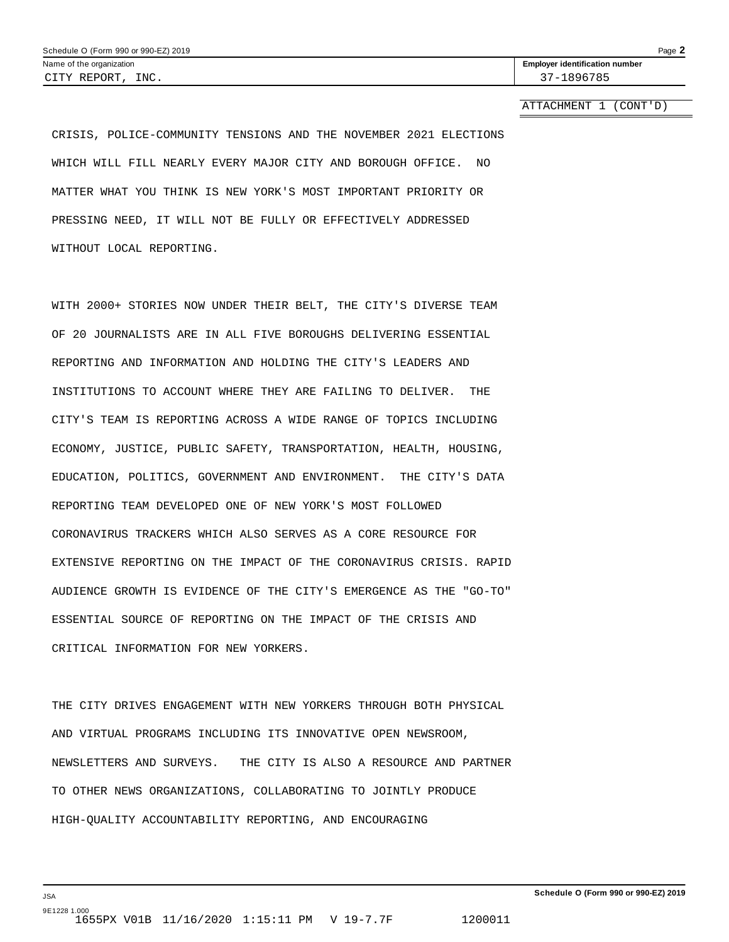ATTACHMENT 1 (CONT'D)

CRISIS, POLICE-COMMUNITY TENSIONS AND THE NOVEMBER 2021 ELECTIONS WHICH WILL FILL NEARLY EVERY MAJOR CITY AND BOROUGH OFFICE. NO MATTER WHAT YOU THINK IS NEW YORK'S MOST IMPORTANT PRIORITY OR PRESSING NEED, IT WILL NOT BE FULLY OR EFFECTIVELY ADDRESSED WITHOUT LOCAL REPORTING.

WITH 2000+ STORIES NOW UNDER THEIR BELT, THE CITY'S DIVERSE TEAM OF 20 JOURNALISTS ARE IN ALL FIVE BOROUGHS DELIVERING ESSENTIAL REPORTING AND INFORMATION AND HOLDING THE CITY'S LEADERS AND INSTITUTIONS TO ACCOUNT WHERE THEY ARE FAILING TO DELIVER. THE CITY'S TEAM IS REPORTING ACROSS A WIDE RANGE OF TOPICS INCLUDING ECONOMY, JUSTICE, PUBLIC SAFETY, TRANSPORTATION, HEALTH, HOUSING, EDUCATION, POLITICS, GOVERNMENT AND ENVIRONMENT. THE CITY'S DATA REPORTING TEAM DEVELOPED ONE OF NEW YORK'S MOST FOLLOWED CORONAVIRUS TRACKERS WHICH ALSO SERVES AS A CORE RESOURCE FOR EXTENSIVE REPORTING ON THE IMPACT OF THE CORONAVIRUS CRISIS. RAPID AUDIENCE GROWTH IS EVIDENCE OF THE CITY'S EMERGENCE AS THE "GO-TO" ESSENTIAL SOURCE OF REPORTING ON THE IMPACT OF THE CRISIS AND CRITICAL INFORMATION FOR NEW YORKERS.

THE CITY DRIVES ENGAGEMENT WITH NEW YORKERS THROUGH BOTH PHYSICAL AND VIRTUAL PROGRAMS INCLUDING ITS INNOVATIVE OPEN NEWSROOM, NEWSLETTERS AND SURVEYS. THE CITY IS ALSO A RESOURCE AND PARTNER TO OTHER NEWS ORGANIZATIONS, COLLABORATING TO JOINTLY PRODUCE HIGH-QUALITY ACCOUNTABILITY REPORTING, AND ENCOURAGING

JSA